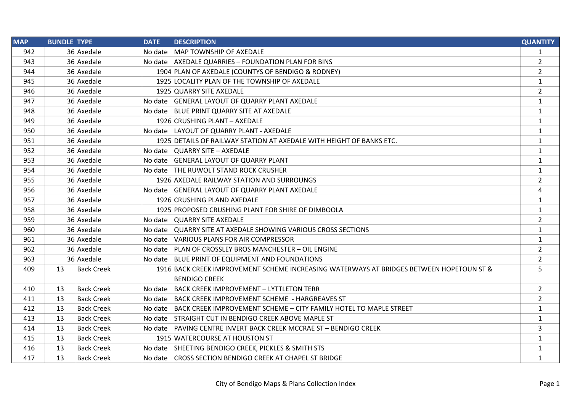| <b>MAP</b> | <b>BUNDLE TYPE</b>      | <b>DATE</b> | <b>DESCRIPTION</b>                                                                       | <b>QUANTITY</b> |
|------------|-------------------------|-------------|------------------------------------------------------------------------------------------|-----------------|
| 942        | 36 Axedale              |             | No date MAP TOWNSHIP OF AXEDALE                                                          | $\mathbf{1}$    |
| 943        | 36 Axedale              |             | No date AXEDALE QUARRIES - FOUNDATION PLAN FOR BINS                                      | $\overline{2}$  |
| 944        | 36 Axedale              |             | 1904 PLAN OF AXEDALE (COUNTYS OF BENDIGO & RODNEY)                                       | $\overline{2}$  |
| 945        | 36 Axedale              |             | 1925 LOCALITY PLAN OF THE TOWNSHIP OF AXEDALE                                            | $\mathbf{1}$    |
| 946        | 36 Axedale              |             | 1925 QUARRY SITE AXEDALE                                                                 | $\overline{2}$  |
| 947        | 36 Axedale              |             | No date GENERAL LAYOUT OF QUARRY PLANT AXEDALE                                           | $\mathbf{1}$    |
| 948        | 36 Axedale              |             | No date BLUE PRINT QUARRY SITE AT AXEDALE                                                | 1               |
| 949        | 36 Axedale              |             | 1926 CRUSHING PLANT - AXEDALE                                                            | 1               |
| 950        | 36 Axedale              |             | No date LAYOUT OF QUARRY PLANT - AXEDALE                                                 | 1               |
| 951        | 36 Axedale              |             | 1925 DETAILS OF RAILWAY STATION AT AXEDALE WITH HEIGHT OF BANKS ETC.                     | $\mathbf{1}$    |
| 952        | 36 Axedale              |             | No date QUARRY SITE - AXEDALE                                                            | 1               |
| 953        | 36 Axedale              |             | No date GENERAL LAYOUT OF QUARRY PLANT                                                   | 1               |
| 954        | 36 Axedale              |             | No date THE RUWOLT STAND ROCK CRUSHER                                                    | 1               |
| 955        | 36 Axedale              |             | 1926 AXEDALE RAILWAY STATION AND SURROUNGS                                               | $\overline{2}$  |
| 956        | 36 Axedale              |             | No date GENERAL LAYOUT OF QUARRY PLANT AXEDALE                                           | 4               |
| 957        | 36 Axedale              |             | 1926 CRUSHING PLAND AXEDALE                                                              | $\mathbf{1}$    |
| 958        | 36 Axedale              |             | 1925 PROPOSED CRUSHING PLANT FOR SHIRE OF DIMBOOLA                                       | $\mathbf{1}$    |
| 959        | 36 Axedale              |             | No date QUARRY SITE AXEDALE                                                              | $\overline{2}$  |
| 960        | 36 Axedale              |             | No date QUARRY SITE AT AXEDALE SHOWING VARIOUS CROSS SECTIONS                            | 1               |
| 961        | 36 Axedale              |             | No date VARIOUS PLANS FOR AIR COMPRESSOR                                                 | $\mathbf{1}$    |
| 962        | 36 Axedale              |             | No date PLAN OF CROSSLEY BROS MANCHESTER - OIL ENGINE                                    | $\overline{2}$  |
| 963        | 36 Axedale              |             | No date BLUE PRINT OF EQUIPMENT AND FOUNDATIONS                                          | $\overline{2}$  |
| 409        | <b>Back Creek</b><br>13 |             | 1916 BACK CREEK IMPROVEMENT SCHEME INCREASING WATERWAYS AT BRIDGES BETWEEN HOPETOUN ST & | 5               |
|            |                         |             | <b>BENDIGO CREEK</b>                                                                     |                 |
| 410        | <b>Back Creek</b><br>13 |             | No date BACK CREEK IMPROVEMENT - LYTTLETON TERR                                          | $\overline{2}$  |
| 411        | 13<br><b>Back Creek</b> |             | No date BACK CREEK IMPROVEMENT SCHEME - HARGREAVES ST                                    | $\overline{2}$  |
| 412        | 13<br><b>Back Creek</b> |             | No date BACK CREEK IMPROVEMENT SCHEME - CITY FAMILY HOTEL TO MAPLE STREET                | $\mathbf{1}$    |
| 413        | <b>Back Creek</b><br>13 |             | No date STRAIGHT CUT IN BENDIGO CREEK ABOVE MAPLE ST                                     | $\mathbf{1}$    |
| 414        | 13<br><b>Back Creek</b> |             | No date PAVING CENTRE INVERT BACK CREEK MCCRAE ST - BENDIGO CREEK                        | 3               |
| 415        | 13<br><b>Back Creek</b> |             | 1915 WATERCOURSE AT HOUSTON ST                                                           | $\mathbf{1}$    |
| 416        | 13<br><b>Back Creek</b> |             | No date SHEETING BENDIGO CREEK, PICKLES & SMITH STS                                      | 1               |
| 417        | 13<br><b>Back Creek</b> |             | No date CROSS SECTION BENDIGO CREEK AT CHAPEL ST BRIDGE                                  | $\mathbf{1}$    |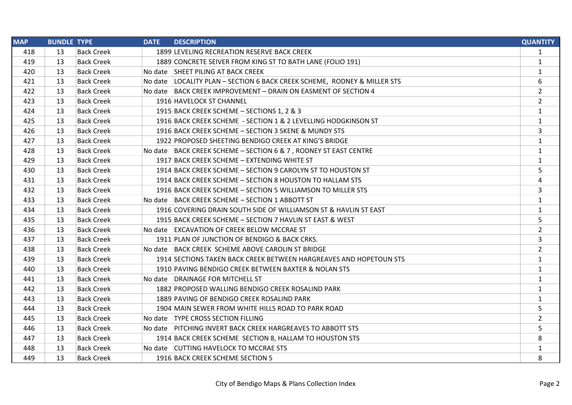| <b>MAP</b> | <b>BUNDLE TYPE</b> |                   | <b>DATE</b> | <b>DESCRIPTION</b>                                                       | <b>QUANTITY</b> |
|------------|--------------------|-------------------|-------------|--------------------------------------------------------------------------|-----------------|
| 418        | 13                 | <b>Back Creek</b> |             | 1899 LEVELING RECREATION RESERVE BACK CREEK                              | 1               |
| 419        | 13                 | <b>Back Creek</b> |             | 1889 CONCRETE SEIVER FROM KING ST TO BATH LANE (FOLIO 191)               | $\mathbf{1}$    |
| 420        | 13                 | <b>Back Creek</b> |             | No date SHEET PILING AT BACK CREEK                                       | $\mathbf{1}$    |
| 421        | 13                 | <b>Back Creek</b> |             | No date LOCALITY PLAN - SECTION 6 BACK CREEK SCHEME, RODNEY & MILLER STS | 6               |
| 422        | 13                 | <b>Back Creek</b> |             | No date BACK CREEK IMPROVEMENT - DRAIN ON EASMENT OF SECTION 4           | $\overline{2}$  |
| 423        | 13                 | <b>Back Creek</b> |             | 1916 HAVELOCK ST CHANNEL                                                 | $\overline{2}$  |
| 424        | 13                 | <b>Back Creek</b> |             | 1915 BACK CREEK SCHEME - SECTIONS 1, 2 & 3                               | 1               |
| 425        | 13                 | <b>Back Creek</b> |             | 1916 BACK CREEK SCHEME - SECTION 1 & 2 LEVELLING HODGKINSON ST           | $\mathbf{1}$    |
| 426        | 13                 | <b>Back Creek</b> |             | 1916 BACK CREEK SCHEME - SECTION 3 SKENE & MUNDY STS                     | 3               |
| 427        | 13                 | <b>Back Creek</b> |             | 1922 PROPOSED SHEETING BENDIGO CREEK AT KING'S BRIDGE                    | $\mathbf{1}$    |
| 428        | 13                 | <b>Back Creek</b> |             | No date   BACK CREEK SCHEME - SECTION 6 & 7, RODNEY ST EAST CENTRE       | 1               |
| 429        | 13                 | <b>Back Creek</b> |             | 1917 BACK CREEK SCHEME - EXTENDING WHITE ST                              | 1               |
| 430        | 13                 | <b>Back Creek</b> |             | 1914 BACK CREEK SCHEME - SECTION 9 CAROLYN ST TO HOUSTON ST              | 5               |
| 431        | 13                 | <b>Back Creek</b> |             | 1914 BACK CREEK SCHEME - SECTION 8 HOUSTON TO HALLAM STS                 | 4               |
| 432        | 13                 | <b>Back Creek</b> |             | 1916 BACK CREEK SCHEME - SECTION 5 WILLIAMSON TO MILLER STS              | 3               |
| 433        | 13                 | <b>Back Creek</b> |             | No date BACK CREEK SCHEME - SECTION 1 ABBOTT ST                          | 1               |
| 434        | 13                 | <b>Back Creek</b> |             | 1916 COVERING DRAIN SOUTH SIDE OF WILLIAMSON ST & HAVLIN ST EAST         | 1               |
| 435        | 13                 | <b>Back Creek</b> |             | 1915 BACK CREEK SCHEME - SECTION 7 HAVLIN ST EAST & WEST                 | 5               |
| 436        | 13                 | <b>Back Creek</b> |             | No date EXCAVATION OF CREEK BELOW MCCRAE ST                              | $\overline{2}$  |
| 437        | 13                 | <b>Back Creek</b> |             | 1911 PLAN OF JUNCTION OF BENDIGO & BACK CRKS.                            | 3               |
| 438        | 13                 | <b>Back Creek</b> |             | No date BACK CREEK SCHEME ABOVE CAROLIN ST BRIDGE                        | $\overline{2}$  |
| 439        | 13                 | <b>Back Creek</b> |             | 1914 SECTIONS TAKEN BACK CREEK BETWEEN HARGREAVES AND HOPETOUN STS       | $\mathbf{1}$    |
| 440        | 13                 | <b>Back Creek</b> |             | 1910 PAVING BENDIGO CREEK BETWEEN BAXTER & NOLAN STS                     | 1               |
| 441        | 13                 | <b>Back Creek</b> |             | No date DRAINAGE FOR MITCHELL ST                                         | $\mathbf{1}$    |
| 442        | 13                 | <b>Back Creek</b> |             | 1882 PROPOSED WALLING BENDIGO CREEK ROSALIND PARK                        | $\mathbf{1}$    |
| 443        | 13                 | <b>Back Creek</b> |             | 1889 PAVING OF BENDIGO CREEK ROSALIND PARK                               | $\mathbf{1}$    |
| 444        | 13                 | <b>Back Creek</b> |             | 1904 MAIN SEWER FROM WHITE HILLS ROAD TO PARK ROAD                       | 5               |
| 445        | 13                 | <b>Back Creek</b> |             | No date   TYPE CROSS SECTION FILLING                                     | $\overline{2}$  |
| 446        | 13                 | <b>Back Creek</b> |             | No date PITCHING INVERT BACK CREEK HARGREAVES TO ABBOTT STS              | 5               |
| 447        | 13                 | <b>Back Creek</b> |             | 1914 BACK CREEK SCHEME SECTION 8, HALLAM TO HOUSTON STS                  | 8               |
| 448        | 13                 | <b>Back Creek</b> |             | No date CUTTING HAVELOCK TO MCCRAE STS                                   | 1               |
| 449        | 13                 | <b>Back Creek</b> |             | 1916 BACK CREEK SCHEME SECTION 5                                         | 8               |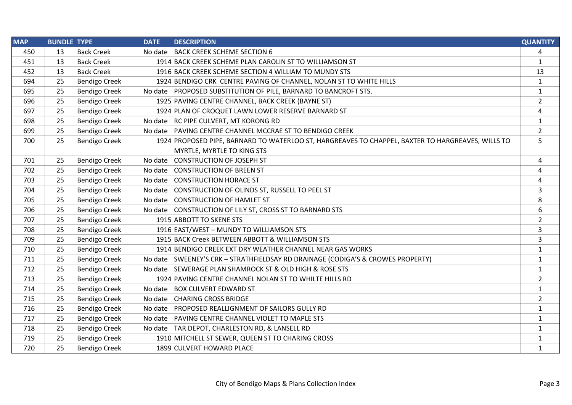| <b>MAP</b> | <b>BUNDLE TYPE</b> |                      | <b>DATE</b> | <b>DESCRIPTION</b>                                                                                | <b>QUANTITY</b> |
|------------|--------------------|----------------------|-------------|---------------------------------------------------------------------------------------------------|-----------------|
| 450        | 13                 | <b>Back Creek</b>    | No date     | <b>BACK CREEK SCHEME SECTION 6</b>                                                                | 4               |
| 451        | 13                 | <b>Back Creek</b>    |             | 1914 BACK CREEK SCHEME PLAN CAROLIN ST TO WILLIAMSON ST                                           | $\mathbf{1}$    |
| 452        | 13                 | <b>Back Creek</b>    |             | 1916 BACK CREEK SCHEME SECTION 4 WILLIAM TO MUNDY STS                                             | 13              |
| 694        | 25                 | <b>Bendigo Creek</b> |             | 1924 BENDIGO CRK CENTRE PAVING OF CHANNEL, NOLAN ST TO WHITE HILLS                                | $\mathbf{1}$    |
| 695        | 25                 | <b>Bendigo Creek</b> |             | No date PROPOSED SUBSTITUTION OF PILE, BARNARD TO BANCROFT STS.                                   | $\mathbf{1}$    |
| 696        | 25                 | <b>Bendigo Creek</b> |             | 1925 PAVING CENTRE CHANNEL, BACK CREEK (BAYNE ST)                                                 | $\overline{2}$  |
| 697        | 25                 | <b>Bendigo Creek</b> |             | 1924 PLAN OF CROQUET LAWN LOWER RESERVE BARNARD ST                                                | 4               |
| 698        | 25                 | <b>Bendigo Creek</b> |             | No date RC PIPE CULVERT, MT KORONG RD                                                             | $\mathbf{1}$    |
| 699        | 25                 | <b>Bendigo Creek</b> |             | No date PAVING CENTRE CHANNEL MCCRAE ST TO BENDIGO CREEK                                          | $\overline{2}$  |
| 700        | 25                 | <b>Bendigo Creek</b> |             | 1924 PROPOSED PIPE, BARNARD TO WATERLOO ST, HARGREAVES TO CHAPPEL, BAXTER TO HARGREAVES, WILLS TO | 5               |
|            |                    |                      |             | MYRTLE, MYRTLE TO KING STS                                                                        |                 |
| 701        | 25                 | <b>Bendigo Creek</b> | No date     | CONSTRUCTION OF JOSEPH ST                                                                         | 4               |
| 702        | 25                 | <b>Bendigo Creek</b> |             | No date CONSTRUCTION OF BREEN ST                                                                  | 4               |
| 703        | 25                 | <b>Bendigo Creek</b> |             | No date CONSTRUCTION HORACE ST                                                                    | 4               |
| 704        | 25                 | <b>Bendigo Creek</b> |             | No date CONSTRUCTION OF OLINDS ST, RUSSELL TO PEEL ST                                             | 3               |
| 705        | 25                 | <b>Bendigo Creek</b> |             | No date CONSTRUCTION OF HAMLET ST                                                                 | 8               |
| 706        | 25                 | <b>Bendigo Creek</b> |             | No date CONSTRUCTION OF LILY ST, CROSS ST TO BARNARD STS                                          | 6               |
| 707        | 25                 | <b>Bendigo Creek</b> |             | 1915 ABBOTT TO SKENE STS                                                                          | $\overline{2}$  |
| 708        | 25                 | <b>Bendigo Creek</b> |             | 1916 EAST/WEST - MUNDY TO WILLIAMSON STS                                                          | 3               |
| 709        | 25                 | <b>Bendigo Creek</b> |             | 1915 BACK Creek BETWEEN ABBOTT & WILLIAMSON STS                                                   | 3               |
| 710        | 25                 | <b>Bendigo Creek</b> |             | 1914 BENDIGO CREEK EXT DRY WEATHER CHANNEL NEAR GAS WORKS                                         | $\mathbf{1}$    |
| 711        | 25                 | <b>Bendigo Creek</b> |             | No date SWEENEY'S CRK - STRATHFIELDSAY RD DRAINAGE (CODIGA'S & CROWES PROPERTY)                   | $\mathbf{1}$    |
| 712        | 25                 | <b>Bendigo Creek</b> |             | No date SEWERAGE PLAN SHAMROCK ST & OLD HIGH & ROSE STS                                           | $\mathbf{1}$    |
| 713        | 25                 | <b>Bendigo Creek</b> |             | 1924 PAVING CENTRE CHANNEL NOLAN ST TO WHILTE HILLS RD                                            | $\overline{2}$  |
| 714        | 25                 | <b>Bendigo Creek</b> | No date     | <b>BOX CULVERT EDWARD ST</b>                                                                      | $\mathbf{1}$    |
| 715        | 25                 | <b>Bendigo Creek</b> |             | No date CHARING CROSS BRIDGE                                                                      | $\overline{2}$  |
| 716        | 25                 | <b>Bendigo Creek</b> |             | No date PROPOSED REALLIGNMENT OF SAILORS GULLY RD                                                 | $\mathbf{1}$    |
| 717        | 25                 | <b>Bendigo Creek</b> | No date     | <b>PAVING CENTRE CHANNEL VIOLET TO MAPLE STS</b>                                                  | $\mathbf{1}$    |
| 718        | 25                 | <b>Bendigo Creek</b> |             | No date   TAR DEPOT, CHARLESTON RD, & LANSELL RD                                                  | $\mathbf{1}$    |
| 719        | 25                 | <b>Bendigo Creek</b> |             | 1910 MITCHELL ST SEWER, QUEEN ST TO CHARING CROSS                                                 | $\mathbf{1}$    |
| 720        | 25                 | <b>Bendigo Creek</b> |             | 1899 CULVERT HOWARD PLACE                                                                         | $\mathbf{1}$    |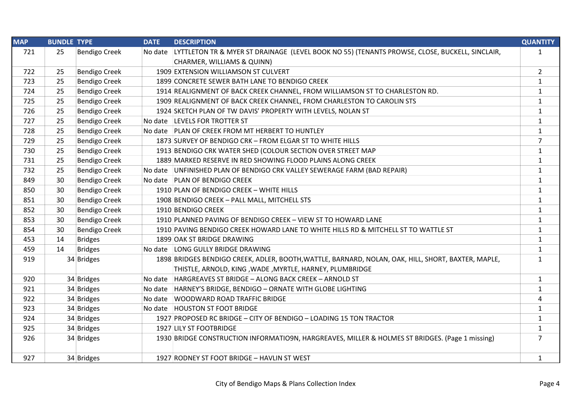| <b>MAP</b> | <b>BUNDLE TYPE</b> |                      | <b>DATE</b> | <b>DESCRIPTION</b>                                                                                 | <b>QUANTITY</b> |
|------------|--------------------|----------------------|-------------|----------------------------------------------------------------------------------------------------|-----------------|
| 721        | 25                 | <b>Bendigo Creek</b> | No date     | LYTTLETON TR & MYER ST DRAINAGE (LEVEL BOOK NO 55) (TENANTS PROWSE, CLOSE, BUCKELL, SINCLAIR,      | $\mathbf{1}$    |
|            |                    |                      |             | CHARMER, WILLIAMS & QUINN)                                                                         |                 |
| 722        | 25                 | <b>Bendigo Creek</b> |             | 1909 EXTENSION WILLIAMSON ST CULVERT                                                               | $\overline{2}$  |
| 723        | 25                 | <b>Bendigo Creek</b> |             | 1899 CONCRETE SEWER BATH LANE TO BENDIGO CREEK                                                     | $\mathbf{1}$    |
| 724        | 25                 | <b>Bendigo Creek</b> |             | 1914 REALIGNMENT OF BACK CREEK CHANNEL, FROM WILLIAMSON ST TO CHARLESTON RD.                       | $\mathbf{1}$    |
| 725        | 25                 | <b>Bendigo Creek</b> |             | 1909 REALIGNMENT OF BACK CREEK CHANNEL, FROM CHARLESTON TO CAROLIN STS                             | $\mathbf{1}$    |
| 726        | 25                 | <b>Bendigo Creek</b> |             | 1924 SKETCH PLAN OF TW DAVIS' PROPERTY WITH LEVELS, NOLAN ST                                       | $\mathbf{1}$    |
| 727        | 25                 | <b>Bendigo Creek</b> |             | No date LEVELS FOR TROTTER ST                                                                      | $\mathbf{1}$    |
| 728        | 25                 | <b>Bendigo Creek</b> |             | No date PLAN OF CREEK FROM MT HERBERT TO HUNTLEY                                                   | $\mathbf{1}$    |
| 729        | 25                 | <b>Bendigo Creek</b> |             | 1873 SURVEY OF BENDIGO CRK - FROM ELGAR ST TO WHITE HILLS                                          | $\overline{7}$  |
| 730        | 25                 | <b>Bendigo Creek</b> |             | 1913 BENDIGO CRK WATER SHED (COLOUR SECTION OVER STREET MAP                                        | $\mathbf{1}$    |
| 731        | 25                 | <b>Bendigo Creek</b> |             | 1889 MARKED RESERVE IN RED SHOWING FLOOD PLAINS ALONG CREEK                                        | $\mathbf{1}$    |
| 732        | 25                 | <b>Bendigo Creek</b> |             | No date UNFINISHED PLAN OF BENDIGO CRK VALLEY SEWERAGE FARM (BAD REPAIR)                           | $\mathbf{1}$    |
| 849        | 30                 | <b>Bendigo Creek</b> |             | No date PLAN OF BENDIGO CREEK                                                                      | $\mathbf{1}$    |
| 850        | 30                 | <b>Bendigo Creek</b> |             | 1910 PLAN OF BENDIGO CREEK - WHITE HILLS                                                           | $\mathbf{1}$    |
| 851        | 30                 | <b>Bendigo Creek</b> |             | 1908 BENDIGO CREEK - PALL MALL, MITCHELL STS                                                       | $\mathbf{1}$    |
| 852        | 30                 | <b>Bendigo Creek</b> |             | 1910 BENDIGO CREEK                                                                                 | $\mathbf{1}$    |
| 853        | 30                 | <b>Bendigo Creek</b> |             | 1910 PLANNED PAVING OF BENDIGO CREEK - VIEW ST TO HOWARD LANE                                      | $\mathbf{1}$    |
| 854        | 30                 | <b>Bendigo Creek</b> |             | 1910 PAVING BENDIGO CREEK HOWARD LANE TO WHITE HILLS RD & MITCHELL ST TO WATTLE ST                 | $\mathbf{1}$    |
| 453        | 14                 | <b>Bridges</b>       |             | 1899 OAK ST BRIDGE DRAWING                                                                         | $\mathbf{1}$    |
| 459        | 14                 | <b>Bridges</b>       |             | No date LONG GULLY BRIDGE DRAWING                                                                  | $\mathbf{1}$    |
| 919        |                    | 34 Bridges           |             | 1898 BRIDGES BENDIGO CREEK, ADLER, BOOTH, WATTLE, BARNARD, NOLAN, OAK, HILL, SHORT, BAXTER, MAPLE, | $\mathbf{1}$    |
|            |                    |                      |             | THISTLE, ARNOLD, KING, WADE, MYRTLE, HARNEY, PLUMBRIDGE                                            |                 |
| 920        |                    | 34 Bridges           |             | No date HARGREAVES ST BRIDGE - ALONG BACK CREEK - ARNOLD ST                                        | $\mathbf{1}$    |
| 921        |                    | 34 Bridges           | No date     | HARNEY'S BRIDGE, BENDIGO - ORNATE WITH GLOBE LIGHTING                                              | $\mathbf{1}$    |
| 922        |                    | 34 Bridges           |             | No date WOODWARD ROAD TRAFFIC BRIDGE                                                               | 4               |
| 923        |                    | 34 Bridges           |             | No date HOUSTON ST FOOT BRIDGE                                                                     | $\mathbf{1}$    |
| 924        |                    | 34 Bridges           |             | 1927 PROPOSED RC BRIDGE - CITY OF BENDIGO - LOADING 15 TON TRACTOR                                 | $\mathbf{1}$    |
| 925        |                    | 34 Bridges           |             | 1927 LILY ST FOOTBRIDGE                                                                            | $\mathbf{1}$    |
| 926        |                    | 34 Bridges           |             | 1930 BRIDGE CONSTRUCTION INFORMATIO9N, HARGREAVES, MILLER & HOLMES ST BRIDGES. (Page 1 missing)    | $\overline{7}$  |
| 927        |                    | 34 Bridges           |             | 1927 RODNEY ST FOOT BRIDGE - HAVLIN ST WEST                                                        | $\mathbf{1}$    |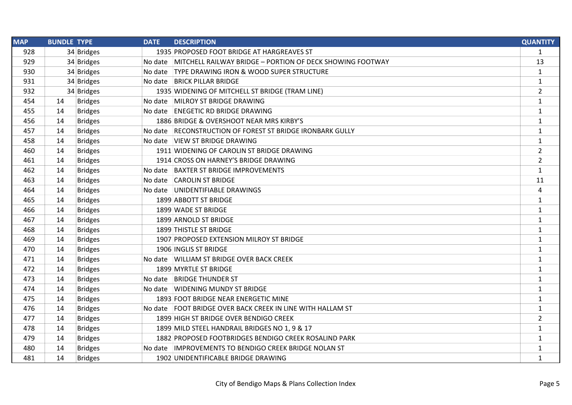| <b>MAP</b> | <b>BUNDLE TYPE</b> |                | <b>DATE</b> | <b>DESCRIPTION</b>                                                | <b>QUANTITY</b> |
|------------|--------------------|----------------|-------------|-------------------------------------------------------------------|-----------------|
| 928        |                    | 34 Bridges     |             | 1935 PROPOSED FOOT BRIDGE AT HARGREAVES ST                        | $\mathbf{1}$    |
| 929        |                    | 34 Bridges     |             | No date MITCHELL RAILWAY BRIDGE - PORTION OF DECK SHOWING FOOTWAY | 13              |
| 930        |                    | 34 Bridges     |             | No date TYPE DRAWING IRON & WOOD SUPER STRUCTURE                  | $\mathbf{1}$    |
| 931        |                    | 34 Bridges     |             | No date BRICK PILLAR BRIDGE                                       | $\mathbf{1}$    |
| 932        |                    | 34 Bridges     |             | 1935 WIDENING OF MITCHELL ST BRIDGE (TRAM LINE)                   | $\overline{2}$  |
| 454        | 14                 | <b>Bridges</b> |             | No date MILROY ST BRIDGE DRAWING                                  | $\mathbf{1}$    |
| 455        | 14                 | <b>Bridges</b> |             | No date ENEGETIC RD BRIDGE DRAWING                                | $\mathbf{1}$    |
| 456        | 14                 | <b>Bridges</b> |             | 1886 BRIDGE & OVERSHOOT NEAR MRS KIRBY'S                          | $\mathbf{1}$    |
| 457        | 14                 | <b>Bridges</b> |             | No date RECONSTRUCTION OF FOREST ST BRIDGE IRONBARK GULLY         | $\mathbf{1}$    |
| 458        | 14                 | <b>Bridges</b> |             | No date VIEW ST BRIDGE DRAWING                                    | $\mathbf{1}$    |
| 460        | 14                 | <b>Bridges</b> |             | 1911 WIDENING OF CAROLIN ST BRIDGE DRAWING                        | $\overline{2}$  |
| 461        | 14                 | <b>Bridges</b> |             | 1914 CROSS ON HARNEY'S BRIDGE DRAWING                             | $\overline{2}$  |
| 462        | 14                 | <b>Bridges</b> |             | No date BAXTER ST BRIDGE IMPROVEMENTS                             | $\mathbf{1}$    |
| 463        | 14                 | <b>Bridges</b> |             | No date CAROLIN ST BRIDGE                                         | 11              |
| 464        | 14                 | <b>Bridges</b> |             | No date UNIDENTIFIABLE DRAWINGS                                   | 4               |
| 465        | 14                 | <b>Bridges</b> |             | 1899 ABBOTT ST BRIDGE                                             | $\mathbf{1}$    |
| 466        | 14                 | <b>Bridges</b> |             | 1899 WADE ST BRIDGE                                               | $\mathbf{1}$    |
| 467        | 14                 | <b>Bridges</b> |             | 1899 ARNOLD ST BRIDGE                                             | $\mathbf{1}$    |
| 468        | 14                 | <b>Bridges</b> |             | 1899 THISTLE ST BRIDGE                                            | $\mathbf{1}$    |
| 469        | 14                 | <b>Bridges</b> |             | 1907 PROPOSED EXTENSION MILROY ST BRIDGE                          | $\mathbf{1}$    |
| 470        | 14                 | <b>Bridges</b> |             | 1906 INGLIS ST BRIDGE                                             | $\mathbf{1}$    |
| 471        | 14                 | <b>Bridges</b> |             | No date WILLIAM ST BRIDGE OVER BACK CREEK                         | $\mathbf{1}$    |
| 472        | 14                 | <b>Bridges</b> |             | 1899 MYRTLE ST BRIDGE                                             | $\mathbf{1}$    |
| 473        | 14                 | <b>Bridges</b> |             | No date BRIDGE THUNDER ST                                         | $\mathbf{1}$    |
| 474        | 14                 | <b>Bridges</b> |             | No date WIDENING MUNDY ST BRIDGE                                  | $\mathbf{1}$    |
| 475        | 14                 | <b>Bridges</b> |             | 1893 FOOT BRIDGE NEAR ENERGETIC MINE                              | $\mathbf{1}$    |
| 476        | 14                 | <b>Bridges</b> |             | No date FOOT BRIDGE OVER BACK CREEK IN LINE WITH HALLAM ST        | $\mathbf{1}$    |
| 477        | 14                 | <b>Bridges</b> |             | 1899 HIGH ST BRIDGE OVER BENDIGO CREEK                            | $\overline{2}$  |
| 478        | 14                 | <b>Bridges</b> |             | 1899 MILD STEEL HANDRAIL BRIDGES NO 1, 9 & 17                     | $\mathbf{1}$    |
| 479        | 14                 | <b>Bridges</b> |             | 1882 PROPOSED FOOTBRIDGES BENDIGO CREEK ROSALIND PARK             | $\mathbf{1}$    |
| 480        | 14                 | <b>Bridges</b> |             | No date IMPROVEMENTS TO BENDIGO CREEK BRIDGE NOLAN ST             | $\mathbf{1}$    |
| 481        | 14                 | <b>Bridges</b> |             | 1902 UNIDENTIFICABLE BRIDGE DRAWING                               | $\mathbf{1}$    |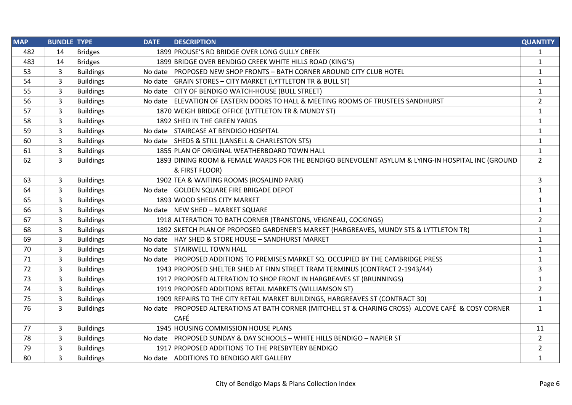| <b>MAP</b> | <b>BUNDLE TYPE</b> |                  | <b>DATE</b> | <b>DESCRIPTION</b>                                                                                  | <b>QUANTITY</b> |
|------------|--------------------|------------------|-------------|-----------------------------------------------------------------------------------------------------|-----------------|
| 482        | 14                 | <b>Bridges</b>   |             | 1899 PROUSE'S RD BRIDGE OVER LONG GULLY CREEK                                                       | 1               |
| 483        | 14                 | <b>Bridges</b>   |             | 1899 BRIDGE OVER BENDIGO CREEK WHITE HILLS ROAD (KING'S)                                            | $\mathbf{1}$    |
| 53         | 3                  | <b>Buildings</b> |             | No date PROPOSED NEW SHOP FRONTS - BATH CORNER AROUND CITY CLUB HOTEL                               | $\mathbf{1}$    |
| 54         | 3                  | <b>Buildings</b> |             | No date GRAIN STORES - CITY MARKET (LYTTLETON TR & BULL ST)                                         | $\mathbf{1}$    |
| 55         | 3                  | <b>Buildings</b> |             | No date CITY OF BENDIGO WATCH-HOUSE (BULL STREET)                                                   | $\mathbf{1}$    |
| 56         | 3                  | <b>Buildings</b> |             | No date ELEVATION OF EASTERN DOORS TO HALL & MEETING ROOMS OF TRUSTEES SANDHURST                    | $\overline{2}$  |
| 57         | 3                  | <b>Buildings</b> |             | 1870 WEIGH BRIDGE OFFICE (LYTTLETON TR & MUNDY ST)                                                  | $\mathbf{1}$    |
| 58         | 3                  | <b>Buildings</b> |             | 1892 SHED IN THE GREEN YARDS                                                                        | $\mathbf{1}$    |
| 59         | 3                  | <b>Buildings</b> |             | No date STAIRCASE AT BENDIGO HOSPITAL                                                               | $\mathbf{1}$    |
| 60         | 3                  | <b>Buildings</b> |             | No date SHEDS & STILL (LANSELL & CHARLESTON STS)                                                    | $\mathbf{1}$    |
| 61         | 3                  | <b>Buildings</b> |             | 1855 PLAN OF ORIGINAL WEATHERBOARD TOWN HALL                                                        | $\mathbf{1}$    |
| 62         | 3                  | <b>Buildings</b> |             | 1893 DINING ROOM & FEMALE WARDS FOR THE BENDIGO BENEVOLENT ASYLUM & LYING-IN HOSPITAL INC (GROUND   | $\overline{2}$  |
|            |                    |                  |             | & FIRST FLOOR)                                                                                      |                 |
| 63         | 3                  | <b>Buildings</b> |             | 1902 TEA & WAITING ROOMS (ROSALIND PARK)                                                            | 3               |
| 64         | 3                  | <b>Buildings</b> |             | No date GOLDEN SQUARE FIRE BRIGADE DEPOT                                                            |                 |
| 65         | 3                  | <b>Buildings</b> |             | 1893 WOOD SHEDS CITY MARKET                                                                         | $\mathbf{1}$    |
| 66         | 3                  | <b>Buildings</b> |             | No date NEW SHED - MARKET SQUARE                                                                    | $\mathbf{1}$    |
| 67         | 3                  | <b>Buildings</b> |             | 1918 ALTERATION TO BATH CORNER (TRANSTONS, VEIGNEAU, COCKINGS)                                      | $\overline{2}$  |
| 68         | 3                  | <b>Buildings</b> |             | 1892 SKETCH PLAN OF PROPOSED GARDENER'S MARKET (HARGREAVES, MUNDY STS & LYTTLETON TR)               | $\mathbf{1}$    |
| 69         | 3                  | <b>Buildings</b> |             | No date   HAY SHED & STORE HOUSE - SANDHURST MARKET                                                 | $\mathbf{1}$    |
| 70         | 3                  | <b>Buildings</b> |             | No date STAIRWELL TOWN HALL                                                                         | $\mathbf{1}$    |
| 71         | 3                  | <b>Buildings</b> |             | No date PROPOSED ADDITIONS TO PREMISES MARKET SQ. OCCUPIED BY THE CAMBRIDGE PRESS                   | $\mathbf{1}$    |
| 72         | 3                  | <b>Buildings</b> |             | 1943 PROPOSED SHELTER SHED AT FINN STREET TRAM TERMINUS (CONTRACT 2-1943/44)                        | 3               |
| 73         | 3                  | <b>Buildings</b> |             | 1917 PROPOSED ALTERATION TO SHOP FRONT IN HARGREAVES ST (BRUNNINGS)                                 | $\mathbf{1}$    |
| 74         | 3                  | <b>Buildings</b> |             | 1919 PROPOSED ADDITIONS RETAIL MARKETS (WILLIAMSON ST)                                              | $\overline{2}$  |
| 75         | 3                  | <b>Buildings</b> |             | 1909 REPAIRS TO THE CITY RETAIL MARKET BUILDINGS, HARGREAVES ST (CONTRACT 30)                       | $\mathbf{1}$    |
| 76         | 3                  | <b>Buildings</b> |             | No date PROPOSED ALTERATIONS AT BATH CORNER (MITCHELL ST & CHARING CROSS) ALCOVE CAFÉ & COSY CORNER | $\mathbf{1}$    |
|            |                    |                  |             | <b>CAFÉ</b>                                                                                         |                 |
| 77         | 3                  | <b>Buildings</b> |             | 1945 HOUSING COMMISSION HOUSE PLANS                                                                 | 11              |
| 78         | 3                  | <b>Buildings</b> |             | No date PROPOSED SUNDAY & DAY SCHOOLS - WHITE HILLS BENDIGO - NAPIER ST                             | $\overline{2}$  |
| 79         | 3                  | <b>Buildings</b> |             | 1917 PROPOSED ADDITIONS TO THE PRESBYTERY BENDIGO                                                   | $\overline{2}$  |
| 80         | 3                  | <b>Buildings</b> |             | No date ADDITIONS TO BENDIGO ART GALLERY                                                            | $\mathbf{1}$    |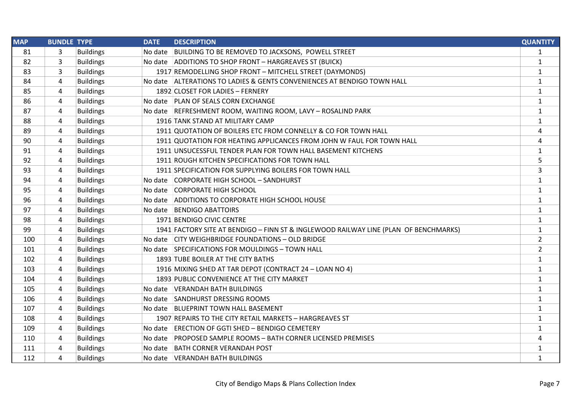| <b>MAP</b> | <b>BUNDLE TYPE</b> |                  | <b>DATE</b> | <b>DESCRIPTION</b>                                                                   | <b>QUANTITY</b> |
|------------|--------------------|------------------|-------------|--------------------------------------------------------------------------------------|-----------------|
| 81         | 3                  | <b>Buildings</b> | No date     | BUILDING TO BE REMOVED TO JACKSONS, POWELL STREET                                    | $\mathbf{1}$    |
| 82         | 3                  | <b>Buildings</b> |             | No date ADDITIONS TO SHOP FRONT - HARGREAVES ST (BUICK)                              | $\mathbf{1}$    |
| 83         | 3                  | <b>Buildings</b> |             | 1917 REMODELLING SHOP FRONT - MITCHELL STREET (DAYMONDS)                             | $\mathbf{1}$    |
| 84         | 4                  | <b>Buildings</b> |             | No date ALTERATIONS TO LADIES & GENTS CONVENIENCES AT BENDIGO TOWN HALL              | $\mathbf{1}$    |
| 85         | 4                  | <b>Buildings</b> |             | 1892 CLOSET FOR LADIES - FERNERY                                                     | $\mathbf{1}$    |
| 86         | 4                  | <b>Buildings</b> |             | No date PLAN OF SEALS CORN EXCHANGE                                                  | $\mathbf{1}$    |
| 87         | 4                  | <b>Buildings</b> |             | No date REFRESHMENT ROOM, WAITING ROOM, LAVY - ROSALIND PARK                         | $\mathbf{1}$    |
| 88         | 4                  | <b>Buildings</b> |             | 1916 TANK STAND AT MILITARY CAMP                                                     | $\mathbf{1}$    |
| 89         | 4                  | <b>Buildings</b> |             | 1911 QUOTATION OF BOILERS ETC FROM CONNELLY & CO FOR TOWN HALL                       | 4               |
| 90         | 4                  | <b>Buildings</b> |             | 1911 QUOTATION FOR HEATING APPLICANCES FROM JOHN W FAUL FOR TOWN HALL                | 4               |
| 91         | 4                  | <b>Buildings</b> |             | 1911 UNSUCESSFUL TENDER PLAN FOR TOWN HALL BASEMENT KITCHENS                         | $\mathbf{1}$    |
| 92         | 4                  | <b>Buildings</b> |             | 1911 ROUGH KITCHEN SPECIFICATIONS FOR TOWN HALL                                      | 5               |
| 93         | 4                  | <b>Buildings</b> |             | 1911 SPECIFICATION FOR SUPPLYING BOILERS FOR TOWN HALL                               | $\overline{3}$  |
| 94         | 4                  | <b>Buildings</b> |             | No date CORPORATE HIGH SCHOOL - SANDHURST                                            | $\mathbf{1}$    |
| 95         | 4                  | <b>Buildings</b> |             | No date CORPORATE HIGH SCHOOL                                                        | $\mathbf{1}$    |
| 96         | 4                  | <b>Buildings</b> |             | No date ADDITIONS TO CORPORATE HIGH SCHOOL HOUSE                                     | $\mathbf{1}$    |
| 97         | 4                  | <b>Buildings</b> |             | No date BENDIGO ABATTOIRS                                                            | $\mathbf{1}$    |
| 98         | 4                  | <b>Buildings</b> |             | 1971 BENDIGO CIVIC CENTRE                                                            | $\mathbf{1}$    |
| 99         | 4                  | <b>Buildings</b> |             | 1941 FACTORY SITE AT BENDIGO - FINN ST & INGLEWOOD RAILWAY LINE (PLAN OF BENCHMARKS) | $\mathbf{1}$    |
| 100        | 4                  | <b>Buildings</b> |             | No date CITY WEIGHBRIDGE FOUNDATIONS - OLD BRIDGE                                    | $\overline{2}$  |
| 101        | 4                  | <b>Buildings</b> |             | No date SPECIFICATIONS FOR MOULDINGS - TOWN HALL                                     | $\overline{2}$  |
| 102        | 4                  | <b>Buildings</b> |             | 1893 TUBE BOILER AT THE CITY BATHS                                                   | $\mathbf{1}$    |
| 103        | 4                  | <b>Buildings</b> |             | 1916 MIXING SHED AT TAR DEPOT (CONTRACT 24 - LOAN NO 4)                              | $\mathbf{1}$    |
| 104        | 4                  | <b>Buildings</b> |             | 1893 PUBLIC CONVENIENCE AT THE CITY MARKET                                           | $\mathbf{1}$    |
| 105        | 4                  | <b>Buildings</b> |             | No date VERANDAH BATH BUILDINGS                                                      | $\mathbf{1}$    |
| 106        | 4                  | <b>Buildings</b> |             | No date SANDHURST DRESSING ROOMS                                                     | $\mathbf{1}$    |
| 107        | 4                  | <b>Buildings</b> |             | No date BLUEPRINT TOWN HALL BASEMENT                                                 | $\mathbf{1}$    |
| 108        | 4                  | <b>Buildings</b> |             | 1907 REPAIRS TO THE CITY RETAIL MARKETS - HARGREAVES ST                              | $\mathbf{1}$    |
| 109        | 4                  | <b>Buildings</b> |             | No date ERECTION OF GGTI SHED - BENDIGO CEMETERY                                     | $\mathbf{1}$    |
| 110        | 4                  | <b>Buildings</b> |             | No date PROPOSED SAMPLE ROOMS - BATH CORNER LICENSED PREMISES                        | 4               |
| 111        | 4                  | <b>Buildings</b> |             | No date BATH CORNER VERANDAH POST                                                    | $\mathbf{1}$    |
| 112        | 4                  | <b>Buildings</b> |             | No date VERANDAH BATH BUILDINGS                                                      | $\mathbf{1}$    |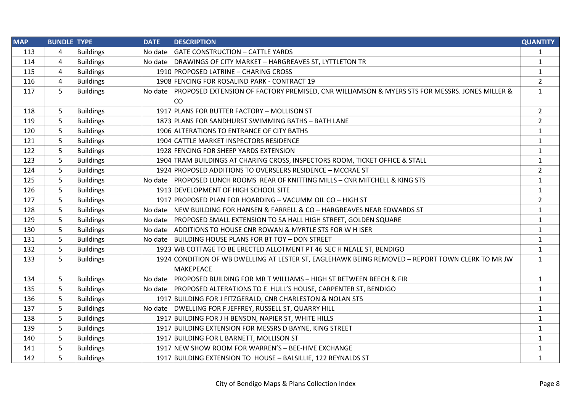| <b>MAP</b> | <b>BUNDLE TYPE</b> |                  | <b>DATE</b> | <b>DESCRIPTION</b>                                                                                    | <b>QUANTITY</b> |
|------------|--------------------|------------------|-------------|-------------------------------------------------------------------------------------------------------|-----------------|
| 113        | 4                  | <b>Buildings</b> |             | No date GATE CONSTRUCTION - CATTLE YARDS                                                              | $\mathbf{1}$    |
| 114        | 4                  | <b>Buildings</b> |             | No date DRAWINGS OF CITY MARKET - HARGREAVES ST, LYTTLETON TR                                         | $\mathbf{1}$    |
| 115        | 4                  | <b>Buildings</b> |             | 1910 PROPOSED LATRINE - CHARING CROSS                                                                 | $\mathbf{1}$    |
| 116        | 4                  | <b>Buildings</b> |             | 1908 FENCING FOR ROSALIND PARK - CONTRACT 19                                                          | $\overline{2}$  |
| 117        | 5                  | <b>Buildings</b> |             | No date PROPOSED EXTENSION OF FACTORY PREMISED, CNR WILLIAMSON & MYERS STS FOR MESSRS. JONES MILLER & | $\mathbf{1}$    |
|            |                    |                  |             | <b>CO</b>                                                                                             |                 |
| 118        | 5                  | <b>Buildings</b> |             | 1917 PLANS FOR BUTTER FACTORY - MOLLISON ST                                                           | $\overline{2}$  |
| 119        | 5                  | <b>Buildings</b> |             | 1873 PLANS FOR SANDHURST SWIMMING BATHS - BATH LANE                                                   | $\overline{2}$  |
| 120        | 5                  | <b>Buildings</b> |             | 1906 ALTERATIONS TO ENTRANCE OF CITY BATHS                                                            | $\mathbf{1}$    |
| 121        | 5                  | <b>Buildings</b> |             | 1904 CATTLE MARKET INSPECTORS RESIDENCE                                                               | $\mathbf{1}$    |
| 122        | 5                  | <b>Buildings</b> |             | 1928 FENCING FOR SHEEP YARDS EXTENSION                                                                | $\mathbf{1}$    |
| 123        | 5                  | <b>Buildings</b> |             | 1904 TRAM BUILDINGS AT CHARING CROSS, INSPECTORS ROOM, TICKET OFFICE & STALL                          | $\mathbf{1}$    |
| 124        | 5                  | <b>Buildings</b> |             | 1924 PROPOSED ADDITIONS TO OVERSEERS RESIDENCE - MCCRAE ST                                            | $\overline{2}$  |
| 125        | 5                  | <b>Buildings</b> |             | No date PROPOSED LUNCH ROOMS REAR OF KNITTING MILLS - CNR MITCHELL & KING STS                         | $\mathbf{1}$    |
| 126        | 5                  | <b>Buildings</b> |             | 1913 DEVELOPMENT OF HIGH SCHOOL SITE                                                                  | $\mathbf{1}$    |
| 127        | 5                  | <b>Buildings</b> |             | 1917 PROPOSED PLAN FOR HOARDING - VACUMM OIL CO - HIGH ST                                             | $\overline{2}$  |
| 128        | 5                  | <b>Buildings</b> |             | No date NEW BUILDING FOR HANSEN & FARRELL & CO - HARGREAVES NEAR EDWARDS ST                           | $\mathbf{1}$    |
| 129        | 5                  | <b>Buildings</b> |             | No date PROPOSED SMALL EXTENSION TO SA HALL HIGH STREET, GOLDEN SQUARE                                | $\mathbf{1}$    |
| 130        | 5                  | <b>Buildings</b> |             | No date ADDITIONS TO HOUSE CNR ROWAN & MYRTLE STS FOR WHISER                                          | $\mathbf{1}$    |
| 131        | 5                  | <b>Buildings</b> |             | No date BUILDING HOUSE PLANS FOR BT TOY - DON STREET                                                  | $\mathbf{1}$    |
| 132        | 5                  | <b>Buildings</b> |             | 1923 WB COTTAGE TO BE ERECTED ALLOTMENT PT 46 SEC H NEALE ST, BENDIGO                                 | $\mathbf{1}$    |
| 133        | 5                  | <b>Buildings</b> |             | 1924 CONDITION OF WB DWELLING AT LESTER ST, EAGLEHAWK BEING REMOVED - REPORT TOWN CLERK TO MR JW      | $\mathbf{1}$    |
|            |                    |                  |             | <b>MAKEPEACE</b>                                                                                      |                 |
| 134        | 5                  | <b>Buildings</b> |             | No date PROPOSED BUILDING FOR MR T WILLIAMS - HIGH ST BETWEEN BEECH & FIR                             | $\mathbf{1}$    |
| 135        | 5                  | <b>Buildings</b> |             | No date PROPOSED ALTERATIONS TO E HULL'S HOUSE, CARPENTER ST, BENDIGO                                 | $\mathbf{1}$    |
| 136        | 5                  | <b>Buildings</b> |             | 1917 BUILDING FOR J FITZGERALD, CNR CHARLESTON & NOLAN STS                                            | $\mathbf{1}$    |
| 137        | 5                  | <b>Buildings</b> |             | No date   DWELLING FOR F JEFFREY, RUSSELL ST, QUARRY HILL                                             | $\mathbf{1}$    |
| 138        | 5                  | <b>Buildings</b> |             | 1917 BUILDING FOR J H BENSON, NAPIER ST, WHITE HILLS                                                  | $\mathbf{1}$    |
| 139        | 5                  | <b>Buildings</b> |             | 1917 BUILDING EXTENSION FOR MESSRS D BAYNE, KING STREET                                               | $\mathbf{1}$    |
| 140        | 5                  | <b>Buildings</b> |             | 1917 BUILDING FOR L BARNETT, MOLLISON ST                                                              | $\mathbf{1}$    |
| 141        | 5                  | <b>Buildings</b> |             | 1917 NEW SHOW ROOM FOR WARREN'S - BEE-HIVE EXCHANGE                                                   | 1               |
| 142        | 5                  | <b>Buildings</b> |             | 1917 BUILDING EXTENSION TO HOUSE - BALSILLIE, 122 REYNALDS ST                                         | $\mathbf{1}$    |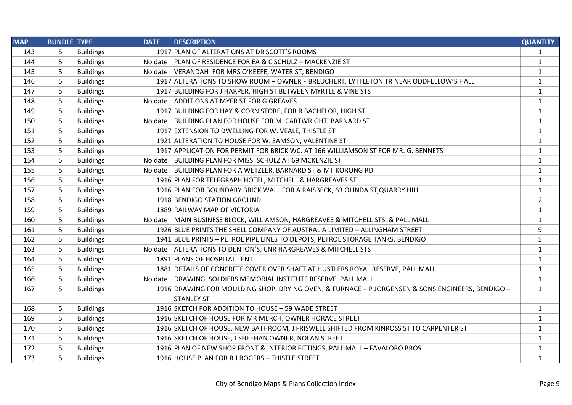| <b>MAP</b> | <b>BUNDLE TYPE</b> |                  | <b>DATE</b> | <b>DESCRIPTION</b>                                                                               | <b>QUANTITY</b> |
|------------|--------------------|------------------|-------------|--------------------------------------------------------------------------------------------------|-----------------|
| 143        | 5                  | <b>Buildings</b> |             | 1917 PLAN OF ALTERATIONS AT DR SCOTT'S ROOMS                                                     | 1               |
| 144        | 5                  | <b>Buildings</b> |             | No date PLAN OF RESIDENCE FOR EA & C SCHULZ - MACKENZIE ST                                       | $\mathbf{1}$    |
| 145        | 5                  | <b>Buildings</b> |             | No date VERANDAH FOR MRS O'KEEFE, WATER ST, BENDIGO                                              | $\mathbf{1}$    |
| 146        | 5                  | <b>Buildings</b> |             | 1917 ALTERATIONS TO SHOW ROOM - OWNER F BREUCHERT, LYTTLETON TR NEAR ODDFELLOW'S HALL            | $\mathbf{1}$    |
| 147        | 5                  | <b>Buildings</b> |             | 1917 BUILDING FOR J HARPER, HIGH ST BETWEEN MYRTLE & VINE STS                                    | $\mathbf{1}$    |
| 148        | 5                  | <b>Buildings</b> |             | No date ADDITIONS AT MYER ST FOR G GREAVES                                                       | $\mathbf{1}$    |
| 149        | 5                  | <b>Buildings</b> |             | 1917 BUILDING FOR HAY & CORN STORE, FOR R BACHELOR, HIGH ST                                      | $\mathbf{1}$    |
| 150        | 5                  | <b>Buildings</b> |             | No date   BUILDING PLAN FOR HOUSE FOR M. CARTWRIGHT, BARNARD ST                                  | $\mathbf{1}$    |
| 151        | 5                  | <b>Buildings</b> |             | 1917 EXTENSION TO DWELLING FOR W. VEALE, THISTLE ST                                              | $\mathbf{1}$    |
| 152        | 5                  | <b>Buildings</b> |             | 1921 ALTERATION TO HOUSE FOR W. SAMSON, VALENTINE ST                                             | $\mathbf{1}$    |
| 153        | 5                  | <b>Buildings</b> |             | 1917 APPLICATION FOR PERMIT FOR BRICK WC. AT 166 WILLIAMSON ST FOR MR. G. BENNETS                | $\mathbf{1}$    |
| 154        | 5                  | <b>Buildings</b> |             | No date BUILDING PLAN FOR MISS. SCHULZ AT 69 MCKENZIE ST                                         | $\mathbf{1}$    |
| 155        | 5                  | <b>Buildings</b> |             | No date BUILDING PLAN FOR A WETZLER, BARNARD ST & MT KORONG RD                                   | $\mathbf{1}$    |
| 156        | 5                  | <b>Buildings</b> |             | 1916 PLAN FOR TELEGRAPH HOTEL, MITCHELL & HARGREAVES ST                                          | $\mathbf{1}$    |
| 157        | 5                  | <b>Buildings</b> |             | 1916 PLAN FOR BOUNDARY BRICK WALL FOR A RAISBECK, 63 OLINDA ST, QUARRY HILL                      | $\mathbf{1}$    |
| 158        | 5                  | <b>Buildings</b> |             | 1918 BENDIGO STATION GROUND                                                                      | $\overline{2}$  |
| 159        | 5                  | <b>Buildings</b> |             | 1889 RAILWAY MAP OF VICTORIA                                                                     | $\mathbf{1}$    |
| 160        | 5                  | <b>Buildings</b> |             | No date MAIN BUSINESS BLOCK, WILLIAMSON, HARGREAVES & MITCHELL STS, & PALL MALL                  | $\mathbf{1}$    |
| 161        | 5                  | <b>Buildings</b> |             | 1926 BLUE PRINTS THE SHELL COMPANY OF AUSTRALIA LIMITED - ALLINGHAM STREET                       | 9               |
| 162        | 5                  | <b>Buildings</b> |             | 1941 BLUE PRINTS - PETROL PIPE LINES TO DEPOTS, PETROL STORAGE TANKS, BENDIGO                    | 5               |
| 163        | 5                  | <b>Buildings</b> |             | No date ALTERATIONS TO DENTON'S, CNR HARGREAVES & MITCHELL STS                                   | $\mathbf{1}$    |
| 164        | 5                  | <b>Buildings</b> |             | 1891 PLANS OF HOSPITAL TENT                                                                      | $\mathbf{1}$    |
| 165        | 5                  | <b>Buildings</b> |             | 1881 DETAILS OF CONCRETE COVER OVER SHAFT AT HUSTLERS ROYAL RESERVE, PALL MALL                   | $\mathbf{1}$    |
| 166        | 5                  | <b>Buildings</b> |             | No date DRAWING, SOLDIERS MEMORIAL INSTITUTE RESERVE, PALL MALL                                  | $\mathbf{1}$    |
| 167        | 5                  | <b>Buildings</b> |             | 1916 DRAWING FOR MOULDING SHOP, DRYING OVEN, & FURNACE - P JORGENSEN & SONS ENGINEERS, BENDIGO - | $\mathbf{1}$    |
|            |                    |                  |             | <b>STANLEY ST</b>                                                                                |                 |
| 168        | 5                  | <b>Buildings</b> |             | 1916 SKETCH FOR ADDITION TO HOUSE - 59 WADE STREET                                               | 1               |
| 169        | 5                  | <b>Buildings</b> |             | 1916 SKETCH OF HOUSE FOR MR MERCH, OWNER HORACE STREET                                           | $\mathbf{1}$    |
| 170        | 5                  | <b>Buildings</b> |             | 1916 SKETCH OF HOUSE, NEW BATHROOM, J FRISWELL SHIFTED FROM KINROSS ST TO CARPENTER ST           | $\mathbf{1}$    |
| 171        | 5                  | <b>Buildings</b> |             | 1916 SKETCH OF HOUSE, J SHEEHAN OWNER, NOLAN STREET                                              | $\mathbf{1}$    |
| 172        | 5                  | <b>Buildings</b> |             | 1916 PLAN OF NEW SHOP FRONT & INTERIOR FITTINGS, PALL MALL - FAVALORO BROS                       | 1               |
| 173        | 5                  | <b>Buildings</b> |             | 1916 HOUSE PLAN FOR R J ROGERS - THISTLE STREET                                                  | $\mathbf{1}$    |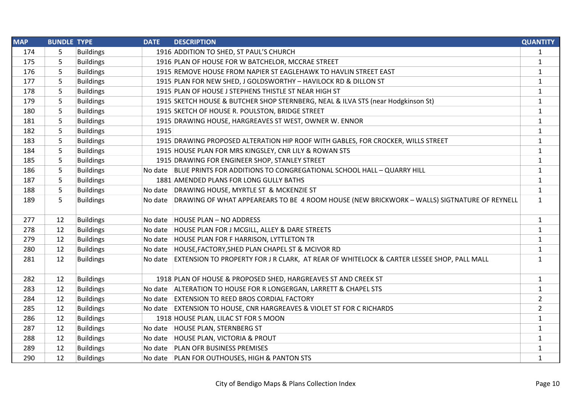| <b>MAP</b> | <b>BUNDLE TYPE</b> |                  | <b>DATE</b> | <b>DESCRIPTION</b>                                                                                  | <b>QUANTITY</b> |
|------------|--------------------|------------------|-------------|-----------------------------------------------------------------------------------------------------|-----------------|
| 174        | 5                  | <b>Buildings</b> |             | 1916 ADDITION TO SHED, ST PAUL'S CHURCH                                                             | $\mathbf{1}$    |
| 175        | 5                  | <b>Buildings</b> |             | 1916 PLAN OF HOUSE FOR W BATCHELOR, MCCRAE STREET                                                   | $\mathbf{1}$    |
| 176        | 5                  | <b>Buildings</b> |             | 1915 REMOVE HOUSE FROM NAPIER ST EAGLEHAWK TO HAVLIN STREET EAST                                    | $\mathbf{1}$    |
| 177        | 5                  | <b>Buildings</b> |             | 1915 PLAN FOR NEW SHED, J GOLDSWORTHY - HAVILOCK RD & DILLON ST                                     | $\mathbf{1}$    |
| 178        | 5                  | <b>Buildings</b> |             | 1915 PLAN OF HOUSE J STEPHENS THISTLE ST NEAR HIGH ST                                               | $\mathbf{1}$    |
| 179        | 5                  | <b>Buildings</b> |             | 1915 SKETCH HOUSE & BUTCHER SHOP STERNBERG, NEAL & ILVA STS (near Hodgkinson St)                    | $\mathbf{1}$    |
| 180        | 5                  | <b>Buildings</b> |             | 1915 SKETCH OF HOUSE R. POULSTON, BRIDGE STREET                                                     | $\mathbf{1}$    |
| 181        | 5                  | <b>Buildings</b> |             | 1915 DRAWING HOUSE, HARGREAVES ST WEST, OWNER W. ENNOR                                              | $\mathbf{1}$    |
| 182        | 5                  | <b>Buildings</b> | 1915        |                                                                                                     | $\mathbf{1}$    |
| 183        | 5                  | <b>Buildings</b> |             | 1915 DRAWING PROPOSED ALTERATION HIP ROOF WITH GABLES, FOR CROCKER, WILLS STREET                    | $\mathbf{1}$    |
| 184        | 5                  | <b>Buildings</b> |             | 1915 HOUSE PLAN FOR MRS KINGSLEY, CNR LILY & ROWAN STS                                              | $\mathbf{1}$    |
| 185        | 5                  | <b>Buildings</b> |             | 1915 DRAWING FOR ENGINEER SHOP, STANLEY STREET                                                      | $\mathbf{1}$    |
| 186        | 5                  | <b>Buildings</b> |             | No date BLUE PRINTS FOR ADDITIONS TO CONGREGATIONAL SCHOOL HALL - QUARRY HILL                       | $\mathbf{1}$    |
| 187        | 5                  | <b>Buildings</b> |             | 1881 AMENDED PLANS FOR LONG GULLY BATHS                                                             | $\mathbf{1}$    |
| 188        | 5                  | <b>Buildings</b> |             | No date DRAWING HOUSE, MYRTLE ST & MCKENZIE ST                                                      | $\mathbf{1}$    |
| 189        | 5                  | <b>Buildings</b> |             | No date DRAWING OF WHAT APPEAREARS TO BE 4 ROOM HOUSE (NEW BRICKWORK - WALLS) SIGTNATURE OF REYNELL | $\mathbf{1}$    |
| 277        | 12                 | <b>Buildings</b> |             | No date HOUSE PLAN - NO ADDRESS                                                                     | $\mathbf{1}$    |
| 278        | 12                 | <b>Buildings</b> |             | No date   HOUSE PLAN FOR J MCGILL, ALLEY & DARE STREETS                                             | $\mathbf{1}$    |
| 279        | 12                 | <b>Buildings</b> |             | No date HOUSE PLAN FOR F HARRISON, LYTTLETON TR                                                     | $\mathbf{1}$    |
| 280        | 12                 | <b>Buildings</b> |             | No date   HOUSE, FACTORY, SHED PLAN CHAPEL ST & MCIVOR RD                                           | $\mathbf{1}$    |
| 281        | 12                 | <b>Buildings</b> |             | No date EXTENSION TO PROPERTY FOR J R CLARK, AT REAR OF WHITELOCK & CARTER LESSEE SHOP, PALL MALL   | $\mathbf{1}$    |
| 282        | 12                 | <b>Buildings</b> |             | 1918 PLAN OF HOUSE & PROPOSED SHED, HARGREAVES ST AND CREEK ST                                      | $\mathbf{1}$    |
| 283        | 12                 | <b>Buildings</b> |             | No date ALTERATION TO HOUSE FOR R LONGERGAN, LARRETT & CHAPEL STS                                   | $\mathbf{1}$    |
| 284        | 12                 | <b>Buildings</b> |             | No date EXTENSION TO REED BROS CORDIAL FACTORY                                                      | $\overline{2}$  |
| 285        | 12                 | <b>Buildings</b> |             | No date EXTENSION TO HOUSE, CNR HARGREAVES & VIOLET ST FOR C RICHARDS                               | $\overline{2}$  |
| 286        | 12                 | <b>Buildings</b> |             | 1918 HOUSE PLAN, LILAC ST FOR S MOON                                                                | $\mathbf{1}$    |
| 287        | 12                 | <b>Buildings</b> |             | No date HOUSE PLAN, STERNBERG ST                                                                    | $\mathbf{1}$    |
| 288        | 12                 | <b>Buildings</b> |             | No date HOUSE PLAN, VICTORIA & PROUT                                                                | $\mathbf{1}$    |
| 289        | 12                 | <b>Buildings</b> |             | No date PLAN OFR BUSINESS PREMISES                                                                  | 1               |
| 290        | 12                 | <b>Buildings</b> |             | No date   PLAN FOR OUTHOUSES, HIGH & PANTON STS                                                     | $\mathbf{1}$    |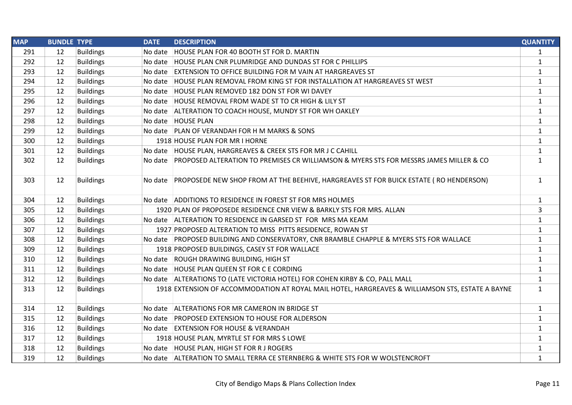| <b>MAP</b> | <b>BUNDLE TYPE</b> |                  | <b>DATE</b> | <b>DESCRIPTION</b>                                                                               | <b>QUANTITY</b> |
|------------|--------------------|------------------|-------------|--------------------------------------------------------------------------------------------------|-----------------|
| 291        | 12                 | <b>Buildings</b> | No date     | HOUSE PLAN FOR 40 BOOTH ST FOR D. MARTIN                                                         | $\mathbf{1}$    |
| 292        | 12                 | <b>Buildings</b> | No date     | HOUSE PLAN CNR PLUMRIDGE AND DUNDAS ST FOR C PHILLIPS                                            | $\mathbf{1}$    |
| 293        | 12                 | <b>Buildings</b> |             | No date EXTENSION TO OFFICE BUILDING FOR M VAIN AT HARGREAVES ST                                 | $\mathbf{1}$    |
| 294        | 12                 | <b>Buildings</b> |             | No date HOUSE PLAN REMOVAL FROM KING ST FOR INSTALLATION AT HARGREAVES ST WEST                   | $\mathbf{1}$    |
| 295        | 12                 | <b>Buildings</b> |             | No date HOUSE PLAN REMOVED 182 DON ST FOR WI DAVEY                                               | $\mathbf{1}$    |
| 296        | 12                 | <b>Buildings</b> |             | No date HOUSE REMOVAL FROM WADE ST TO CR HIGH & LILY ST                                          | $\mathbf 1$     |
| 297        | 12                 | <b>Buildings</b> |             | No date ALTERATION TO COACH HOUSE, MUNDY ST FOR WH OAKLEY                                        | $\mathbf{1}$    |
| 298        | 12                 | <b>Buildings</b> |             | No date HOUSE PLAN                                                                               | $\mathbf{1}$    |
| 299        | 12                 | <b>Buildings</b> |             | No date PLAN OF VERANDAH FOR H M MARKS & SONS                                                    | $\mathbf{1}$    |
| 300        | 12                 | <b>Buildings</b> |             | 1918 HOUSE PLAN FOR MR I HORNE                                                                   | $\mathbf{1}$    |
| 301        | 12                 | <b>Buildings</b> |             | No date   HOUSE PLAN, HARGREAVES & CREEK STS FOR MR J C CAHILL                                   | $\mathbf{1}$    |
| 302        | 12                 | <b>Buildings</b> |             | No date PROPOSED ALTERATION TO PREMISES CR WILLIAMSON & MYERS STS FOR MESSRS JAMES MILLER & CO   | $\mathbf{1}$    |
| 303        | 12                 | <b>Buildings</b> |             | No date PROPOSEDE NEW SHOP FROM AT THE BEEHIVE, HARGREAVES ST FOR BUICK ESTATE (RO HENDERSON)    | $\mathbf{1}$    |
| 304        | 12                 | <b>Buildings</b> |             | No date ADDITIONS TO RESIDENCE IN FOREST ST FOR MRS HOLMES                                       | $\mathbf{1}$    |
| 305        | 12                 | <b>Buildings</b> |             | 1920 PLAN OF PROPOSEDE RESIDENCE CNR VIEW & BARKLY STS FOR MRS. ALLAN                            | 3               |
| 306        | 12                 | <b>Buildings</b> |             | No date ALTERATION TO RESIDENCE IN GARSED ST FOR MRS MA KEAM                                     | $\mathbf{1}$    |
| 307        | 12                 | <b>Buildings</b> |             | 1927 PROPOSED ALTERATION TO MISS PITTS RESIDENCE, ROWAN ST                                       | $\mathbf{1}$    |
| 308        | 12                 | <b>Buildings</b> |             | No date PROPOSED BUILDING AND CONSERVATORY, CNR BRAMBLE CHAPPLE & MYERS STS FOR WALLACE          | $\mathbf{1}$    |
| 309        | 12                 | <b>Buildings</b> |             | 1918 PROPOSED BUILDINGS, CASEY ST FOR WALLACE                                                    | $\mathbf{1}$    |
| 310        | 12                 | <b>Buildings</b> |             | No date ROUGH DRAWING BUILDING, HIGH ST                                                          | $\mathbf{1}$    |
| 311        | 12                 | <b>Buildings</b> |             | No date HOUSE PLAN QUEEN ST FOR C E CORDING                                                      | $\mathbf{1}$    |
| 312        | 12                 | <b>Buildings</b> |             | No date ALTERATIONS TO (LATE VICTORIA HOTEL) FOR COHEN KIRBY & CO, PALL MALL                     | $\mathbf{1}$    |
| 313        | 12                 | <b>Buildings</b> |             | 1918 EXTENSION OF ACCOMMODATION AT ROYAL MAIL HOTEL, HARGREAVES & WILLIAMSON STS, ESTATE A BAYNE | $\mathbf{1}$    |
| 314        | 12                 | <b>Buildings</b> |             | No date ALTERATIONS FOR MR CAMERON IN BRIDGE ST                                                  | $\mathbf{1}$    |
| 315        | 12                 | <b>Buildings</b> |             | No date PROPOSED EXTENSION TO HOUSE FOR ALDERSON                                                 | $\mathbf{1}$    |
| 316        | 12                 | <b>Buildings</b> |             | No date EXTENSION FOR HOUSE & VERANDAH                                                           | $\mathbf{1}$    |
| 317        | 12                 | <b>Buildings</b> |             | 1918 HOUSE PLAN, MYRTLE ST FOR MRS S LOWE                                                        | $\mathbf{1}$    |
| 318        | 12                 | <b>Buildings</b> |             | No date HOUSE PLAN, HIGH ST FOR R J ROGERS                                                       | $\mathbf{1}$    |
| 319        | 12                 | <b>Buildings</b> |             | No date ALTERATION TO SMALL TERRA CE STERNBERG & WHITE STS FOR W WOLSTENCROFT                    | $\mathbf{1}$    |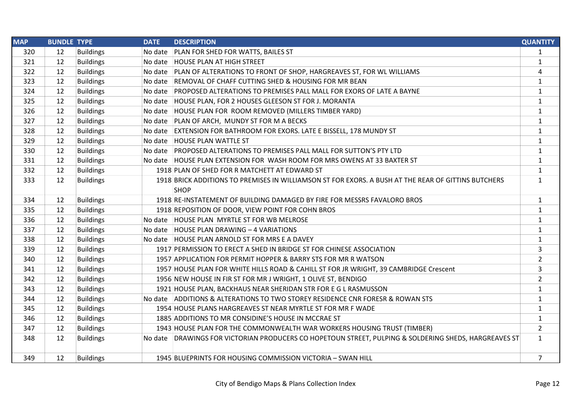| <b>MAP</b> | <b>BUNDLE TYPE</b> |                  | <b>DATE</b> | <b>DESCRIPTION</b>                                                                                    | <b>QUANTITY</b> |
|------------|--------------------|------------------|-------------|-------------------------------------------------------------------------------------------------------|-----------------|
| 320        | 12                 | <b>Buildings</b> |             | No date   PLAN FOR SHED FOR WATTS, BAILES ST                                                          | 1               |
| 321        | 12                 | <b>Buildings</b> |             | No date HOUSE PLAN AT HIGH STREET                                                                     | $\mathbf{1}$    |
| 322        | 12                 | <b>Buildings</b> |             | No date PLAN OF ALTERATIONS TO FRONT OF SHOP, HARGREAVES ST, FOR WL WILLIAMS                          | 4               |
| 323        | 12                 | <b>Buildings</b> |             | No date REMOVAL OF CHAFF CUTTING SHED & HOUSING FOR MR BEAN                                           | $\mathbf{1}$    |
| 324        | 12                 | <b>Buildings</b> |             | No date PROPOSED ALTERATIONS TO PREMISES PALL MALL FOR EXORS OF LATE A BAYNE                          | $\mathbf{1}$    |
| 325        | 12                 | <b>Buildings</b> |             | No date HOUSE PLAN, FOR 2 HOUSES GLEESON ST FOR J. MORANTA                                            | $\mathbf{1}$    |
| 326        | 12                 | <b>Buildings</b> |             | No date HOUSE PLAN FOR ROOM REMOVED (MILLERS TIMBER YARD)                                             | $\mathbf{1}$    |
| 327        | 12                 | <b>Buildings</b> |             | No date PLAN OF ARCH, MUNDY ST FOR M A BECKS                                                          | $\mathbf{1}$    |
| 328        | 12                 | <b>Buildings</b> |             | No date EXTENSION FOR BATHROOM FOR EXORS. LATE E BISSELL, 178 MUNDY ST                                | $\mathbf{1}$    |
| 329        | 12                 | <b>Buildings</b> |             | No date HOUSE PLAN WATTLE ST                                                                          | $\mathbf{1}$    |
| 330        | 12                 | <b>Buildings</b> |             | No date PROPOSED ALTERATIONS TO PREMISES PALL MALL FOR SUTTON'S PTY LTD                               | $\mathbf{1}$    |
| 331        | 12                 | <b>Buildings</b> |             | No date HOUSE PLAN EXTENSION FOR WASH ROOM FOR MRS OWENS AT 33 BAXTER ST                              | $\mathbf{1}$    |
| 332        | 12                 | <b>Buildings</b> |             | 1918 PLAN OF SHED FOR R MATCHETT AT EDWARD ST                                                         | $\mathbf{1}$    |
| 333        | 12                 | <b>Buildings</b> |             | 1918 BRICK ADDITIONS TO PREMISES IN WILLIAMSON ST FOR EXORS. A BUSH AT THE REAR OF GITTINS BUTCHERS   | $\mathbf{1}$    |
|            |                    |                  |             | <b>SHOP</b>                                                                                           |                 |
| 334        | 12                 | <b>Buildings</b> |             | 1918 RE-INSTATEMENT OF BUILDING DAMAGED BY FIRE FOR MESSRS FAVALORO BROS                              | $\mathbf{1}$    |
| 335        | 12                 | <b>Buildings</b> |             | 1918 REPOSITION OF DOOR, VIEW POINT FOR COHN BROS                                                     | $\mathbf{1}$    |
| 336        | 12                 | <b>Buildings</b> |             | No date HOUSE PLAN MYRTLE ST FOR WB MELROSE                                                           | $\mathbf{1}$    |
| 337        | 12                 | <b>Buildings</b> |             | No date HOUSE PLAN DRAWING - 4 VARIATIONS                                                             | $\mathbf{1}$    |
| 338        | 12                 | <b>Buildings</b> |             | No date HOUSE PLAN ARNOLD ST FOR MRS E A DAVEY                                                        | $\mathbf{1}$    |
| 339        | 12                 | <b>Buildings</b> |             | 1917 PERMISSION TO ERECT A SHED IN BRIDGE ST FOR CHINESE ASSOCIATION                                  | 3               |
| 340        | 12                 | <b>Buildings</b> |             | 1957 APPLICATION FOR PERMIT HOPPER & BARRY STS FOR MR R WATSON                                        | $\overline{2}$  |
| 341        | 12                 | <b>Buildings</b> |             | 1957 HOUSE PLAN FOR WHITE HILLS ROAD & CAHILL ST FOR JR WRIGHT, 39 CAMBRIDGE Crescent                 | 3               |
| 342        | 12                 | <b>Buildings</b> |             | 1956 NEW HOUSE IN FIR ST FOR MR J WRIGHT, 1 OLIVE ST, BENDIGO                                         | $\overline{2}$  |
| 343        | 12                 | <b>Buildings</b> |             | 1921 HOUSE PLAN, BACKHAUS NEAR SHERIDAN STR FOR E G L RASMUSSON                                       | $\mathbf{1}$    |
| 344        | 12                 | <b>Buildings</b> |             | No date ADDITIONS & ALTERATIONS TO TWO STOREY RESIDENCE CNR FORESR & ROWAN STS                        | $\mathbf{1}$    |
| 345        | 12                 | <b>Buildings</b> |             | 1954 HOUSE PLANS HARGREAVES ST NEAR MYRTLE ST FOR MR F WADE                                           | $\mathbf{1}$    |
| 346        | 12                 | <b>Buildings</b> |             | 1885 ADDITIONS TO MR CONSIDINE'S HOUSE IN MCCRAE ST                                                   | $\mathbf{1}$    |
| 347        | 12                 | <b>Buildings</b> |             | 1943 HOUSE PLAN FOR THE COMMONWEALTH WAR WORKERS HOUSING TRUST (TIMBER)                               | $\overline{2}$  |
| 348        | 12                 | <b>Buildings</b> |             | No date DRAWINGS FOR VICTORIAN PRODUCERS CO HOPETOUN STREET, PULPING & SOLDERING SHEDS, HARGREAVES ST | $\mathbf{1}$    |
|            |                    |                  |             |                                                                                                       |                 |
| 349        | 12                 | <b>Buildings</b> |             | 1945 BLUEPRINTS FOR HOUSING COMMISSION VICTORIA - SWAN HILL                                           | 7               |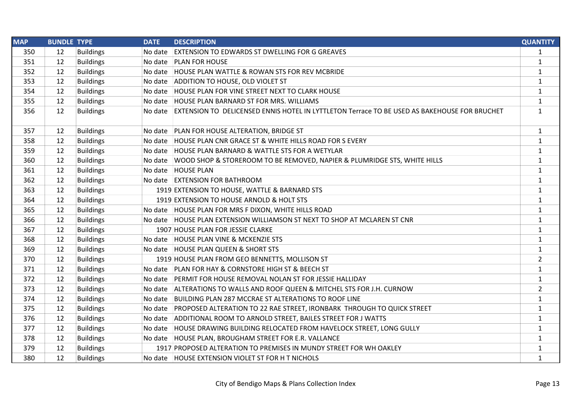| <b>MAP</b> | <b>BUNDLE TYPE</b> |                  | <b>DATE</b> | <b>DESCRIPTION</b>                                                                                   | <b>QUANTITY</b> |
|------------|--------------------|------------------|-------------|------------------------------------------------------------------------------------------------------|-----------------|
| 350        | 12                 | <b>Buildings</b> | No date     | <b>EXTENSION TO EDWARDS ST DWELLING FOR G GREAVES</b>                                                | $\mathbf{1}$    |
| 351        | 12                 | <b>Buildings</b> |             | No date   PLAN FOR HOUSE                                                                             | $\mathbf{1}$    |
| 352        | 12                 | <b>Buildings</b> |             | No date HOUSE PLAN WATTLE & ROWAN STS FOR REV MCBRIDE                                                | $\mathbf{1}$    |
| 353        | 12                 | <b>Buildings</b> |             | No date ADDITION TO HOUSE, OLD VIOLET ST                                                             | $\mathbf{1}$    |
| 354        | 12                 | <b>Buildings</b> |             | No date   HOUSE PLAN FOR VINE STREET NEXT TO CLARK HOUSE                                             | $\mathbf{1}$    |
| 355        | 12                 | <b>Buildings</b> |             | No date HOUSE PLAN BARNARD ST FOR MRS. WILLIAMS                                                      | $\mathbf{1}$    |
| 356        | 12                 | <b>Buildings</b> |             | No date EXTENSION TO DELICENSED ENNIS HOTEL IN LYTTLETON Terrace TO BE USED AS BAKEHOUSE FOR BRUCHET | $\mathbf{1}$    |
| 357        | 12                 | <b>Buildings</b> |             | No date   PLAN FOR HOUSE ALTERATION, BRIDGE ST                                                       | $\mathbf{1}$    |
| 358        | 12                 | <b>Buildings</b> |             | No date HOUSE PLAN CNR GRACE ST & WHITE HILLS ROAD FOR S EVERY                                       | $\mathbf{1}$    |
| 359        | 12                 | <b>Buildings</b> |             | No date HOUSE PLAN BARNARD & WATTLE STS FOR A WETYLAR                                                | $\mathbf{1}$    |
| 360        | 12                 | <b>Buildings</b> |             | No date WOOD SHOP & STOREROOM TO BE REMOVED, NAPIER & PLUMRIDGE STS, WHITE HILLS                     | $\mathbf{1}$    |
| 361        | 12                 | <b>Buildings</b> |             | No date   HOUSE PLAN                                                                                 | $\mathbf{1}$    |
| 362        | 12                 | <b>Buildings</b> |             | No date EXTENSION FOR BATHROOM                                                                       | $\mathbf{1}$    |
| 363        | 12                 | <b>Buildings</b> |             | 1919 EXTENSION TO HOUSE, WATTLE & BARNARD STS                                                        | $\mathbf{1}$    |
| 364        | 12                 | <b>Buildings</b> |             | 1919 EXTENSION TO HOUSE ARNOLD & HOLT STS                                                            | $\mathbf{1}$    |
| 365        | 12                 | <b>Buildings</b> |             | No date HOUSE PLAN FOR MRS F DIXON, WHITE HILLS ROAD                                                 | $\mathbf{1}$    |
| 366        | 12                 | <b>Buildings</b> |             | No date HOUSE PLAN EXTENSION WILLIAMSON ST NEXT TO SHOP AT MCLAREN ST CNR                            | $\mathbf{1}$    |
| 367        | 12                 | <b>Buildings</b> |             | 1907 HOUSE PLAN FOR JESSIE CLARKE                                                                    | $\mathbf{1}$    |
| 368        | 12                 | <b>Buildings</b> |             | No date HOUSE PLAN VINE & MCKENZIE STS                                                               | $\mathbf{1}$    |
| 369        | 12                 | <b>Buildings</b> |             | No date HOUSE PLAN QUEEN & SHORT STS                                                                 | $\mathbf{1}$    |
| 370        | 12                 | <b>Buildings</b> |             | 1919 HOUSE PLAN FROM GEO BENNETTS, MOLLISON ST                                                       | $\overline{2}$  |
| 371        | 12                 | <b>Buildings</b> |             | No date PLAN FOR HAY & CORNSTORE HIGH ST & BEECH ST                                                  | $\mathbf{1}$    |
| 372        | 12                 | <b>Buildings</b> |             | No date PERMIT FOR HOUSE REMOVAL NOLAN ST FOR JESSIE HALLIDAY                                        | $\mathbf{1}$    |
| 373        | 12                 | <b>Buildings</b> |             | No date ALTERATIONS TO WALLS AND ROOF QUEEN & MITCHEL STS FOR J.H. CURNOW                            | $\overline{2}$  |
| 374        | 12                 | <b>Buildings</b> |             | No date BUILDING PLAN 287 MCCRAE ST ALTERATIONS TO ROOF LINE                                         | $\mathbf{1}$    |
| 375        | 12                 | <b>Buildings</b> |             | No date PROPOSED ALTERATION TO 22 RAE STREET, IRONBARK THROUGH TO QUICK STREET                       | $\mathbf{1}$    |
| 376        | 12                 | <b>Buildings</b> |             | No date ADDITIONAL ROOM TO ARNOLD STREET, BAILES STREET FOR J WATTS                                  | $\mathbf{1}$    |
| 377        | 12                 | <b>Buildings</b> |             | No date HOUSE DRAWING BUILDING RELOCATED FROM HAVELOCK STREET, LONG GULLY                            | 1               |
| 378        | 12                 | <b>Buildings</b> |             | No date HOUSE PLAN, BROUGHAM STREET FOR E.R. VALLANCE                                                | $\mathbf{1}$    |
| 379        | 12                 | <b>Buildings</b> |             | 1917 PROPOSED ALTERATION TO PREMISES IN MUNDY STREET FOR WH OAKLEY                                   | $\mathbf{1}$    |
| 380        | 12                 | <b>Buildings</b> |             | No date HOUSE EXTENSION VIOLET ST FOR H T NICHOLS                                                    | $\mathbf{1}$    |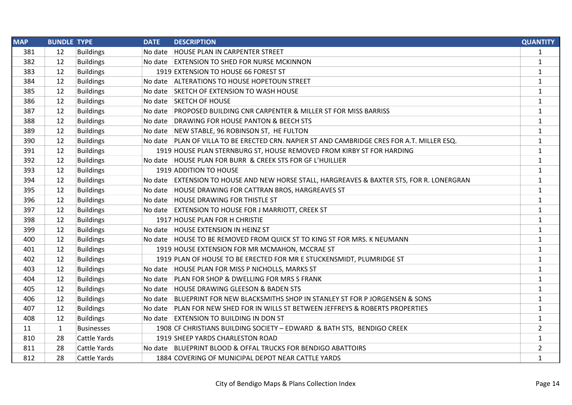| <b>MAP</b> | <b>BUNDLE TYPE</b> |                     | <b>DATE</b> | <b>DESCRIPTION</b>                                                                         | <b>QUANTITY</b> |
|------------|--------------------|---------------------|-------------|--------------------------------------------------------------------------------------------|-----------------|
| 381        | 12                 | <b>Buildings</b>    |             | No date   HOUSE PLAN IN CARPENTER STREET                                                   | $\mathbf{1}$    |
| 382        | 12                 | <b>Buildings</b>    |             | No date EXTENSION TO SHED FOR NURSE MCKINNON                                               | $\mathbf{1}$    |
| 383        | 12                 | <b>Buildings</b>    |             | 1919 EXTENSION TO HOUSE 66 FOREST ST                                                       | $\mathbf{1}$    |
| 384        | 12                 | <b>Buildings</b>    |             | No date ALTERATIONS TO HOUSE HOPETOUN STREET                                               | $\mathbf{1}$    |
| 385        | 12                 | <b>Buildings</b>    |             | No date SKETCH OF EXTENSION TO WASH HOUSE                                                  | $\mathbf{1}$    |
| 386        | 12                 | <b>Buildings</b>    |             | No date SKETCH OF HOUSE                                                                    | $\mathbf{1}$    |
| 387        | 12                 | <b>Buildings</b>    |             | No date PROPOSED BUILDING CNR CARPENTER & MILLER ST FOR MISS BARRISS                       | $\mathbf{1}$    |
| 388        | 12                 | <b>Buildings</b>    |             | No date DRAWING FOR HOUSE PANTON & BEECH STS                                               | $\mathbf{1}$    |
| 389        | 12                 | <b>Buildings</b>    |             | No date NEW STABLE, 96 ROBINSON ST, HE FULTON                                              | $\mathbf{1}$    |
| 390        | 12                 | <b>Buildings</b>    |             | No date PLAN OF VILLA TO BE ERECTED CRN. NAPIER ST AND CAMBRIDGE CRES FOR A.T. MILLER ESQ. | $\mathbf{1}$    |
| 391        | 12                 | <b>Buildings</b>    |             | 1919 HOUSE PLAN STERNBURG ST, HOUSE REMOVED FROM KIRBY ST FOR HARDING                      | $\mathbf{1}$    |
| 392        | 12                 | <b>Buildings</b>    |             | No date HOUSE PLAN FOR BURR & CREEK STS FOR GF L'HUILLIER                                  | $\mathbf{1}$    |
| 393        | 12                 | <b>Buildings</b>    |             | 1919 ADDITION TO HOUSE                                                                     | $\mathbf{1}$    |
| 394        | 12                 | <b>Buildings</b>    |             | No date EXTENSION TO HOUSE AND NEW HORSE STALL, HARGREAVES & BAXTER STS, FOR R. LONERGRAN  | $\mathbf{1}$    |
| 395        | 12                 | <b>Buildings</b>    |             | No date HOUSE DRAWING FOR CATTRAN BROS, HARGREAVES ST                                      | $\mathbf{1}$    |
| 396        | 12                 | <b>Buildings</b>    |             | No date   HOUSE DRAWING FOR THISTLE ST                                                     | $\mathbf{1}$    |
| 397        | 12                 | <b>Buildings</b>    |             | No date EXTENSION TO HOUSE FOR J MARRIOTT, CREEK ST                                        | $\mathbf{1}$    |
| 398        | 12                 | <b>Buildings</b>    |             | 1917 HOUSE PLAN FOR H CHRISTIE                                                             | $\mathbf{1}$    |
| 399        | 12                 | <b>Buildings</b>    |             | No date HOUSE EXTENSION IN HEINZ ST                                                        | $\mathbf{1}$    |
| 400        | 12                 | <b>Buildings</b>    |             | No date HOUSE TO BE REMOVED FROM QUICK ST TO KING ST FOR MRS. K NEUMANN                    | $\mathbf{1}$    |
| 401        | 12                 | <b>Buildings</b>    |             | 1919 HOUSE EXTENSION FOR MR MCMAHON, MCCRAE ST                                             | $\mathbf{1}$    |
| 402        | 12                 | <b>Buildings</b>    |             | 1919 PLAN OF HOUSE TO BE ERECTED FOR MR E STUCKENSMIDT, PLUMRIDGE ST                       | $\mathbf{1}$    |
| 403        | 12                 | <b>Buildings</b>    |             | No date HOUSE PLAN FOR MISS P NICHOLLS, MARKS ST                                           | $\mathbf{1}$    |
| 404        | 12                 | <b>Buildings</b>    |             | No date PLAN FOR SHOP & DWELLING FOR MRS S FRANK                                           | $\mathbf{1}$    |
| 405        | 12                 | <b>Buildings</b>    |             | No date HOUSE DRAWING GLEESON & BADEN STS                                                  | $\mathbf{1}$    |
| 406        | 12                 | <b>Buildings</b>    |             | No date BLUEPRINT FOR NEW BLACKSMITHS SHOP IN STANLEY ST FOR P JORGENSEN & SONS            | $\mathbf{1}$    |
| 407        | 12                 | <b>Buildings</b>    |             | No date PLAN FOR NEW SHED FOR IN WILLS ST BETWEEN JEFFREYS & ROBERTS PROPERTIES            | 1               |
| 408        | 12                 | <b>Buildings</b>    |             | No date EXTENSION TO BUILDING IN DON ST                                                    | $\mathbf{1}$    |
| 11         | $\mathbf{1}$       | <b>Businesses</b>   |             | 1908 CF CHRISTIANS BUILDING SOCIETY - EDWARD & BATH STS, BENDIGO CREEK                     | $\overline{2}$  |
| 810        | 28                 | <b>Cattle Yards</b> |             | 1919 SHEEP YARDS CHARLESTON ROAD                                                           | $\mathbf{1}$    |
| 811        | 28                 | Cattle Yards        |             | No date BLUEPRINT BLOOD & OFFAL TRUCKS FOR BENDIGO ABATTOIRS                               | $\overline{2}$  |
| 812        | 28                 | <b>Cattle Yards</b> |             | 1884 COVERING OF MUNICIPAL DEPOT NEAR CATTLE YARDS                                         | $\mathbf{1}$    |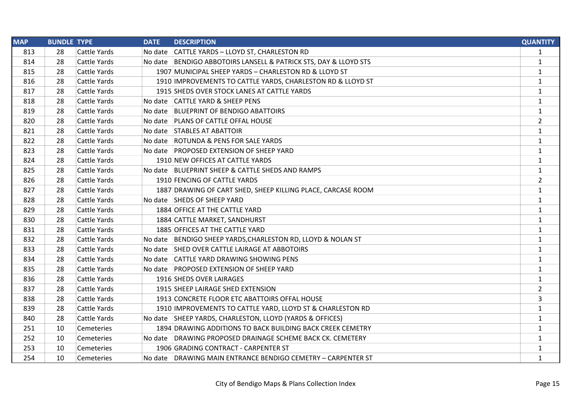| <b>MAP</b> | <b>BUNDLE TYPE</b> |                     | <b>DATE</b> | <b>DESCRIPTION</b>                                               | <b>QUANTITY</b> |
|------------|--------------------|---------------------|-------------|------------------------------------------------------------------|-----------------|
| 813        | 28                 | Cattle Yards        |             | No date CATTLE YARDS - LLOYD ST, CHARLESTON RD                   | $\mathbf{1}$    |
| 814        | 28                 | <b>Cattle Yards</b> |             | No date BENDIGO ABBOTOIRS LANSELL & PATRICK STS, DAY & LLOYD STS | $\mathbf{1}$    |
| 815        | 28                 | <b>Cattle Yards</b> |             | 1907 MUNICIPAL SHEEP YARDS - CHARLESTON RD & LLOYD ST            | $\mathbf{1}$    |
| 816        | 28                 | Cattle Yards        |             | 1910 IMPROVEMENTS TO CATTLE YARDS, CHARLESTON RD & LLOYD ST      | $\mathbf{1}$    |
| 817        | 28                 | <b>Cattle Yards</b> |             | 1915 SHEDS OVER STOCK LANES AT CATTLE YARDS                      | $\mathbf{1}$    |
| 818        | 28                 | <b>Cattle Yards</b> |             | No date CATTLE YARD & SHEEP PENS                                 | $\mathbf{1}$    |
| 819        | 28                 | <b>Cattle Yards</b> |             | No date BLUEPRINT OF BENDIGO ABATTOIRS                           | $\mathbf{1}$    |
| 820        | 28                 | Cattle Yards        |             | No date   PLANS OF CATTLE OFFAL HOUSE                            | $\overline{2}$  |
| 821        | 28                 | <b>Cattle Yards</b> |             | No date STABLES AT ABATTOIR                                      | $\mathbf{1}$    |
| 822        | 28                 | <b>Cattle Yards</b> |             | No date ROTUNDA & PENS FOR SALE YARDS                            | $\mathbf{1}$    |
| 823        | 28                 | Cattle Yards        |             | No date PROPOSED EXTENSION OF SHEEP YARD                         | $\mathbf{1}$    |
| 824        | 28                 | <b>Cattle Yards</b> |             | 1910 NEW OFFICES AT CATTLE YARDS                                 | $\mathbf{1}$    |
| 825        | 28                 | <b>Cattle Yards</b> |             | No date BLUEPRINT SHEEP & CATTLE SHEDS AND RAMPS                 | $\mathbf{1}$    |
| 826        | 28                 | <b>Cattle Yards</b> |             | 1910 FENCING OF CATTLE YARDS                                     | $\overline{2}$  |
| 827        | 28                 | Cattle Yards        |             | 1887 DRAWING OF CART SHED, SHEEP KILLING PLACE, CARCASE ROOM     | $\mathbf{1}$    |
| 828        | 28                 | <b>Cattle Yards</b> |             | No date SHEDS OF SHEEP YARD                                      | $\mathbf 1$     |
| 829        | 28                 | <b>Cattle Yards</b> |             | 1884 OFFICE AT THE CATTLE YARD                                   | $\mathbf{1}$    |
| 830        | 28                 | <b>Cattle Yards</b> |             | 1884 CATTLE MARKET, SANDHURST                                    | $\mathbf{1}$    |
| 831        | 28                 | <b>Cattle Yards</b> |             | 1885 OFFICES AT THE CATTLE YARD                                  | $\mathbf{1}$    |
| 832        | 28                 | <b>Cattle Yards</b> |             | No date BENDIGO SHEEP YARDS, CHARLESTON RD, LLOYD & NOLAN ST     | $\mathbf 1$     |
| 833        | 28                 | <b>Cattle Yards</b> |             | No date SHED OVER CATTLE LAIRAGE AT ABBOTOIRS                    | $\mathbf{1}$    |
| 834        | 28                 | <b>Cattle Yards</b> |             | No date CATTLE YARD DRAWING SHOWING PENS                         | $\mathbf{1}$    |
| 835        | 28                 | Cattle Yards        |             | No date PROPOSED EXTENSION OF SHEEP YARD                         | $\mathbf{1}$    |
| 836        | 28                 | <b>Cattle Yards</b> |             | 1916 SHEDS OVER LAIRAGES                                         | $\mathbf 1$     |
| 837        | 28                 | <b>Cattle Yards</b> |             | 1915 SHEEP LAIRAGE SHED EXTENSION                                | $\overline{2}$  |
| 838        | 28                 | <b>Cattle Yards</b> |             | 1913 CONCRETE FLOOR ETC ABATTOIRS OFFAL HOUSE                    | 3               |
| 839        | 28                 | Cattle Yards        |             | 1910 IMPROVEMENTS TO CATTLE YARD, LLOYD ST & CHARLESTON RD       | $\mathbf{1}$    |
| 840        | 28                 | <b>Cattle Yards</b> |             | No date SHEEP YARDS, CHARLESTON, LLOYD (YARDS & OFFICES)         | $\mathbf{1}$    |
| 251        | 10                 | Cemeteries          |             | 1894 DRAWING ADDITIONS TO BACK BUILDING BACK CREEK CEMETRY       | $\mathbf{1}$    |
| 252        | 10                 | Cemeteries          |             | No date DRAWING PROPOSED DRAINAGE SCHEME BACK CK. CEMETERY       | $\mathbf{1}$    |
| 253        | 10                 | Cemeteries          |             | 1906 GRADING CONTRACT - CARPENTER ST                             | 1               |
| 254        | 10                 | Cemeteries          |             | No date DRAWING MAIN ENTRANCE BENDIGO CEMETRY - CARPENTER ST     | $\mathbf{1}$    |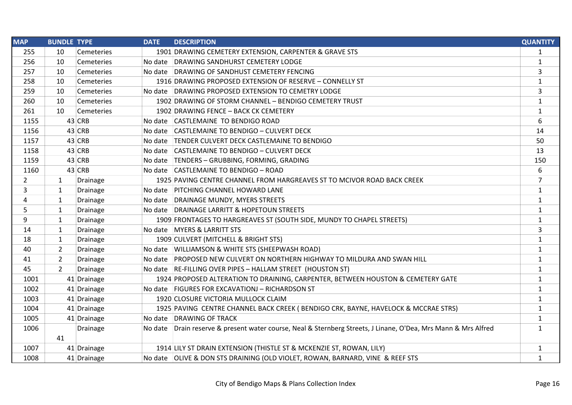| <b>MAP</b>     | <b>BUNDLE TYPE</b>         | <b>DATE</b><br><b>DESCRIPTION</b>                                                                              | <b>QUANTITY</b> |
|----------------|----------------------------|----------------------------------------------------------------------------------------------------------------|-----------------|
| 255            | 10<br>Cemeteries           | 1901 DRAWING CEMETERY EXTENSION, CARPENTER & GRAVE STS                                                         | $\mathbf{1}$    |
| 256            | 10<br>Cemeteries           | No date DRAWING SANDHURST CEMETERY LODGE                                                                       | $\mathbf{1}$    |
| 257            | 10<br>Cemeteries           | No date DRAWING OF SANDHUST CEMETERY FENCING                                                                   | 3               |
| 258            | 10<br>Cemeteries           | 1916 DRAWING PROPOSED EXTENSION OF RESERVE - CONNELLY ST                                                       | $\mathbf{1}$    |
| 259            | 10<br>Cemeteries           | No date DRAWING PROPOSED EXTENSION TO CEMETRY LODGE                                                            | 3               |
| 260            | 10<br>Cemeteries           | 1902 DRAWING OF STORM CHANNEL - BENDIGO CEMETERY TRUST                                                         | $\mathbf{1}$    |
| 261            | 10<br>Cemeteries           | 1902 DRAWING FENCE - BACK CK CEMETERY                                                                          | $\mathbf{1}$    |
| 1155           | 43 CRB                     | No date CASTLEMAINE TO BENDIGO ROAD                                                                            | 6               |
| 1156           | 43 CRB                     | No date CASTLEMAINE TO BENDIGO - CULVERT DECK                                                                  | 14              |
| 1157           | 43 CRB                     | No date   TENDER CULVERT DECK CASTLEMAINE TO BENDIGO                                                           | 50              |
| 1158           | 43 CRB                     | No date CASTLEMAINE TO BENDIGO - CULVERT DECK                                                                  | 13              |
| 1159           | 43 CRB                     | No date   TENDERS - GRUBBING, FORMING, GRADING                                                                 | 150             |
| 1160           | 43 CRB                     | No date CASTLEMAINE TO BENDIGO - ROAD                                                                          | 6               |
| $\overline{2}$ | $\mathbf{1}$<br>Drainage   | 1925 PAVING CENTRE CHANNEL FROM HARGREAVES ST TO MCIVOR ROAD BACK CREEK                                        | $\overline{7}$  |
| 3              | 1<br>Drainage              | No date PITCHING CHANNEL HOWARD LANE                                                                           | $\mathbf{1}$    |
| 4              | $\mathbf{1}$<br>Drainage   | No date DRAINAGE MUNDY, MYERS STREETS                                                                          | $\mathbf{1}$    |
| 5              | 1<br>Drainage              | No date DRAINAGE LARRITT & HOPETOUN STREETS                                                                    | $\mathbf{1}$    |
| 9              | $\mathbf{1}$<br>Drainage   | 1909 FRONTAGES TO HARGREAVES ST (SOUTH SIDE, MUNDY TO CHAPEL STREETS)                                          | $\mathbf{1}$    |
| 14             | 1<br>Drainage              | No date MYERS & LARRITT STS                                                                                    | 3               |
| 18             | $\mathbf{1}$<br>Drainage   | 1909 CULVERT (MITCHELL & BRIGHT STS)                                                                           | $\mathbf 1$     |
| 40             | $\overline{2}$<br>Drainage | No date   WILLIAMSON & WHITE STS (SHEEPWASH ROAD)                                                              | $\mathbf{1}$    |
| 41             | $\overline{2}$<br>Drainage | No date PROPOSED NEW CULVERT ON NORTHERN HIGHWAY TO MILDURA AND SWAN HILL                                      | $\mathbf{1}$    |
| 45             | $\overline{2}$<br>Drainage | No date   RE-FILLING OVER PIPES - HALLAM STREET (HOUSTON ST)                                                   | $\mathbf{1}$    |
| 1001           | 41 Drainage                | 1924 PROPOSED ALTERATION TO DRAINING, CARPENTER, BETWEEN HOUSTON & CEMETERY GATE                               | $\mathbf{1}$    |
| 1002           | 41 Drainage                | No date FIGURES FOR EXCAVATIONJ - RICHARDSON ST                                                                | $\mathbf{1}$    |
| 1003           | 41 Drainage                | 1920 CLOSURE VICTORIA MULLOCK CLAIM                                                                            | $\mathbf{1}$    |
| 1004           | 41 Drainage                | 1925 PAVING CENTRE CHANNEL BACK CREEK (BENDIGO CRK, BAYNE, HAVELOCK & MCCRAE STRS)                             | $\mathbf{1}$    |
| 1005           | 41 Drainage                | No date DRAWING OF TRACK                                                                                       | $\mathbf{1}$    |
| 1006           | Drainage                   | No date Drain reserve & present water course, Neal & Sternberg Streets, J Linane, O'Dea, Mrs Mann & Mrs Alfred | $\mathbf{1}$    |
|                | 41                         |                                                                                                                |                 |
| 1007           | 41 Drainage                | 1914 LILY ST DRAIN EXTENSION (THISTLE ST & MCKENZIE ST, ROWAN, LILY)                                           | $\mathbf{1}$    |
| 1008           | 41 Drainage                | No date OLIVE & DON STS DRAINING (OLD VIOLET, ROWAN, BARNARD, VINE & REEF STS                                  | $\mathbf{1}$    |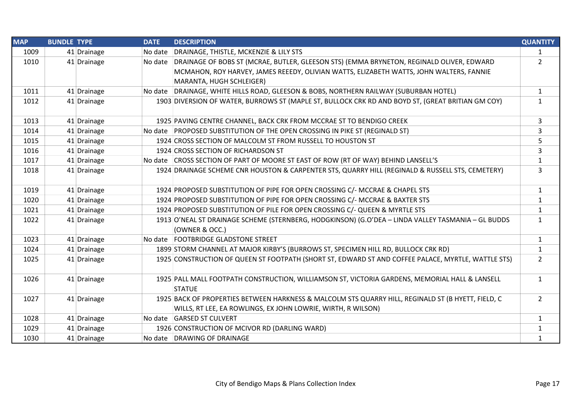| <b>MAP</b> | <b>BUNDLE TYPE</b> |             | <b>DATE</b> | <b>DESCRIPTION</b>                                                                                                                                                 | <b>QUANTITY</b> |
|------------|--------------------|-------------|-------------|--------------------------------------------------------------------------------------------------------------------------------------------------------------------|-----------------|
| 1009       |                    | 41 Drainage | No date     | DRAINAGE, THISTLE, MCKENZIE & LILY STS                                                                                                                             | $\mathbf{1}$    |
| 1010       |                    | 41 Drainage |             | No date   DRAINAGE OF BOBS ST (MCRAE, BUTLER, GLEESON STS) (EMMA BRYNETON, REGINALD OLIVER, EDWARD                                                                 | $\overline{2}$  |
|            |                    |             |             | MCMAHON, ROY HARVEY, JAMES REEEDY, OLIVIAN WATTS, ELIZABETH WATTS, JOHN WALTERS, FANNIE                                                                            |                 |
|            |                    |             |             | MARANTA, HUGH SCHLEIGER)                                                                                                                                           |                 |
| 1011       |                    | 41 Drainage |             | No date DRAINAGE, WHITE HILLS ROAD, GLEESON & BOBS, NORTHERN RAILWAY (SUBURBAN HOTEL)                                                                              | 1               |
| 1012       |                    | 41 Drainage |             | 1903 DIVERSION OF WATER, BURROWS ST (MAPLE ST, BULLOCK CRK RD AND BOYD ST, (GREAT BRITIAN GM COY)                                                                  | $\mathbf{1}$    |
| 1013       |                    | 41 Drainage |             | 1925 PAVING CENTRE CHANNEL, BACK CRK FROM MCCRAE ST TO BENDIGO CREEK                                                                                               | 3               |
| 1014       |                    | 41 Drainage |             | No date PROPOSED SUBSTITUTION OF THE OPEN CROSSING IN PIKE ST (REGINALD ST)                                                                                        | 3               |
| 1015       |                    | 41 Drainage |             | 1924 CROSS SECTION OF MALCOLM ST FROM RUSSELL TO HOUSTON ST                                                                                                        | 5               |
| 1016       |                    | 41 Drainage |             | 1924 CROSS SECTION OF RICHARDSON ST                                                                                                                                | 3               |
| 1017       |                    | 41 Drainage |             | No date CROSS SECTION OF PART OF MOORE ST EAST OF ROW (RT OF WAY) BEHIND LANSELL'S                                                                                 | $\mathbf{1}$    |
| 1018       |                    | 41 Drainage |             | 1924 DRAINAGE SCHEME CNR HOUSTON & CARPENTER STS, QUARRY HILL (REGINALD & RUSSELL STS, CEMETERY)                                                                   | 3               |
| 1019       |                    | 41 Drainage |             | 1924 PROPOSED SUBSTITUTION OF PIPE FOR OPEN CROSSING C/- MCCRAE & CHAPEL STS                                                                                       | 1               |
| 1020       |                    | 41 Drainage |             | 1924 PROPOSED SUBSTITUTION OF PIPE FOR OPEN CROSSING C/- MCCRAE & BAXTER STS                                                                                       | $\mathbf{1}$    |
| 1021       |                    | 41 Drainage |             | 1924 PROPOSED SUBSTITUTION OF PILE FOR OPEN CROSSING C/- QUEEN & MYRTLE STS                                                                                        | $\mathbf{1}$    |
| 1022       |                    | 41 Drainage |             | 1913 O'NEAL ST DRAINAGE SCHEME (STERNBERG, HODGKINSON) (G.O'DEA - LINDA VALLEY TASMANIA - GL BUDDS<br>(OWNER & OCC.)                                               | $\mathbf{1}$    |
| 1023       |                    | 41 Drainage |             | No date FOOTBRIDGE GLADSTONE STREET                                                                                                                                | $\mathbf{1}$    |
| 1024       |                    | 41 Drainage |             | 1899 STORM CHANNEL AT MAJOR KIRBY'S (BURROWS ST, SPECIMEN HILL RD, BULLOCK CRK RD)                                                                                 | $\mathbf{1}$    |
| 1025       |                    | 41 Drainage |             | 1925 CONSTRUCTION OF QUEEN ST FOOTPATH (SHORT ST, EDWARD ST AND COFFEE PALACE, MYRTLE, WATTLE STS)                                                                 | $\overline{2}$  |
| 1026       |                    | 41 Drainage |             | 1925 PALL MALL FOOTPATH CONSTRUCTION, WILLIAMSON ST, VICTORIA GARDENS, MEMORIAL HALL & LANSELL<br><b>STATUE</b>                                                    | $\mathbf{1}$    |
| 1027       |                    | 41 Drainage |             | 1925 BACK OF PROPERTIES BETWEEN HARKNESS & MALCOLM STS QUARRY HILL, REGINALD ST (B HYETT, FIELD, C<br>WILLS, RT LEE, EA ROWLINGS, EX JOHN LOWRIE, WIRTH, R WILSON) | $\overline{2}$  |
| 1028       |                    | 41 Drainage |             | No date GARSED ST CULVERT                                                                                                                                          | 1               |
| 1029       |                    | 41 Drainage |             | 1926 CONSTRUCTION OF MCIVOR RD (DARLING WARD)                                                                                                                      | $\mathbf{1}$    |
| 1030       |                    | 41 Drainage |             | No date DRAWING OF DRAINAGE                                                                                                                                        | $\mathbf{1}$    |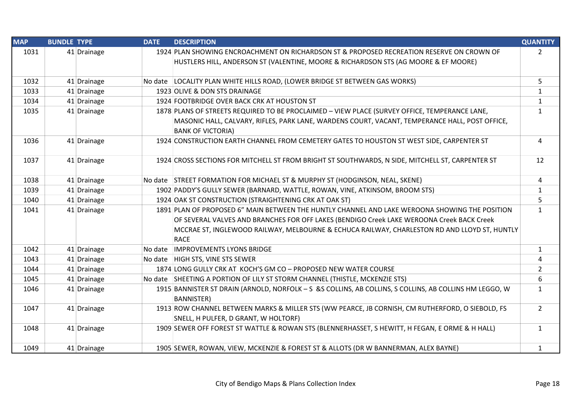| <b>MAP</b> | <b>BUNDLE TYPE</b> |             | <b>DATE</b> | <b>DESCRIPTION</b>                                                                                                          | <b>QUANTITY</b> |
|------------|--------------------|-------------|-------------|-----------------------------------------------------------------------------------------------------------------------------|-----------------|
| 1031       |                    | 41 Drainage |             | 1924 PLAN SHOWING ENCROACHMENT ON RICHARDSON ST & PROPOSED RECREATION RESERVE ON CROWN OF                                   | $2^{\circ}$     |
|            |                    |             |             | HUSTLERS HILL, ANDERSON ST (VALENTINE, MOORE & RICHARDSON STS (AG MOORE & EF MOORE)                                         |                 |
| 1032       |                    | 41 Drainage |             | No date LOCALITY PLAN WHITE HILLS ROAD, (LOWER BRIDGE ST BETWEEN GAS WORKS)                                                 | 5               |
| 1033       |                    | 41 Drainage |             | 1923 OLIVE & DON STS DRAINAGE                                                                                               | $\mathbf{1}$    |
| 1034       |                    | 41 Drainage |             | 1924 FOOTBRIDGE OVER BACK CRK AT HOUSTON ST                                                                                 | $\mathbf{1}$    |
| 1035       |                    | 41 Drainage |             | 1878 PLANS OF STREETS REQUIRED TO BE PROCLAIMED - VIEW PLACE (SURVEY OFFICE, TEMPERANCE LANE,                               | $\mathbf{1}$    |
|            |                    |             |             | MASONIC HALL, CALVARY, RIFLES, PARK LANE, WARDENS COURT, VACANT, TEMPERANCE HALL, POST OFFICE,                              |                 |
|            |                    |             |             | <b>BANK OF VICTORIA)</b>                                                                                                    |                 |
| 1036       |                    | 41 Drainage |             | 1924 CONSTRUCTION EARTH CHANNEL FROM CEMETERY GATES TO HOUSTON ST WEST SIDE, CARPENTER ST                                   | $\overline{4}$  |
| 1037       |                    | 41 Drainage |             | 1924 CROSS SECTIONS FOR MITCHELL ST FROM BRIGHT ST SOUTHWARDS, N SIDE, MITCHELL ST, CARPENTER ST                            | 12              |
| 1038       |                    | 41 Drainage |             | No date STREET FORMATION FOR MICHAEL ST & MURPHY ST (HODGINSON, NEAL, SKENE)                                                | 4               |
| 1039       |                    | 41 Drainage |             | 1902 PADDY'S GULLY SEWER (BARNARD, WATTLE, ROWAN, VINE, ATKINSOM, BROOM STS)                                                | $\mathbf{1}$    |
| 1040       |                    | 41 Drainage |             | 1924 OAK ST CONSTRUCTION (STRAIGHTENING CRK AT OAK ST)                                                                      | 5               |
| 1041       |                    | 41 Drainage |             | 1891 PLAN OF PROPOSED 6" MAIN BETWEEN THE HUNTLY CHANNEL AND LAKE WEROONA SHOWING THE POSITION                              | $\mathbf{1}$    |
|            |                    |             |             | OF SEVERAL VALVES AND BRANCHES FOR OFF LAKES (BENDIGO Creek LAKE WEROONA Creek BACK Creek                                   |                 |
|            |                    |             |             | MCCRAE ST, INGLEWOOD RAILWAY, MELBOURNE & ECHUCA RAILWAY, CHARLESTON RD AND LLOYD ST, HUNTLY<br><b>RACE</b>                 |                 |
| 1042       |                    | 41 Drainage | No date     | <b>IMPROVEMENTS LYONS BRIDGE</b>                                                                                            | $\mathbf{1}$    |
| 1043       |                    | 41 Drainage |             | No date HIGH STS, VINE STS SEWER                                                                                            | 4               |
| 1044       |                    | 41 Drainage |             | 1874 LONG GULLY CRK AT KOCH'S GM CO - PROPOSED NEW WATER COURSE                                                             | $\overline{2}$  |
| 1045       |                    | 41 Drainage |             | No date SHEETING A PORTION OF LILY ST STORM CHANNEL (THISTLE, MCKENZIE STS)                                                 | 6               |
| 1046       |                    | 41 Drainage |             | 1915 BANNISTER ST DRAIN (ARNOLD, NORFOLK - S &S COLLINS, AB COLLINS, S COLLINS, AB COLLINS HM LEGGO, W<br><b>BANNISTER)</b> | $\mathbf{1}$    |
| 1047       |                    | 41 Drainage |             | 1913 ROW CHANNEL BETWEEN MARKS & MILLER STS (WW PEARCE, JB CORNISH, CM RUTHERFORD, O SIEBOLD, FS                            | $\overline{2}$  |
|            |                    |             |             | SNELL, H PULFER, D GRANT, W HOLTORF)                                                                                        |                 |
| 1048       |                    | 41 Drainage |             | 1909 SEWER OFF FOREST ST WATTLE & ROWAN STS (BLENNERHASSET, S HEWITT, H FEGAN, E ORME & H HALL)                             | $\mathbf{1}$    |
| 1049       |                    | 41 Drainage |             | 1905 SEWER, ROWAN, VIEW, MCKENZIE & FOREST ST & ALLOTS (DR W BANNERMAN, ALEX BAYNE)                                         | $\mathbf{1}$    |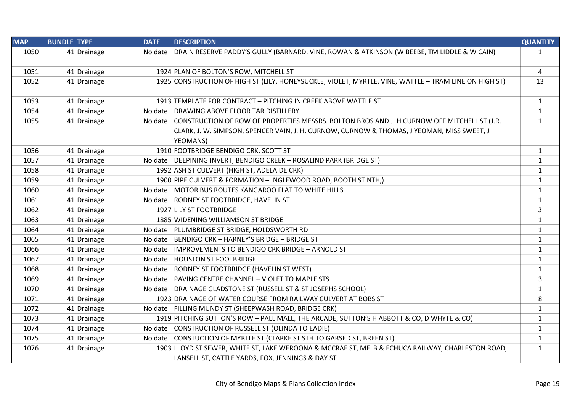| <b>MAP</b> | <b>BUNDLE TYPE</b> |             | <b>DATE</b> | <b>DESCRIPTION</b>                                                                                     | <b>QUANTITY</b> |
|------------|--------------------|-------------|-------------|--------------------------------------------------------------------------------------------------------|-----------------|
| 1050       |                    | 41 Drainage |             | No date DRAIN RESERVE PADDY'S GULLY (BARNARD, VINE, ROWAN & ATKINSON (W BEEBE, TM LIDDLE & W CAIN)     | $\mathbf{1}$    |
| 1051       |                    | 41 Drainage |             | 1924 PLAN OF BOLTON'S ROW, MITCHELL ST                                                                 | 4               |
| 1052       |                    | 41 Drainage |             | 1925 CONSTRUCTION OF HIGH ST (LILY, HONEYSUCKLE, VIOLET, MYRTLE, VINE, WATTLE - TRAM LINE ON HIGH ST)  | 13              |
| 1053       |                    | 41 Drainage |             | 1913 TEMPLATE FOR CONTRACT - PITCHING IN CREEK ABOVE WATTLE ST                                         | $\mathbf{1}$    |
| 1054       |                    | 41 Drainage |             | No date DRAWING ABOVE FLOOR TAR DISTILLERY                                                             | $\mathbf{1}$    |
| 1055       |                    | 41 Drainage |             | No date CONSTRUCTION OF ROW OF PROPERTIES MESSRS. BOLTON BROS AND J. H CURNOW OFF MITCHELL ST (J.R.    | $\mathbf{1}$    |
|            |                    |             |             | CLARK, J. W. SIMPSON, SPENCER VAIN, J. H. CURNOW, CURNOW & THOMAS, J YEOMAN, MISS SWEET, J<br>YEOMANS) |                 |
| 1056       |                    | 41 Drainage |             | 1910 FOOTBRIDGE BENDIGO CRK, SCOTT ST                                                                  | 1               |
| 1057       |                    | 41 Drainage |             | No date   DEEPINING INVERT, BENDIGO CREEK - ROSALIND PARK (BRIDGE ST)                                  | $\mathbf{1}$    |
| 1058       |                    | 41 Drainage |             | 1992 ASH ST CULVERT (HIGH ST, ADELAIDE CRK)                                                            | $\mathbf{1}$    |
| 1059       |                    | 41 Drainage |             | 1900 PIPE CULVERT & FORMATION - INGLEWOOD ROAD, BOOTH ST NTH,)                                         | $\mathbf{1}$    |
| 1060       |                    | 41 Drainage |             | No date MOTOR BUS ROUTES KANGAROO FLAT TO WHITE HILLS                                                  | $\mathbf{1}$    |
| 1061       |                    | 41 Drainage |             | No date RODNEY ST FOOTBRIDGE, HAVELIN ST                                                               | $\mathbf{1}$    |
| 1062       |                    | 41 Drainage |             | 1927 LILY ST FOOTBRIDGE                                                                                | 3               |
| 1063       |                    | 41 Drainage |             | 1885 WIDENING WILLIAMSON ST BRIDGE                                                                     | $\mathbf{1}$    |
| 1064       |                    | 41 Drainage |             | No date   PLUMBRIDGE ST BRIDGE, HOLDSWORTH RD                                                          | 1               |
| 1065       |                    | 41 Drainage | No date     | BENDIGO CRK - HARNEY'S BRIDGE - BRIDGE ST                                                              | $\mathbf{1}$    |
| 1066       |                    | 41 Drainage |             | No date  IMPROVEMENTS TO BENDIGO CRK BRIDGE - ARNOLD ST                                                | $\mathbf{1}$    |
| 1067       |                    | 41 Drainage |             | No date HOUSTON ST FOOTBRIDGE                                                                          | $\mathbf{1}$    |
| 1068       |                    | 41 Drainage |             | No date RODNEY ST FOOTBRIDGE (HAVELIN ST WEST)                                                         | 1               |
| 1069       |                    | 41 Drainage |             | No date PAVING CENTRE CHANNEL - VIOLET TO MAPLE STS                                                    | 3               |
| 1070       |                    | 41 Drainage |             | No date DRAINAGE GLADSTONE ST (RUSSELL ST & ST JOSEPHS SCHOOL)                                         | $\mathbf{1}$    |
| 1071       |                    | 41 Drainage |             | 1923 DRAINAGE OF WATER COURSE FROM RAILWAY CULVERT AT BOBS ST                                          | 8               |
| 1072       |                    | 41 Drainage |             | No date FILLING MUNDY ST (SHEEPWASH ROAD, BRIDGE CRK)                                                  | $\mathbf{1}$    |
| 1073       |                    | 41 Drainage |             | 1919 PITCHING SUTTON'S ROW - PALL MALL, THE ARCADE, SUTTON'S H ABBOTT & CO, D WHYTE & CO)              | $\mathbf{1}$    |
| 1074       |                    | 41 Drainage |             | No date CONSTRUCTION OF RUSSELL ST (OLINDA TO EADIE)                                                   | $\mathbf{1}$    |
| 1075       |                    | 41 Drainage |             | No date CONSTUCTION OF MYRTLE ST (CLARKE ST STH TO GARSED ST, BREEN ST)                                | 1               |
| 1076       |                    | 41 Drainage |             | 1903 LLOYD ST SEWER, WHITE ST, LAKE WEROONA & MCCRAE ST, MELB & ECHUCA RAILWAY, CHARLESTON ROAD,       | $\mathbf{1}$    |
|            |                    |             |             | LANSELL ST, CATTLE YARDS, FOX, JENNINGS & DAY ST                                                       |                 |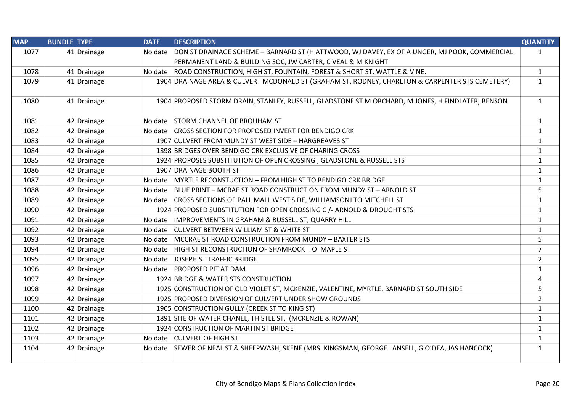| <b>MAP</b> | <b>BUNDLE TYPE</b> |             | <b>DATE</b> | <b>DESCRIPTION</b>                                                                                   | <b>QUANTITY</b> |
|------------|--------------------|-------------|-------------|------------------------------------------------------------------------------------------------------|-----------------|
| 1077       |                    | 41 Drainage |             | No date DON ST DRAINAGE SCHEME - BARNARD ST (H ATTWOOD, WJ DAVEY, EX OF A UNGER, MJ POOK, COMMERCIAL | $\mathbf{1}$    |
|            |                    |             |             | PERMANENT LAND & BUILDING SOC, JW CARTER, C VEAL & M KNIGHT                                          |                 |
| 1078       |                    | 41 Drainage |             | No date ROAD CONSTRUCTION, HIGH ST, FOUNTAIN, FOREST & SHORT ST, WATTLE & VINE.                      | $\mathbf{1}$    |
| 1079       |                    | 41 Drainage |             | 1904 DRAINAGE AREA & CULVERT MCDONALD ST (GRAHAM ST, RODNEY, CHARLTON & CARPENTER STS CEMETERY)      | $\mathbf{1}$    |
|            |                    |             |             |                                                                                                      |                 |
| 1080       |                    | 41 Drainage |             | 1904 PROPOSED STORM DRAIN, STANLEY, RUSSELL, GLADSTONE ST M ORCHARD, M JONES, H FINDLATER, BENSON    | $\mathbf{1}$    |
|            |                    |             |             |                                                                                                      |                 |
| 1081       |                    | 42 Drainage |             | No date STORM CHANNEL OF BROUHAM ST                                                                  | $\mathbf{1}$    |
| 1082       |                    | 42 Drainage |             | No date CROSS SECTION FOR PROPOSED INVERT FOR BENDIGO CRK                                            | $\mathbf{1}$    |
| 1083       |                    | 42 Drainage |             | 1907 CULVERT FROM MUNDY ST WEST SIDE - HARGREAVES ST                                                 | $\mathbf{1}$    |
| 1084       |                    | 42 Drainage |             | 1898 BRIDGES OVER BENDIGO CRK EXCLUSIVE OF CHARING CROSS                                             | $\mathbf{1}$    |
| 1085       |                    | 42 Drainage |             | 1924 PROPOSES SUBSTITUTION OF OPEN CROSSING, GLADSTONE & RUSSELL STS                                 | $\mathbf{1}$    |
| 1086       |                    | 42 Drainage |             | 1907 DRAINAGE BOOTH ST                                                                               | $\mathbf{1}$    |
| 1087       |                    | 42 Drainage |             | No date MYRTLE RECONSTUCTION - FROM HIGH ST TO BENDIGO CRK BRIDGE                                    | $\mathbf{1}$    |
| 1088       |                    | 42 Drainage |             | No date   BLUE PRINT - MCRAE ST ROAD CONSTRUCTION FROM MUNDY ST - ARNOLD ST                          | 5               |
| 1089       |                    | 42 Drainage |             | No date CROSS SECTIONS OF PALL MALL WEST SIDE, WILLIAMSONJ TO MITCHELL ST                            | $\mathbf{1}$    |
| 1090       |                    | 42 Drainage |             | 1924 PROPOSED SUBSTITUTION FOR OPEN CROSSING C /- ARNOLD & DROUGHT STS                               | $\mathbf{1}$    |
| 1091       |                    | 42 Drainage |             | No date  IMPROVEMENTS IN GRAHAM & RUSSELL ST, QUARRY HILL                                            | $\mathbf{1}$    |
| 1092       |                    | 42 Drainage |             | No date CULVERT BETWEEN WILLIAM ST & WHITE ST                                                        | $\mathbf{1}$    |
| 1093       |                    | 42 Drainage |             | No date MCCRAE ST ROAD CONSTRUCTION FROM MUNDY - BAXTER STS                                          | 5               |
| 1094       |                    | 42 Drainage |             | No date HIGH ST RECONSTRUCTION OF SHAMROCK TO MAPLE ST                                               | $\overline{7}$  |
| 1095       |                    | 42 Drainage |             | No date JOSEPH ST TRAFFIC BRIDGE                                                                     | $\overline{2}$  |
| 1096       |                    | 42 Drainage |             | No date PROPOSED PIT AT DAM                                                                          | $\mathbf{1}$    |
| 1097       |                    | 42 Drainage |             | 1924 BRIDGE & WATER STS CONSTRUCTION                                                                 | 4               |
| 1098       |                    | 42 Drainage |             | 1925 CONSTRUCTION OF OLD VIOLET ST, MCKENZIE, VALENTINE, MYRTLE, BARNARD ST SOUTH SIDE               | 5               |
| 1099       |                    | 42 Drainage |             | 1925 PROPOSED DIVERSION OF CULVERT UNDER SHOW GROUNDS                                                | $\overline{2}$  |
| 1100       |                    | 42 Drainage |             | 1905 CONSTRUCTION GULLY (CREEK ST TO KING ST)                                                        | $\mathbf{1}$    |
| 1101       |                    | 42 Drainage |             | 1891 SITE OF WATER CHANEL, THISTLE ST, (MCKENZIE & ROWAN)                                            | $\mathbf{1}$    |
| 1102       |                    | 42 Drainage |             | 1924 CONSTRUCTION OF MARTIN ST BRIDGE                                                                | $\mathbf{1}$    |
| 1103       |                    | 42 Drainage |             | No date CULVERT OF HIGH ST                                                                           | $\mathbf{1}$    |
| 1104       |                    | 42 Drainage |             | No date SEWER OF NEAL ST & SHEEPWASH, SKENE (MRS. KINGSMAN, GEORGE LANSELL, G O'DEA, JAS HANCOCK)    | $\mathbf{1}$    |
|            |                    |             |             |                                                                                                      |                 |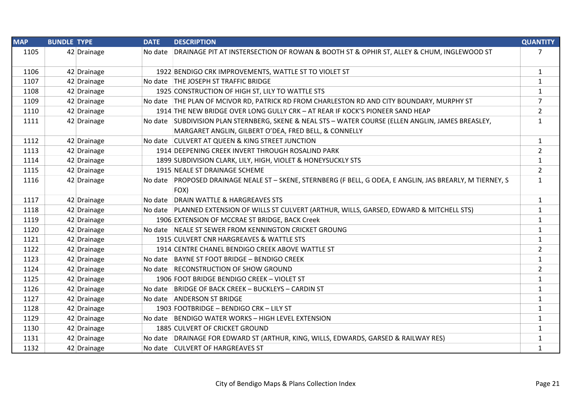| <b>MAP</b> | <b>BUNDLE TYPE</b> | <b>DATE</b> | <b>DESCRIPTION</b>                                                                                         | <b>QUANTITY</b> |
|------------|--------------------|-------------|------------------------------------------------------------------------------------------------------------|-----------------|
| 1105       | 42 Drainage        |             | No date DRAINAGE PIT AT INSTERSECTION OF ROWAN & BOOTH ST & OPHIR ST, ALLEY & CHUM, INGLEWOOD ST           | $\overline{7}$  |
| 1106       | 42 Drainage        |             | 1922 BENDIGO CRK IMPROVEMENTS, WATTLE ST TO VIOLET ST                                                      | $\mathbf{1}$    |
| 1107       | 42 Drainage        |             | No date THE JOSEPH ST TRAFFIC BRIDGE                                                                       | $\mathbf{1}$    |
| 1108       | 42 Drainage        |             | 1925 CONSTRUCTION OF HIGH ST, LILY TO WATTLE STS                                                           | $\mathbf{1}$    |
| 1109       | 42 Drainage        |             | No date THE PLAN OF MCIVOR RD, PATRICK RD FROM CHARLESTON RD AND CITY BOUNDARY, MURPHY ST                  | $\overline{7}$  |
| 1110       | 42 Drainage        |             | 1914 THE NEW BRIDGE OVER LONG GULLY CRK - AT REAR IF KOCK'S PIONEER SAND HEAP                              | $\overline{2}$  |
| 1111       | 42 Drainage        |             | No date   SUBDIVISION PLAN STERNBERG, SKENE & NEAL STS - WATER COURSE (ELLEN ANGLIN, JAMES BREASLEY,       | $\mathbf{1}$    |
|            |                    |             | MARGARET ANGLIN, GILBERT O'DEA, FRED BELL, & CONNELLY                                                      |                 |
| 1112       | 42 Drainage        |             | No date CULVERT AT QUEEN & KING STREET JUNCTION                                                            | $\mathbf{1}$    |
| 1113       | 42 Drainage        |             | 1914 DEEPENING CREEK INVERT THROUGH ROSALIND PARK                                                          | $\overline{2}$  |
| 1114       | 42 Drainage        |             | 1899 SUBDIVISION CLARK, LILY, HIGH, VIOLET & HONEYSUCKLY STS                                               | $\mathbf{1}$    |
| 1115       | 42 Drainage        |             | 1915 NEALE ST DRAINAGE SCHEME                                                                              | $\overline{2}$  |
| 1116       | 42 Drainage        |             | No date PROPOSED DRAINAGE NEALE ST - SKENE, STERNBERG (F BELL, G ODEA, E ANGLIN, JAS BREARLY, M TIERNEY, S | $\mathbf{1}$    |
|            |                    |             | FOX)                                                                                                       |                 |
| 1117       | 42 Drainage        |             | No date DRAIN WATTLE & HARGREAVES STS                                                                      | $\mathbf{1}$    |
| 1118       | 42 Drainage        |             | No date PLANNED EXTENSION OF WILLS ST CULVERT (ARTHUR, WILLS, GARSED, EDWARD & MITCHELL STS)               | $\mathbf{1}$    |
| 1119       | 42 Drainage        |             | 1906 EXTENSION OF MCCRAE ST BRIDGE, BACK Creek                                                             | $\mathbf{1}$    |
| 1120       | 42 Drainage        |             | No date NEALE ST SEWER FROM KENNINGTON CRICKET GROUNG                                                      | $\mathbf{1}$    |
| 1121       | 42 Drainage        |             | 1915 CULVERT CNR HARGREAVES & WATTLE STS                                                                   | $\mathbf{1}$    |
| 1122       | 42 Drainage        |             | 1914 CENTRE CHANEL BENDIGO CREEK ABOVE WATTLE ST                                                           | $\overline{2}$  |
| 1123       | 42 Drainage        |             | No date BAYNE ST FOOT BRIDGE - BENDIGO CREEK                                                               | $\mathbf{1}$    |
| 1124       | 42 Drainage        |             | No date RECONSTRUCTION OF SHOW GROUND                                                                      | $\overline{2}$  |
| 1125       | 42 Drainage        |             | 1906 FOOT BRIDGE BENDIGO CREEK - VIOLET ST                                                                 | $\mathbf{1}$    |
| 1126       | 42 Drainage        |             | No date BRIDGE OF BACK CREEK - BUCKLEYS - CARDIN ST                                                        | $\mathbf{1}$    |
| 1127       | 42 Drainage        |             | No date ANDERSON ST BRIDGE                                                                                 | $\mathbf{1}$    |
| 1128       | 42 Drainage        |             | 1903 FOOTBRIDGE - BENDIGO CRK - LILY ST                                                                    | 1               |
| 1129       | 42 Drainage        |             | No date BENDIGO WATER WORKS - HIGH LEVEL EXTENSION                                                         | $\mathbf{1}$    |
| 1130       | 42 Drainage        |             | 1885 CULVERT OF CRICKET GROUND                                                                             | $\mathbf{1}$    |
| 1131       | 42 Drainage        |             | No date   DRAINAGE FOR EDWARD ST (ARTHUR, KING, WILLS, EDWARDS, GARSED & RAILWAY RES)                      | $\mathbf{1}$    |
| 1132       | 42 Drainage        |             | No date CULVERT OF HARGREAVES ST                                                                           | $\mathbf{1}$    |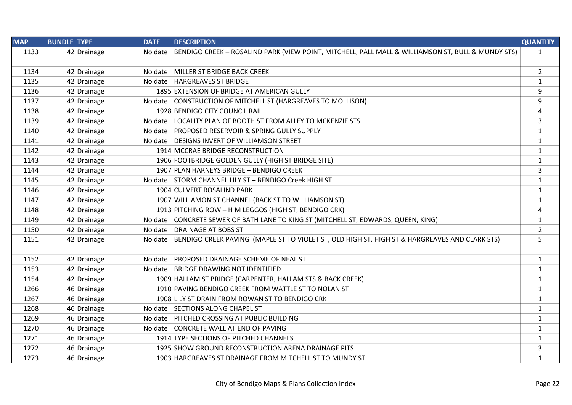| <b>MAP</b> | <b>BUNDLE TYPE</b> | <b>DATE</b> | <b>DESCRIPTION</b>                                                                                        | <b>QUANTITY</b> |
|------------|--------------------|-------------|-----------------------------------------------------------------------------------------------------------|-----------------|
| 1133       | 42 Drainage        |             | No date BENDIGO CREEK - ROSALIND PARK (VIEW POINT, MITCHELL, PALL MALL & WILLIAMSON ST, BULL & MUNDY STS) | $\mathbf{1}$    |
| 1134       | 42 Drainage        |             | No date MILLER ST BRIDGE BACK CREEK                                                                       | $\overline{2}$  |
| 1135       | 42 Drainage        |             | No date HARGREAVES ST BRIDGE                                                                              | $\mathbf{1}$    |
| 1136       | 42 Drainage        |             | 1895 EXTENSION OF BRIDGE AT AMERICAN GULLY                                                                | 9               |
| 1137       | 42 Drainage        |             | No date CONSTRUCTION OF MITCHELL ST (HARGREAVES TO MOLLISON)                                              | 9               |
| 1138       | 42 Drainage        |             | 1928 BENDIGO CITY COUNCIL RAIL                                                                            | 4               |
| 1139       | 42 Drainage        |             | No date LOCALITY PLAN OF BOOTH ST FROM ALLEY TO MCKENZIE STS                                              | 3               |
| 1140       | 42 Drainage        |             | No date PROPOSED RESERVOIR & SPRING GULLY SUPPLY                                                          | $\mathbf{1}$    |
| 1141       | 42 Drainage        |             | No date DESIGNS INVERT OF WILLIAMSON STREET                                                               | $\mathbf{1}$    |
| 1142       | 42 Drainage        |             | 1914 MCCRAE BRIDGE RECONSTRUCTION                                                                         | $\mathbf{1}$    |
| 1143       | 42 Drainage        |             | 1906 FOOTBRIDGE GOLDEN GULLY (HIGH ST BRIDGE SITE)                                                        | $\mathbf{1}$    |
| 1144       | 42 Drainage        |             | 1907 PLAN HARNEYS BRIDGE - BENDIGO CREEK                                                                  | 3               |
| 1145       | 42 Drainage        |             | No date STORM CHANNEL LILY ST - BENDIGO Creek HIGH ST                                                     | $\mathbf{1}$    |
| 1146       | 42 Drainage        |             | 1904 CULVERT ROSALIND PARK                                                                                | $\mathbf{1}$    |
| 1147       | 42 Drainage        |             | 1907 WILLIAMON ST CHANNEL (BACK ST TO WILLIAMSON ST)                                                      | $\mathbf{1}$    |
| 1148       | 42 Drainage        |             | 1913 PITCHING ROW - H M LEGGOS (HIGH ST, BENDIGO CRK)                                                     | 4               |
| 1149       | 42 Drainage        |             | No date CONCRETE SEWER OF BATH LANE TO KING ST (MITCHELL ST, EDWARDS, QUEEN, KING)                        | $\mathbf{1}$    |
| 1150       | 42 Drainage        |             | No date DRAINAGE AT BOBS ST                                                                               | $\overline{2}$  |
| 1151       | 42 Drainage        |             | No date BENDIGO CREEK PAVING (MAPLE ST TO VIOLET ST, OLD HIGH ST, HIGH ST & HARGREAVES AND CLARK STS)     | 5               |
| 1152       | 42 Drainage        |             | No date PROPOSED DRAINAGE SCHEME OF NEAL ST                                                               | $\mathbf{1}$    |
| 1153       | 42 Drainage        |             | No date BRIDGE DRAWING NOT IDENTIFIED                                                                     | $\mathbf{1}$    |
| 1154       | 42 Drainage        |             | 1909 HALLAM ST BRIDGE (CARPENTER, HALLAM STS & BACK CREEK)                                                | $\mathbf{1}$    |
| 1266       | 46 Drainage        |             | 1910 PAVING BENDIGO CREEK FROM WATTLE ST TO NOLAN ST                                                      | $\mathbf{1}$    |
| 1267       | 46 Drainage        |             | 1908 LILY ST DRAIN FROM ROWAN ST TO BENDIGO CRK                                                           | $\mathbf{1}$    |
| 1268       | 46 Drainage        |             | No date SECTIONS ALONG CHAPEL ST                                                                          | $\mathbf{1}$    |
| 1269       | 46 Drainage        |             | No date PITCHED CROSSING AT PUBLIC BUILDING                                                               | $\mathbf{1}$    |
| 1270       | 46 Drainage        |             | No date CONCRETE WALL AT END OF PAVING                                                                    | $\mathbf{1}$    |
| 1271       | 46 Drainage        |             | 1914 TYPE SECTIONS OF PITCHED CHANNELS                                                                    | $\mathbf{1}$    |
| 1272       | 46 Drainage        |             | 1925 SHOW GROUND RECONSTRUCTION ARENA DRAINAGE PITS                                                       | 3               |
| 1273       | 46 Drainage        |             | 1903 HARGREAVES ST DRAINAGE FROM MITCHELL ST TO MUNDY ST                                                  | $\mathbf{1}$    |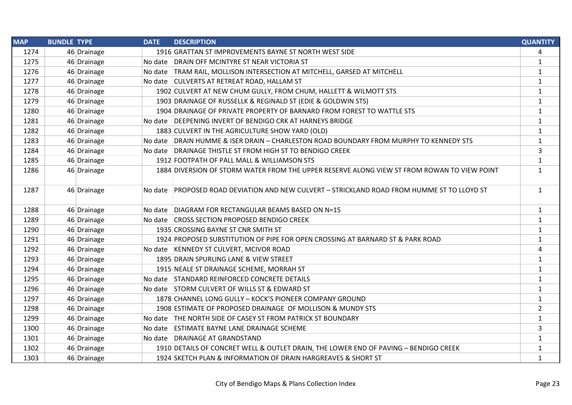| <b>MAP</b> | <b>BUNDLE TYPE</b> |             | <b>DATE</b> | <b>DESCRIPTION</b>                                                                          | <b>QUANTITY</b> |
|------------|--------------------|-------------|-------------|---------------------------------------------------------------------------------------------|-----------------|
| 1274       |                    | 46 Drainage |             | 1916 GRATTAN ST IMPROVEMENTS BAYNE ST NORTH WEST SIDE                                       | 4               |
| 1275       |                    | 46 Drainage |             | No date DRAIN OFF MCINTYRE ST NEAR VICTORIA ST                                              | 1               |
| 1276       |                    | 46 Drainage |             | No date   TRAM RAIL, MOLLISON INTERSECTION AT MITCHELL, GARSED AT MITCHELL                  | $\mathbf{1}$    |
| 1277       |                    | 46 Drainage |             | No date CULVERTS AT RETREAT ROAD, HALLAM ST                                                 | $\mathbf{1}$    |
| 1278       |                    | 46 Drainage |             | 1902 CULVERT AT NEW CHUM GULLY, FROM CHUM, HALLETT & WILMOTT STS                            | $\mathbf{1}$    |
| 1279       |                    | 46 Drainage |             | 1903 DRAINAGE OF RUSSELLK & REGINALD ST (EDIE & GOLDWIN STS)                                | $\mathbf{1}$    |
| 1280       |                    | 46 Drainage |             | 1904 DRAINAGE OF PRIVATE PROPERTY OF BARNARD FROM FOREST TO WATTLE STS                      | $\mathbf{1}$    |
| 1281       |                    | 46 Drainage |             | No date DEEPENING INVERT OF BENDIGO CRK AT HARNEYS BRIDGE                                   | $\mathbf{1}$    |
| 1282       |                    | 46 Drainage |             | 1883 CULVERT IN THE AGRICULTURE SHOW YARD (OLD)                                             | $\mathbf{1}$    |
| 1283       |                    | 46 Drainage |             | No date DRAIN HUMME & ISER DRAIN - CHARLESTON ROAD BOUNDARY FROM MURPHY TO KENNEDY STS      | $\mathbf{1}$    |
| 1284       |                    | 46 Drainage |             | No date DRAINAGE THISTLE ST FROM HIGH ST TO BENDIGO CREEK                                   | 3               |
| 1285       |                    | 46 Drainage |             | 1912 FOOTPATH OF PALL MALL & WILLIAMSON STS                                                 | $\mathbf{1}$    |
| 1286       |                    | 46 Drainage |             | 1884 DIVERSION OF STORM WATER FROM THE UPPER RESERVE ALONG VIEW ST FROM ROWAN TO VIEW POINT | $\mathbf{1}$    |
| 1287       |                    | 46 Drainage |             | No date PROPOSED ROAD DEVIATION AND NEW CULVERT - STRICKLAND ROAD FROM HUMME ST TO LLOYD ST | $\mathbf{1}$    |
| 1288       |                    | 46 Drainage |             | No date DIAGRAM FOR RECTANGULAR BEAMS BASED ON N=15                                         | $\mathbf{1}$    |
| 1289       |                    | 46 Drainage |             | No date CROSS SECTION PROPOSED BENDIGO CREEK                                                | $\mathbf{1}$    |
| 1290       |                    | 46 Drainage |             | 1935 CROSSING BAYNE ST CNR SMITH ST                                                         | $\mathbf{1}$    |
| 1291       |                    | 46 Drainage |             | 1924 PROPOSED SUBSTITUTION OF PIPE FOR OPEN CROSSING AT BARNARD ST & PARK ROAD              | $\mathbf{1}$    |
| 1292       |                    | 46 Drainage |             | No date KENNEDY ST CULVERT, MCIVOR ROAD                                                     | 4               |
| 1293       |                    | 46 Drainage |             | 1895 DRAIN SPURLING LANE & VIEW STREET                                                      | $\mathbf 1$     |
| 1294       |                    | 46 Drainage |             | 1915 NEALE ST DRAINAGE SCHEME, MORRAH ST                                                    | $\mathbf{1}$    |
| 1295       |                    | 46 Drainage |             | No date STANDARD REINFORCED CONCRETE DETAILS                                                | $\mathbf{1}$    |
| 1296       |                    | 46 Drainage |             | No date STORM CULVERT OF WILLS ST & EDWARD ST                                               | $\mathbf{1}$    |
| 1297       |                    | 46 Drainage |             | 1878 CHANNEL LONG GULLY - KOCK'S PIONEER COMPANY GROUND                                     | $\mathbf{1}$    |
| 1298       |                    | 46 Drainage |             | 1908 ESTIMATE OF PROPOSED DRAINAGE OF MOLLISON & MUNDY STS                                  | $\overline{2}$  |
| 1299       |                    | 46 Drainage |             | No date THE NORTH SIDE OF CASEY ST FROM PATRICK ST BOUNDARY                                 | $\mathbf{1}$    |
| 1300       |                    | 46 Drainage |             | No date ESTIMATE BAYNE LANE DRAINAGE SCHEME                                                 | 3               |
| 1301       |                    | 46 Drainage |             | No date DRAINAGE AT GRANDSTAND                                                              | $\mathbf{1}$    |
| 1302       |                    | 46 Drainage |             | 1910 DETAILS OF CONCRET WELL & OUTLET DRAIN, THE LOWER END OF PAVING - BENDIGO CREEK        | $\mathbf{1}$    |
| 1303       |                    | 46 Drainage |             | 1924 SKETCH PLAN & INFORMATION OF DRAIN HARGREAVES & SHORT ST                               | $\mathbf{1}$    |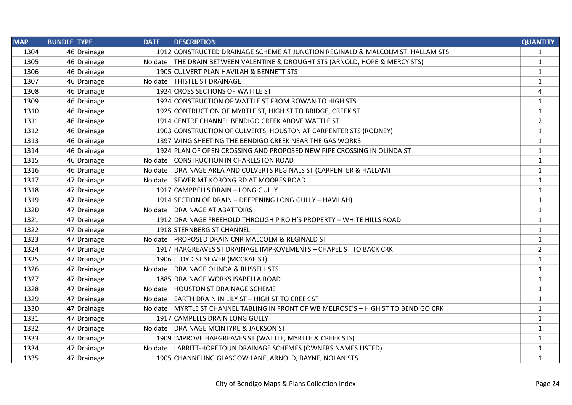| <b>MAP</b> | <b>BUNDLE TYPE</b> |             | <b>DATE</b> | <b>DESCRIPTION</b>                                                                  | <b>QUANTITY</b> |
|------------|--------------------|-------------|-------------|-------------------------------------------------------------------------------------|-----------------|
| 1304       |                    | 46 Drainage |             | 1912 CONSTRUCTED DRAINAGE SCHEME AT JUNCTION REGINALD & MALCOLM ST, HALLAM STS      | $\mathbf{1}$    |
| 1305       |                    | 46 Drainage |             | No date THE DRAIN BETWEEN VALENTINE & DROUGHT STS (ARNOLD, HOPE & MERCY STS)        | $\mathbf{1}$    |
| 1306       |                    | 46 Drainage |             | 1905 CULVERT PLAN HAVILAH & BENNETT STS                                             | $\mathbf{1}$    |
| 1307       |                    | 46 Drainage |             | No date THISTLE ST DRAINAGE                                                         | $\mathbf{1}$    |
| 1308       |                    | 46 Drainage |             | 1924 CROSS SECTIONS OF WATTLE ST                                                    | 4               |
| 1309       |                    | 46 Drainage |             | 1924 CONSTRUCTION OF WATTLE ST FROM ROWAN TO HIGH STS                               | $\mathbf{1}$    |
| 1310       |                    | 46 Drainage |             | 1925 CONTRUCTION OF MYRTLE ST, HIGH ST TO BRIDGE, CREEK ST                          | $\mathbf{1}$    |
| 1311       |                    | 46 Drainage |             | 1914 CENTRE CHANNEL BENDIGO CREEK ABOVE WATTLE ST                                   | $\overline{2}$  |
| 1312       |                    | 46 Drainage |             | 1903 CONSTRUCTION OF CULVERTS, HOUSTON AT CARPENTER STS (RODNEY)                    | $\mathbf{1}$    |
| 1313       |                    | 46 Drainage |             | 1897 WING SHEETING THE BENDIGO CREEK NEAR THE GAS WORKS                             | $\mathbf{1}$    |
| 1314       |                    | 46 Drainage |             | 1924 PLAN OF OPEN CROSSING AND PROPOSED NEW PIPE CROSSING IN OLINDA ST              | $\mathbf{1}$    |
| 1315       |                    | 46 Drainage |             | No date CONSTRUCTION IN CHARLESTON ROAD                                             | $\mathbf{1}$    |
| 1316       |                    | 46 Drainage |             | No date DRAINAGE AREA AND CULVERTS REGINALS ST (CARPENTER & HALLAM)                 | $\mathbf{1}$    |
| 1317       |                    | 47 Drainage |             | No date SEWER MT KORONG RD AT MOORES ROAD                                           | $\mathbf{1}$    |
| 1318       |                    | 47 Drainage |             | 1917 CAMPBELLS DRAIN - LONG GULLY                                                   | $\mathbf{1}$    |
| 1319       |                    | 47 Drainage |             | 1914 SECTION OF DRAIN - DEEPENING LONG GULLY - HAVILAH)                             | $\mathbf{1}$    |
| 1320       |                    | 47 Drainage |             | No date DRAINAGE AT ABATTOIRS                                                       | $\mathbf{1}$    |
| 1321       |                    | 47 Drainage |             | 1912 DRAINAGE FREEHOLD THROUGH P RO H'S PROPERTY - WHITE HILLS ROAD                 | $\mathbf{1}$    |
| 1322       |                    | 47 Drainage |             | 1918 STERNBERG ST CHANNEL                                                           | $\mathbf{1}$    |
| 1323       |                    | 47 Drainage |             | No date PROPOSED DRAIN CNR MALCOLM & REGINALD ST                                    | $\mathbf{1}$    |
| 1324       |                    | 47 Drainage |             | 1917 HARGREAVES ST DRAINAGE IMPROVEMENTS - CHAPEL ST TO BACK CRK                    | $\overline{2}$  |
| 1325       |                    | 47 Drainage |             | 1906 LLOYD ST SEWER (MCCRAE ST)                                                     | $\mathbf{1}$    |
| 1326       |                    | 47 Drainage |             | No date DRAINAGE OLINDA & RUSSELL STS                                               | $\mathbf{1}$    |
| 1327       |                    | 47 Drainage |             | 1885 DRAINAGE WORKS ISABELLA ROAD                                                   | $\mathbf{1}$    |
| 1328       |                    | 47 Drainage |             | No date HOUSTON ST DRAINAGE SCHEME                                                  | $\mathbf{1}$    |
| 1329       |                    | 47 Drainage |             | No date EARTH DRAIN IN LILY ST - HIGH ST TO CREEK ST                                | $\mathbf{1}$    |
| 1330       |                    | 47 Drainage |             | No date MYRTLE ST CHANNEL TABLING IN FRONT OF WB MELROSE'S - HIGH ST TO BENDIGO CRK | $\mathbf{1}$    |
| 1331       |                    | 47 Drainage |             | 1917 CAMPELLS DRAIN LONG GULLY                                                      | $\mathbf{1}$    |
| 1332       |                    | 47 Drainage |             | No date DRAINAGE MCINTYRE & JACKSON ST                                              | $\mathbf{1}$    |
| 1333       |                    | 47 Drainage |             | 1909 IMPROVE HARGREAVES ST (WATTLE, MYRTLE & CREEK STS)                             | $\mathbf{1}$    |
| 1334       |                    | 47 Drainage |             | No date LARRITT-HOPETOUN DRAINAGE SCHEMES (OWNERS NAMES LISTED)                     | $\mathbf{1}$    |
| 1335       |                    | 47 Drainage |             | 1905 CHANNELING GLASGOW LANE, ARNOLD, BAYNE, NOLAN STS                              | $\mathbf{1}$    |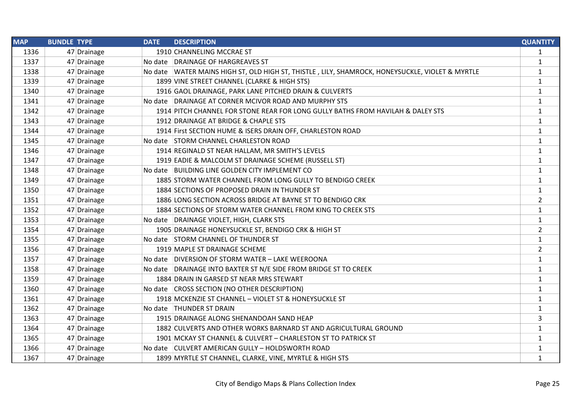| <b>MAP</b> | <b>BUNDLE TYPE</b> | <b>DATE</b> | <b>DESCRIPTION</b>                                                                                | <b>QUANTITY</b> |
|------------|--------------------|-------------|---------------------------------------------------------------------------------------------------|-----------------|
| 1336       | 47 Drainage        |             | 1910 CHANNELING MCCRAE ST                                                                         | 1               |
| 1337       | 47 Drainage        |             | No date DRAINAGE OF HARGREAVES ST                                                                 | $\mathbf{1}$    |
| 1338       | 47 Drainage        |             | No date   WATER MAINS HIGH ST, OLD HIGH ST, THISTLE, LILY, SHAMROCK, HONEYSUCKLE, VIOLET & MYRTLE | $\mathbf{1}$    |
| 1339       | 47 Drainage        |             | 1899 VINE STREET CHANNEL (CLARKE & HIGH STS)                                                      | $\mathbf{1}$    |
| 1340       | 47 Drainage        |             | 1916 GAOL DRAINAGE, PARK LANE PITCHED DRAIN & CULVERTS                                            | $\mathbf{1}$    |
| 1341       | 47 Drainage        |             | No date DRAINAGE AT CORNER MCIVOR ROAD AND MURPHY STS                                             | $\mathbf{1}$    |
| 1342       | 47 Drainage        |             | 1914 PITCH CHANNEL FOR STONE REAR FOR LONG GULLY BATHS FROM HAVILAH & DALEY STS                   | $\mathbf{1}$    |
| 1343       | 47 Drainage        |             | 1912 DRAINAGE AT BRIDGE & CHAPLE STS                                                              | $\mathbf{1}$    |
| 1344       | 47 Drainage        |             | 1914 First SECTION HUME & ISERS DRAIN OFF, CHARLESTON ROAD                                        | $\mathbf{1}$    |
| 1345       | 47 Drainage        |             | No date STORM CHANNEL CHARLESTON ROAD                                                             | $\mathbf{1}$    |
| 1346       | 47 Drainage        |             | 1914 REGINALD ST NEAR HALLAM, MR SMITH'S LEVELS                                                   | $\mathbf{1}$    |
| 1347       | 47 Drainage        |             | 1919 EADIE & MALCOLM ST DRAINAGE SCHEME (RUSSELL ST)                                              | $\mathbf{1}$    |
| 1348       | 47 Drainage        |             | No date BUILDING LINE GOLDEN CITY IMPLEMENT CO                                                    | $\mathbf{1}$    |
| 1349       | 47 Drainage        |             | 1885 STORM WATER CHANNEL FROM LONG GULLY TO BENDIGO CREEK                                         | $\mathbf{1}$    |
| 1350       | 47 Drainage        |             | 1884 SECTIONS OF PROPOSED DRAIN IN THUNDER ST                                                     | $\mathbf{1}$    |
| 1351       | 47 Drainage        |             | 1886 LONG SECTION ACROSS BRIDGE AT BAYNE ST TO BENDIGO CRK                                        | $\overline{2}$  |
| 1352       | 47 Drainage        |             | 1884 SECTIONS OF STORM WATER CHANNEL FROM KING TO CREEK STS                                       | $\mathbf{1}$    |
| 1353       | 47 Drainage        |             | No date   DRAINAGE VIOLET, HIGH, CLARK STS                                                        | $\mathbf{1}$    |
| 1354       | 47 Drainage        |             | 1905 DRAINAGE HONEYSUCKLE ST, BENDIGO CRK & HIGH ST                                               | $\overline{2}$  |
| 1355       | 47 Drainage        |             | No date STORM CHANNEL OF THUNDER ST                                                               | $\mathbf{1}$    |
| 1356       | 47 Drainage        |             | 1919 MAPLE ST DRAINAGE SCHEME                                                                     | $\overline{2}$  |
| 1357       | 47 Drainage        |             | No date   DIVERSION OF STORM WATER - LAKE WEEROONA                                                | $\mathbf{1}$    |
| 1358       | 47 Drainage        |             | No date DRAINAGE INTO BAXTER ST N/E SIDE FROM BRIDGE ST TO CREEK                                  | $\mathbf{1}$    |
| 1359       | 47 Drainage        |             | 1884 DRAIN IN GARSED ST NEAR MRS STEWART                                                          | $\mathbf{1}$    |
| 1360       | 47 Drainage        |             | No date CROSS SECTION (NO OTHER DESCRIPTION)                                                      | $\mathbf{1}$    |
| 1361       | 47 Drainage        |             | 1918 MCKENZIE ST CHANNEL - VIOLET ST & HONEYSUCKLE ST                                             | $\mathbf{1}$    |
| 1362       | 47 Drainage        |             | No date   THUNDER ST DRAIN                                                                        | $\mathbf{1}$    |
| 1363       | 47 Drainage        |             | 1915 DRAINAGE ALONG SHENANDOAH SAND HEAP                                                          | 3               |
| 1364       | 47 Drainage        |             | 1882 CULVERTS AND OTHER WORKS BARNARD ST AND AGRICULTURAL GROUND                                  | $\mathbf{1}$    |
| 1365       | 47 Drainage        |             | 1901 MCKAY ST CHANNEL & CULVERT - CHARLESTON ST TO PATRICK ST                                     | $\mathbf{1}$    |
| 1366       | 47 Drainage        |             | No date CULVERT AMERICAN GULLY - HOLDSWORTH ROAD                                                  | $\mathbf{1}$    |
| 1367       | 47 Drainage        |             | 1899 MYRTLE ST CHANNEL, CLARKE, VINE, MYRTLE & HIGH STS                                           | $\mathbf{1}$    |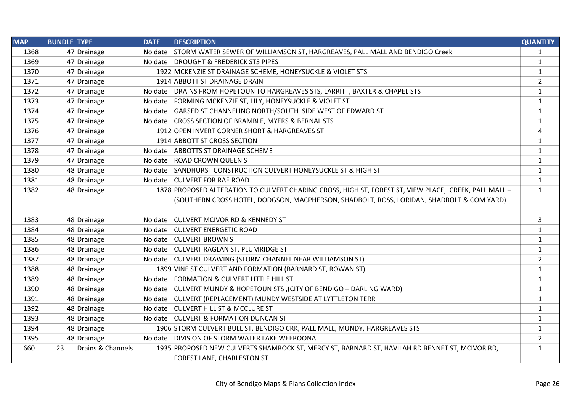| <b>MAP</b> | <b>BUNDLE TYPE</b> |                   | <b>DATE</b> | <b>DESCRIPTION</b>                                                                                    | <b>QUANTITY</b> |
|------------|--------------------|-------------------|-------------|-------------------------------------------------------------------------------------------------------|-----------------|
| 1368       |                    | 47 Drainage       |             | No date STORM WATER SEWER OF WILLIAMSON ST, HARGREAVES, PALL MALL AND BENDIGO Creek                   | 1               |
| 1369       |                    | 47 Drainage       |             | No date DROUGHT & FREDERICK STS PIPES                                                                 | $\mathbf{1}$    |
| 1370       |                    | 47 Drainage       |             | 1922 MCKENZIE ST DRAINAGE SCHEME, HONEYSUCKLE & VIOLET STS                                            | $\mathbf{1}$    |
| 1371       |                    | 47 Drainage       |             | 1914 ABBOTT ST DRAINAGE DRAIN                                                                         | $\overline{2}$  |
| 1372       |                    | 47 Drainage       |             | No date DRAINS FROM HOPETOUN TO HARGREAVES STS, LARRITT, BAXTER & CHAPEL STS                          | $\mathbf{1}$    |
| 1373       |                    | 47 Drainage       |             | No date FORMING MCKENZIE ST, LILY, HONEYSUCKLE & VIOLET ST                                            | $\mathbf{1}$    |
| 1374       |                    | 47 Drainage       |             | No date GARSED ST CHANNELING NORTH/SOUTH SIDE WEST OF EDWARD ST                                       | $\mathbf{1}$    |
| 1375       |                    | 47 Drainage       |             | No date CROSS SECTION OF BRAMBLE, MYERS & BERNAL STS                                                  | 1               |
| 1376       |                    | 47 Drainage       |             | 1912 OPEN INVERT CORNER SHORT & HARGREAVES ST                                                         | 4               |
| 1377       |                    | 47 Drainage       |             | 1914 ABBOTT ST CROSS SECTION                                                                          | $\mathbf{1}$    |
| 1378       |                    | 47 Drainage       |             | No date ABBOTTS ST DRAINAGE SCHEME                                                                    | $\mathbf{1}$    |
| 1379       |                    | 47 Drainage       |             | No date ROAD CROWN QUEEN ST                                                                           | 1               |
| 1380       |                    | 48 Drainage       |             | No date SANDHURST CONSTRUCTION CULVERT HONEYSUCKLE ST & HIGH ST                                       | $\mathbf{1}$    |
| 1381       |                    | 48 Drainage       |             | No date CULVERT FOR RAE ROAD                                                                          | $\mathbf{1}$    |
| 1382       |                    | 48 Drainage       |             | 1878 PROPOSED ALTERATION TO CULVERT CHARING CROSS, HIGH ST, FOREST ST, VIEW PLACE, CREEK, PALL MALL - | $\mathbf{1}$    |
|            |                    |                   |             | (SOUTHERN CROSS HOTEL, DODGSON, MACPHERSON, SHADBOLT, ROSS, LORIDAN, SHADBOLT & COM YARD)             |                 |
| 1383       |                    | 48 Drainage       |             | No date CULVERT MCIVOR RD & KENNEDY ST                                                                | 3               |
| 1384       |                    | 48 Drainage       |             | No date CULVERT ENERGETIC ROAD                                                                        | $\mathbf{1}$    |
| 1385       |                    | 48 Drainage       |             | No date CULVERT BROWN ST                                                                              | $\mathbf{1}$    |
| 1386       |                    | 48 Drainage       |             | No date CULVERT RAGLAN ST, PLUMRIDGE ST                                                               | 1               |
| 1387       |                    | 48 Drainage       |             | No date CULVERT DRAWING (STORM CHANNEL NEAR WILLIAMSON ST)                                            | $\overline{2}$  |
| 1388       |                    | 48 Drainage       |             | 1899 VINE ST CULVERT AND FORMATION (BARNARD ST, ROWAN ST)                                             | $\mathbf{1}$    |
| 1389       |                    | 48 Drainage       |             | No date FORMATION & CULVERT LITTLE HILL ST                                                            | $\mathbf{1}$    |
| 1390       |                    | 48 Drainage       |             | No date CULVERT MUNDY & HOPETOUN STS, (CITY OF BENDIGO - DARLING WARD)                                | 1               |
| 1391       |                    | 48 Drainage       |             | No date CULVERT (REPLACEMENT) MUNDY WESTSIDE AT LYTTLETON TERR                                        | $\mathbf{1}$    |
| 1392       |                    | 48 Drainage       |             | No date CULVERT HILL ST & MCCLURE ST                                                                  | $\mathbf{1}$    |
| 1393       |                    | 48 Drainage       |             | No date CULVERT & FORMATION DUNCAN ST                                                                 | $\mathbf{1}$    |
| 1394       |                    | 48 Drainage       |             | 1906 STORM CULVERT BULL ST, BENDIGO CRK, PALL MALL, MUNDY, HARGREAVES STS                             | $\mathbf{1}$    |
| 1395       |                    | 48 Drainage       |             | No date   DIVISION OF STORM WATER LAKE WEEROONA                                                       | $\overline{2}$  |
| 660        | 23                 | Drains & Channels |             | 1935 PROPOSED NEW CULVERTS SHAMROCK ST, MERCY ST, BARNARD ST, HAVILAH RD BENNET ST, MCIVOR RD,        | $\mathbf{1}$    |
|            |                    |                   |             | FOREST LANE, CHARLESTON ST                                                                            |                 |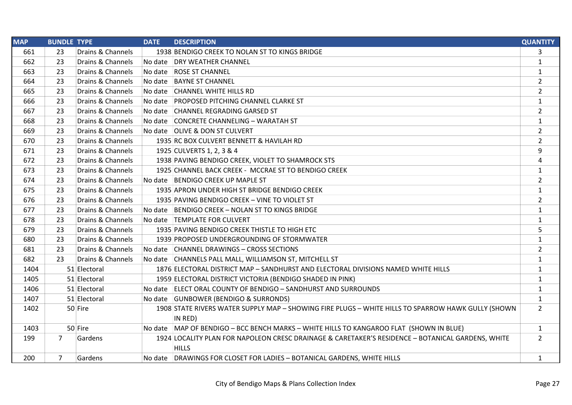| <b>MAP</b> | <b>BUNDLE TYPE</b> |                   | <b>DATE</b> | <b>DESCRIPTION</b>                                                                                 | <b>QUANTITY</b> |
|------------|--------------------|-------------------|-------------|----------------------------------------------------------------------------------------------------|-----------------|
| 661        | 23                 | Drains & Channels |             | 1938 BENDIGO CREEK TO NOLAN ST TO KINGS BRIDGE                                                     | 3               |
| 662        | 23                 | Drains & Channels |             | No date DRY WEATHER CHANNEL                                                                        | $\mathbf{1}$    |
| 663        | 23                 | Drains & Channels |             | No date ROSE ST CHANNEL                                                                            | $\mathbf{1}$    |
| 664        | 23                 | Drains & Channels | No date     | <b>BAYNE ST CHANNEL</b>                                                                            | $\overline{2}$  |
| 665        | 23                 | Drains & Channels | No date     | <b>CHANNEL WHITE HILLS RD</b>                                                                      | $\overline{2}$  |
| 666        | 23                 | Drains & Channels |             | No date PROPOSED PITCHING CHANNEL CLARKE ST                                                        | $\mathbf{1}$    |
| 667        | 23                 | Drains & Channels |             | No date CHANNEL REGRADING GARSED ST                                                                | $\overline{2}$  |
| 668        | 23                 | Drains & Channels |             | No date CONCRETE CHANNELING - WARATAH ST                                                           | $\mathbf{1}$    |
| 669        | 23                 | Drains & Channels |             | No date OLIVE & DON ST CULVERT                                                                     | $\overline{2}$  |
| 670        | 23                 | Drains & Channels |             | 1935 RC BOX CULVERT BENNETT & HAVILAH RD                                                           | $\overline{2}$  |
| 671        | 23                 | Drains & Channels |             | 1925 CULVERTS 1, 2, 3 & 4                                                                          | 9               |
| 672        | 23                 | Drains & Channels |             | 1938 PAVING BENDIGO CREEK, VIOLET TO SHAMROCK STS                                                  | 4               |
| 673        | 23                 | Drains & Channels |             | 1925 CHANNEL BACK CREEK - MCCRAE ST TO BENDIGO CREEK                                               | $\mathbf{1}$    |
| 674        | 23                 | Drains & Channels |             | No date BENDIGO CREEK UP MAPLE ST                                                                  | $\overline{2}$  |
| 675        | 23                 | Drains & Channels |             | 1935 APRON UNDER HIGH ST BRIDGE BENDIGO CREEK                                                      | $\mathbf{1}$    |
| 676        | 23                 | Drains & Channels |             | 1935 PAVING BENDIGO CREEK - VINE TO VIOLET ST                                                      | $\overline{2}$  |
| 677        | 23                 | Drains & Channels |             | No date BENDIGO CREEK - NOLAN ST TO KINGS BRIDGE                                                   | $\mathbf{1}$    |
| 678        | 23                 | Drains & Channels |             | No date TEMPLATE FOR CULVERT                                                                       | $\mathbf{1}$    |
| 679        | 23                 | Drains & Channels |             | 1935 PAVING BENDIGO CREEK THISTLE TO HIGH ETC                                                      | 5               |
| 680        | 23                 | Drains & Channels |             | 1939 PROPOSED UNDERGROUNDING OF STORMWATER                                                         | $\mathbf{1}$    |
| 681        | 23                 | Drains & Channels |             | No date CHANNEL DRAWINGS - CROSS SECTIONS                                                          | $\overline{2}$  |
| 682        | 23                 | Drains & Channels |             | No date CHANNELS PALL MALL, WILLIAMSON ST, MITCHELL ST                                             | $\mathbf{1}$    |
| 1404       |                    | 51 Electoral      |             | 1876 ELECTORAL DISTRICT MAP - SANDHURST AND ELECTORAL DIVISIONS NAMED WHITE HILLS                  | $\mathbf{1}$    |
| 1405       |                    | 51 Electoral      |             | 1959 ELECTORAL DISTRICT VICTORIA (BENDIGO SHADED IN PINK)                                          | $\mathbf{1}$    |
| 1406       |                    | 51 Electoral      |             | No date ELECT ORAL COUNTY OF BENDIGO - SANDHURST AND SURROUNDS                                     | $\mathbf{1}$    |
| 1407       |                    | 51 Electoral      |             | No date GUNBOWER (BENDIGO & SURRONDS)                                                              | $\mathbf{1}$    |
| 1402       |                    | 50 Fire           |             | 1908 STATE RIVERS WATER SUPPLY MAP - SHOWING FIRE PLUGS - WHITE HILLS TO SPARROW HAWK GULLY (SHOWN | $\overline{2}$  |
|            |                    |                   |             | IN RED)                                                                                            |                 |
| 1403       |                    | 50 Fire           |             | No date MAP OF BENDIGO - BCC BENCH MARKS - WHITE HILLS TO KANGAROO FLAT (SHOWN IN BLUE)            | $\mathbf{1}$    |
| 199        | 7                  | Gardens           |             | 1924 LOCALITY PLAN FOR NAPOLEON CRESC DRAINAGE & CARETAKER'S RESIDENCE - BOTANICAL GARDENS, WHITE  | $\overline{2}$  |
|            |                    |                   |             | <b>HILLS</b>                                                                                       |                 |
| 200        | 7                  | Gardens           |             | No date DRAWINGS FOR CLOSET FOR LADIES - BOTANICAL GARDENS, WHITE HILLS                            | $\mathbf{1}$    |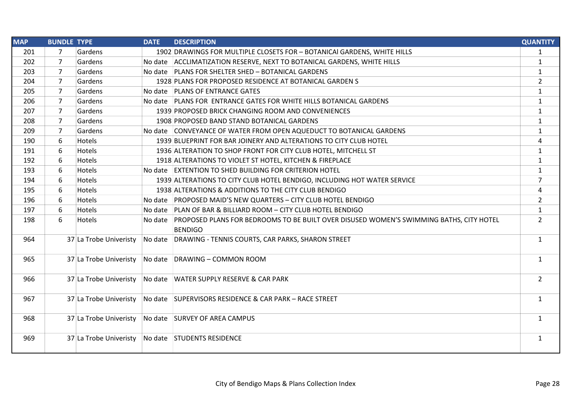| <b>MAP</b> | <b>BUNDLE TYPE</b> |                        | <b>DATE</b> | <b>DESCRIPTION</b>                                                                              | <b>QUANTITY</b> |
|------------|--------------------|------------------------|-------------|-------------------------------------------------------------------------------------------------|-----------------|
| 201        | 7                  | Gardens                |             | 1902 DRAWINGS FOR MULTIPLE CLOSETS FOR - BOTANICAI GARDENS, WHITE HILLS                         | $\mathbf{1}$    |
| 202        | $\overline{7}$     | Gardens                |             | No date ACCLIMATIZATION RESERVE, NEXT TO BOTANICAL GARDENS, WHITE HILLS                         | $\mathbf{1}$    |
| 203        | $\overline{7}$     | Gardens                |             | No date PLANS FOR SHELTER SHED - BOTANICAL GARDENS                                              | $\mathbf{1}$    |
| 204        | 7                  | Gardens                |             | 1928 PLANS FOR PROPOSED RESIDENCE AT BOTANICAL GARDEN S                                         | $\overline{2}$  |
| 205        | $\overline{7}$     | Gardens                |             | No date PLANS OF ENTRANCE GATES                                                                 | $\mathbf{1}$    |
| 206        | 7                  | Gardens                |             | No date PLANS FOR ENTRANCE GATES FOR WHITE HILLS BOTANICAL GARDENS                              | $\mathbf{1}$    |
| 207        | 7                  | Gardens                |             | 1939 PROPOSED BRICK CHANGING ROOM AND CONVENIENCES                                              | $\mathbf{1}$    |
| 208        | $\overline{7}$     | Gardens                |             | 1908 PROPOSED BAND STAND BOTANICAL GARDENS                                                      | $\mathbf{1}$    |
| 209        | 7                  | Gardens                |             | No date CONVEYANCE OF WATER FROM OPEN AQUEDUCT TO BOTANICAL GARDENS                             | $\mathbf{1}$    |
| 190        | 6                  | <b>Hotels</b>          |             | 1939 BLUEPRINT FOR BAR JOINERY AND ALTERATIONS TO CITY CLUB HOTEL                               | 4               |
| 191        | 6                  | <b>Hotels</b>          |             | 1936 ALTERATION TO SHOP FRONT FOR CITY CLUB HOTEL, MITCHELL ST                                  | $\mathbf{1}$    |
| 192        | 6                  | <b>Hotels</b>          |             | 1918 ALTERATIONS TO VIOLET ST HOTEL, KITCHEN & FIREPLACE                                        | $\mathbf{1}$    |
| 193        | 6                  | <b>Hotels</b>          |             | No date EXTENTION TO SHED BUILDING FOR CRITERION HOTEL                                          | $\mathbf{1}$    |
| 194        | 6                  | <b>Hotels</b>          |             | 1939 ALTERATIONS TO CITY CLUB HOTEL BENDIGO, INCLUDING HOT WATER SERVICE                        | $\overline{7}$  |
| 195        | 6                  | Hotels                 |             | 1938 ALTERATIONS & ADDITIONS TO THE CITY CLUB BENDIGO                                           | 4               |
| 196        | 6                  | <b>Hotels</b>          |             | No date PROPOSED MAID'S NEW QUARTERS - CITY CLUB HOTEL BENDIGO                                  | $\overline{2}$  |
| 197        | 6                  | <b>Hotels</b>          |             | No date PLAN OF BAR & BILLIARD ROOM - CITY CLUB HOTEL BENDIGO                                   | $\mathbf{1}$    |
| 198        | 6                  | Hotels                 |             | No date PROPOSED PLANS FOR BEDROOMS TO BE BUILT OVER DISUSED WOMEN'S SWIMMING BATHS, CITY HOTEL | $\overline{2}$  |
|            |                    |                        |             | <b>BENDIGO</b>                                                                                  |                 |
| 964        |                    | 37 La Trobe Univeristy |             | No date DRAWING - TENNIS COURTS, CAR PARKS, SHARON STREET                                       | $\mathbf{1}$    |
| 965        |                    | 37 La Trobe Univeristy |             | No date DRAWING - COMMON ROOM                                                                   | $\mathbf{1}$    |
| 966        |                    | 37 La Trobe Univeristy |             | No date WATER SUPPLY RESERVE & CAR PARK                                                         | $\overline{2}$  |
| 967        |                    | 37 La Trobe Univeristy |             | No date SUPERVISORS RESIDENCE & CAR PARK - RACE STREET                                          | $\mathbf{1}$    |
| 968        |                    | 37 La Trobe Univeristy |             | No date SURVEY OF AREA CAMPUS                                                                   | $\mathbf{1}$    |
| 969        |                    | 37 La Trobe Univeristy |             | No date STUDENTS RESIDENCE                                                                      | $\mathbf{1}$    |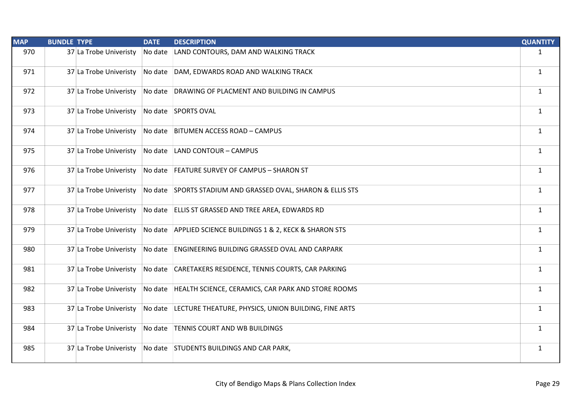| <b>MAP</b> | <b>BUNDLE TYPE</b> |                        | <b>DATE</b> | <b>DESCRIPTION</b>                                           | <b>QUANTITY</b> |
|------------|--------------------|------------------------|-------------|--------------------------------------------------------------|-----------------|
| 970        |                    | 37 La Trobe Univeristy | No date     | LAND CONTOURS, DAM AND WALKING TRACK                         | $\mathbf{1}$    |
| 971        |                    | 37 La Trobe Univeristy |             | No date DAM, EDWARDS ROAD AND WALKING TRACK                  | $\mathbf{1}$    |
| 972        |                    | 37 La Trobe Univeristy |             | No date DRAWING OF PLACMENT AND BUILDING IN CAMPUS           | $\mathbf{1}$    |
| 973        |                    | 37 La Trobe Univeristy |             | No date SPORTS OVAL                                          | $\mathbf{1}$    |
| 974        |                    | 37 La Trobe Univeristy |             | No date BITUMEN ACCESS ROAD - CAMPUS                         | $\mathbf{1}$    |
| 975        |                    | 37 La Trobe Univeristy |             | No date LAND CONTOUR - CAMPUS                                | $\mathbf{1}$    |
| 976        |                    | 37 La Trobe Univeristy |             | No date FEATURE SURVEY OF CAMPUS - SHARON ST                 | $\mathbf{1}$    |
| 977        |                    | 37 La Trobe Univeristy |             | No date SPORTS STADIUM AND GRASSED OVAL, SHARON & ELLIS STS  | $\mathbf{1}$    |
| 978        |                    | 37 La Trobe Univeristy |             | No date ELLIS ST GRASSED AND TREE AREA, EDWARDS RD           | $\mathbf{1}$    |
| 979        |                    | 37 La Trobe Univeristy |             | No date APPLIED SCIENCE BUILDINGS 1 & 2, KECK & SHARON STS   | $\mathbf{1}$    |
| 980        |                    | 37 La Trobe Univeristy |             | No date ENGINEERING BUILDING GRASSED OVAL AND CARPARK        | $\mathbf{1}$    |
| 981        |                    | 37 La Trobe Univeristy |             | No date CARETAKERS RESIDENCE, TENNIS COURTS, CAR PARKING     | $\mathbf{1}$    |
| 982        |                    | 37 La Trobe Univeristy |             | No date HEALTH SCIENCE, CERAMICS, CAR PARK AND STORE ROOMS   | $\mathbf{1}$    |
| 983        |                    | 37 La Trobe Univeristy |             | No date LECTURE THEATURE, PHYSICS, UNION BUILDING, FINE ARTS | $\mathbf{1}$    |
| 984        |                    | 37 La Trobe Univeristy |             | No date TENNIS COURT AND WB BUILDINGS                        | $\mathbf{1}$    |
| 985        |                    | 37 La Trobe Univeristy |             | No date STUDENTS BUILDINGS AND CAR PARK,                     | $\mathbf{1}$    |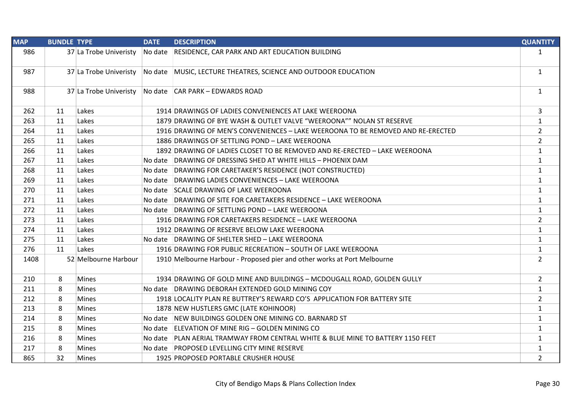| <b>MAP</b> | <b>BUNDLE TYPE</b> |                        | <b>DATE</b> | <b>DESCRIPTION</b>                                                              | <b>QUANTITY</b> |
|------------|--------------------|------------------------|-------------|---------------------------------------------------------------------------------|-----------------|
| 986        |                    | 37 La Trobe Univeristy |             | No date   RESIDENCE, CAR PARK AND ART EDUCATION BUILDING                        | $\mathbf{1}$    |
| 987        |                    | 37 La Trobe Univeristy |             | No date MUSIC, LECTURE THEATRES, SCIENCE AND OUTDOOR EDUCATION                  | $\mathbf{1}$    |
| 988        |                    | 37 La Trobe Univeristy |             | No date CAR PARK - EDWARDS ROAD                                                 | $\mathbf{1}$    |
| 262        | 11                 | Lakes                  |             | 1914 DRAWINGS OF LADIES CONVENIENCES AT LAKE WEEROONA                           | 3               |
| 263        | 11                 | Lakes                  |             | 1879 DRAWING OF BYE WASH & OUTLET VALVE "WEEROONA"" NOLAN ST RESERVE            | $\mathbf{1}$    |
| 264        | 11                 | Lakes                  |             | 1916 DRAWING OF MEN'S CONVENIENCES - LAKE WEEROONA TO BE REMOVED AND RE-ERECTED | $\overline{2}$  |
| 265        | 11                 | Lakes                  |             | 1886 DRAWINGS OF SETTLING POND - LAKE WEEROONA                                  | $\overline{2}$  |
| 266        | 11                 | Lakes                  |             | 1892 DRAWING OF LADIES CLOSET TO BE REMOVED AND RE-ERECTED - LAKE WEEROONA      | $\mathbf{1}$    |
| 267        | 11                 | Lakes                  |             | No date DRAWING OF DRESSING SHED AT WHITE HILLS - PHOENIX DAM                   | $\mathbf{1}$    |
| 268        | 11                 | Lakes                  |             | No date DRAWING FOR CARETAKER'S RESIDENCE (NOT CONSTRUCTED)                     | $\mathbf{1}$    |
| 269        | 11                 | Lakes                  |             | No date DRAWING LADIES CONVENIENCES - LAKE WEEROONA                             | $\mathbf{1}$    |
| 270        | 11                 | Lakes                  |             | No date SCALE DRAWING OF LAKE WEEROONA                                          | $\mathbf{1}$    |
| 271        | 11                 | Lakes                  |             | No date DRAWING OF SITE FOR CARETAKERS RESIDENCE - LAKE WEEROONA                | $\mathbf{1}$    |
| 272        | 11                 | Lakes                  |             | No date DRAWING OF SETTLING POND - LAKE WEEROONA                                | $\mathbf{1}$    |
| 273        | 11                 | Lakes                  |             | 1916 DRAWING FOR CARETAKERS RESIDENCE - LAKE WEEROONA                           | $\overline{2}$  |
| 274        | 11                 | Lakes                  |             | 1912 DRAWING OF RESERVE BELOW LAKE WEEROONA                                     | $\mathbf{1}$    |
| 275        | 11                 | Lakes                  |             | No date DRAWING OF SHELTER SHED - LAKE WEEROONA                                 | $\mathbf{1}$    |
| 276        | 11                 | Lakes                  |             | 1916 DRAWING FOR PUBLIC RECREATION - SOUTH OF LAKE WEEROONA                     | $\mathbf{1}$    |
| 1408       |                    | 52 Melbourne Harbour   |             | 1910 Melbourne Harbour - Proposed pier and other works at Port Melbourne        | $\overline{2}$  |
| 210        | 8                  | <b>Mines</b>           |             | 1934 DRAWING OF GOLD MINE AND BUILDINGS - MCDOUGALL ROAD, GOLDEN GULLY          | $\overline{2}$  |
| 211        | 8                  | <b>Mines</b>           |             | No date DRAWING DEBORAH EXTENDED GOLD MINING COY                                | $\mathbf{1}$    |
| 212        | 8                  | <b>Mines</b>           |             | 1918 LOCALITY PLAN RE BUTTREY'S REWARD CO'S APPLICATION FOR BATTERY SITE        | $\overline{2}$  |
| 213        | 8                  | <b>Mines</b>           |             | 1878 NEW HUSTLERS GMC (LATE KOHINOOR)                                           | $\mathbf{1}$    |
| 214        | 8                  | <b>Mines</b>           |             | No date NEW BUILDINGS GOLDEN ONE MINING CO. BARNARD ST                          | $\mathbf{1}$    |
| 215        | 8                  | <b>Mines</b>           |             | No date ELEVATION OF MINE RIG - GOLDEN MINING CO                                | $\mathbf{1}$    |
| 216        | 8                  | <b>Mines</b>           |             | No date PLAN AERIAL TRAMWAY FROM CENTRAL WHITE & BLUE MINE TO BATTERY 1150 FEET | $\mathbf{1}$    |
| 217        | 8                  | <b>Mines</b>           |             | No date PROPOSED LEVELLING CITY MINE RESERVE                                    | $\mathbf{1}$    |
| 865        | 32                 | Mines                  |             | 1925 PROPOSED PORTABLE CRUSHER HOUSE                                            | $\overline{2}$  |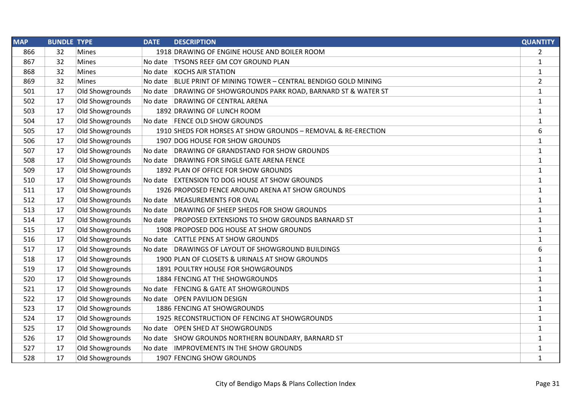| <b>MAP</b> | <b>BUNDLE TYPE</b> |                 | <b>DATE</b> | <b>DESCRIPTION</b>                                            | <b>QUANTITY</b> |
|------------|--------------------|-----------------|-------------|---------------------------------------------------------------|-----------------|
| 866        | 32                 | <b>Mines</b>    |             | 1918 DRAWING OF ENGINE HOUSE AND BOILER ROOM                  | $\overline{2}$  |
| 867        | 32                 | Mines           | No date     | <b>TYSONS REEF GM COY GROUND PLAN</b>                         | 1               |
| 868        | 32                 | <b>Mines</b>    | No date     | <b>KOCHS AIR STATION</b>                                      | $\mathbf{1}$    |
| 869        | 32                 | Mines           | No date     | BLUE PRINT OF MINING TOWER - CENTRAL BENDIGO GOLD MINING      | $\overline{2}$  |
| 501        | 17                 | Old Showgrounds | No date     | DRAWING OF SHOWGROUNDS PARK ROAD, BARNARD ST & WATER ST       | $\mathbf{1}$    |
| 502        | 17                 | Old Showgrounds | No date     | DRAWING OF CENTRAL ARENA                                      | $\mathbf{1}$    |
| 503        | 17                 | Old Showgrounds |             | 1892 DRAWING OF LUNCH ROOM                                    | $\mathbf{1}$    |
| 504        | 17                 | Old Showgrounds |             | No date   FENCE OLD SHOW GROUNDS                              | $\mathbf{1}$    |
| 505        | 17                 | Old Showgrounds |             | 1910 SHEDS FOR HORSES AT SHOW GROUNDS - REMOVAL & RE-ERECTION | 6               |
| 506        | 17                 | Old Showgrounds |             | 1907 DOG HOUSE FOR SHOW GROUNDS                               | $\mathbf{1}$    |
| 507        | 17                 | Old Showgrounds | No date     | DRAWING OF GRANDSTAND FOR SHOW GROUNDS                        | $\mathbf{1}$    |
| 508        | 17                 | Old Showgrounds | No date     | DRAWING FOR SINGLE GATE ARENA FENCE                           | $\mathbf{1}$    |
| 509        | 17                 | Old Showgrounds |             | 1892 PLAN OF OFFICE FOR SHOW GROUNDS                          | $\mathbf{1}$    |
| 510        | 17                 | Old Showgrounds |             | No date EXTENSION TO DOG HOUSE AT SHOW GROUNDS                | $\mathbf{1}$    |
| 511        | 17                 | Old Showgrounds |             | 1926 PROPOSED FENCE AROUND ARENA AT SHOW GROUNDS              | $\mathbf{1}$    |
| 512        | 17                 | Old Showgrounds |             | No date MEASUREMENTS FOR OVAL                                 | $\mathbf{1}$    |
| 513        | 17                 | Old Showgrounds | No date     | DRAWING OF SHEEP SHEDS FOR SHOW GROUNDS                       | $\mathbf{1}$    |
| 514        | 17                 | Old Showgrounds | No date     | <b>PROPOSED EXTENSIONS TO SHOW GROUNDS BARNARD ST</b>         | $\mathbf{1}$    |
| 515        | 17                 | Old Showgrounds |             | 1908 PROPOSED DOG HOUSE AT SHOW GROUNDS                       | $\mathbf{1}$    |
| 516        | 17                 | Old Showgrounds | No date     | <b>CATTLE PENS AT SHOW GROUNDS</b>                            | $\mathbf{1}$    |
| 517        | 17                 | Old Showgrounds | No date     | DRAWINGS OF LAYOUT OF SHOWGROUND BUILDINGS                    | 6               |
| 518        | 17                 | Old Showgrounds |             | 1900 PLAN OF CLOSETS & URINALS AT SHOW GROUNDS                | 1               |
| 519        | 17                 | Old Showgrounds |             | 1891 POULTRY HOUSE FOR SHOWGROUNDS                            | $\mathbf{1}$    |
| 520        | 17                 | Old Showgrounds |             | 1884 FENCING AT THE SHOWGROUNDS                               | $\mathbf{1}$    |
| 521        | 17                 | Old Showgrounds | No date     | <b>FENCING &amp; GATE AT SHOWGROUNDS</b>                      | $\mathbf{1}$    |
| 522        | 17                 | Old Showgrounds | No date     | <b>OPEN PAVILION DESIGN</b>                                   | $\mathbf{1}$    |
| 523        | 17                 | Old Showgrounds |             | 1886 FENCING AT SHOWGROUNDS                                   | $\mathbf{1}$    |
| 524        | 17                 | Old Showgrounds |             | 1925 RECONSTRUCTION OF FENCING AT SHOWGROUNDS                 | $\mathbf{1}$    |
| 525        | 17                 | Old Showgrounds | No date     | <b>OPEN SHED AT SHOWGROUNDS</b>                               | $\mathbf{1}$    |
| 526        | 17                 | Old Showgrounds |             | No date SHOW GROUNDS NORTHERN BOUNDARY, BARNARD ST            | $\mathbf{1}$    |
| 527        | 17                 | Old Showgrounds | No date     | <b>IMPROVEMENTS IN THE SHOW GROUNDS</b>                       | 1               |
| 528        | 17                 | Old Showgrounds |             | 1907 FENCING SHOW GROUNDS                                     | $\mathbf{1}$    |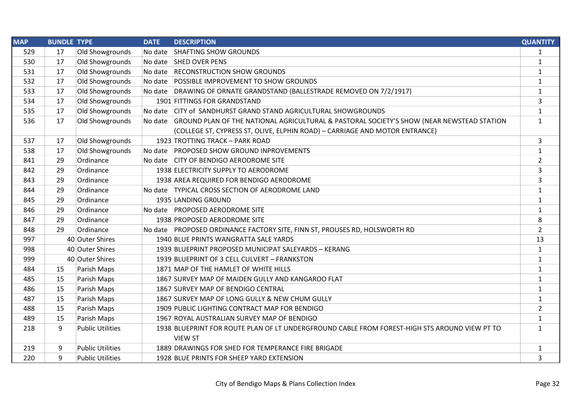| <b>MAP</b> | <b>BUNDLE TYPE</b> |                         | <b>DATE</b> | <b>DESCRIPTION</b>                                                                                | <b>QUANTITY</b> |
|------------|--------------------|-------------------------|-------------|---------------------------------------------------------------------------------------------------|-----------------|
| 529        | 17                 | Old Showgrounds         | No date     | SHAFTING SHOW GROUNDS                                                                             | $\mathbf{1}$    |
| 530        | 17                 | Old Showgrounds         |             | No date SHED OVER PENS                                                                            | $\mathbf{1}$    |
| 531        | 17                 | Old Showgrounds         |             | No date  RECONSTRUCTION SHOW GROUNDS                                                              | $\mathbf{1}$    |
| 532        | 17                 | Old Showgrounds         |             | No date POSSIBLE IMPROVEMENT TO SHOW GROUNDS                                                      | $\mathbf{1}$    |
| 533        | 17                 | Old Showgrounds         |             | No date DRAWING OF ORNATE GRANDSTAND (BALLESTRADE REMOVED ON 7/2/1917)                            | $\mathbf{1}$    |
| 534        | 17                 | Old Showgrounds         |             | 1901 FITTINGS FOR GRANDSTAND                                                                      | 3               |
| 535        | 17                 | Old Showgrounds         |             | No date CITY of SANDHURST GRAND STAND AGRICULTURAL SHOWGROUNDS                                    | $\mathbf{1}$    |
| 536        | 17                 | Old Showgrounds         |             | No date GROUND PLAN OF THE NATIONAL AGRICULTURAL & PASTORAL SOCIETY'S SHOW (NEAR NEWSTEAD STATION | $\mathbf{1}$    |
|            |                    |                         |             | (COLLEGE ST, CYPRESS ST, OLIVE, ELPHIN ROAD) - CARRIAGE AND MOTOR ENTRANCE)                       |                 |
| 537        | 17                 | Old Showgrounds         |             | 1923 TROTTING TRACK - PARK ROAD                                                                   | 3               |
| 538        | 17                 | Old Showgrounds         |             | No date PROPOSED SHOW GROUND INPROVEMENTS                                                         | $\mathbf{1}$    |
| 841        | 29                 | Ordinance               |             | No date CITY OF BENDIGO AERODROME SITE                                                            | $\overline{2}$  |
| 842        | 29                 | Ordinance               |             | 1938 ELECTRICITY SUPPLY TO AERODROME                                                              | 3               |
| 843        | 29                 | Ordinance               |             | 1938 AREA REQUIRED FOR BENDIGO AERODROME                                                          | 3               |
| 844        | 29                 | Ordinance               |             | No date TYPICAL CROSS SECTION OF AERODROME LAND                                                   | $\mathbf{1}$    |
| 845        | 29                 | Ordinance               |             | 1935 LANDING GROUND                                                                               | $\mathbf{1}$    |
| 846        | 29                 | Ordinance               |             | No date PROPOSED AERODROME SITE                                                                   | $\mathbf{1}$    |
| 847        | 29                 | Ordinance               |             | 1938 PROPOSED AERODROME SITE                                                                      | 8               |
| 848        | 29                 | Ordinance               |             | No date PROPOSED ORDINANCE FACTORY SITE, FINN ST, PROUSES RD, HOLSWORTH RD                        | $\overline{2}$  |
| 997        |                    | 40 Outer Shires         |             | 1940 BLUE PRINTS WANGRATTA SALE YARDS                                                             | 13              |
| 998        |                    | 40 Outer Shires         |             | 1939 BLUEPRINT PROPOSED MUNICIPAT SALEYARDS - KERANG                                              | $\mathbf{1}$    |
| 999        |                    | 40 Outer Shires         |             | 1939 BLUEPRINT OF 3 CELL CULVERT - FRANKSTON                                                      | $\mathbf{1}$    |
| 484        | 15                 | Parish Maps             |             | 1871 MAP OF THE HAMLET OF WHITE HILLS                                                             | $\mathbf{1}$    |
| 485        | 15                 | Parish Maps             |             | 1867 SURVEY MAP OF MAIDEN GULLY AND KANGAROO FLAT                                                 | $\mathbf{1}$    |
| 486        | 15                 | Parish Maps             |             | 1867 SURVEY MAP OF BENDIGO CENTRAL                                                                | $\mathbf{1}$    |
| 487        | 15                 | Parish Maps             |             | 1867 SURVEY MAP OF LONG GULLY & NEW CHUM GULLY                                                    | $\mathbf{1}$    |
| 488        | 15                 | Parish Maps             |             | 1909 PUBLIC LIGHTING CONTRACT MAP FOR BENDIGO                                                     | $\overline{2}$  |
| 489        | 15                 | Parish Maps             |             | 1967 ROYAL AUSTRALIAN SURVEY MAP OF BENDIGO                                                       | $\mathbf{1}$    |
| 218        | 9                  | <b>Public Utilities</b> |             | 1938 BLUEPRINT FOR ROUTE PLAN OF LT UNDERGFROUND CABLE FROM FOREST-HIGH STS AROUND VIEW PT TO     | $\mathbf{1}$    |
|            |                    |                         |             | <b>VIEW ST</b>                                                                                    |                 |
| 219        | 9                  | <b>Public Utilities</b> |             | 1889 DRAWINGS FOR SHED FOR TEMPERANCE FIRE BRIGADE                                                | $\mathbf{1}$    |
| 220        | 9                  | <b>Public Utilities</b> |             | 1928 BLUE PRINTS FOR SHEEP YARD EXTENSION                                                         | 3               |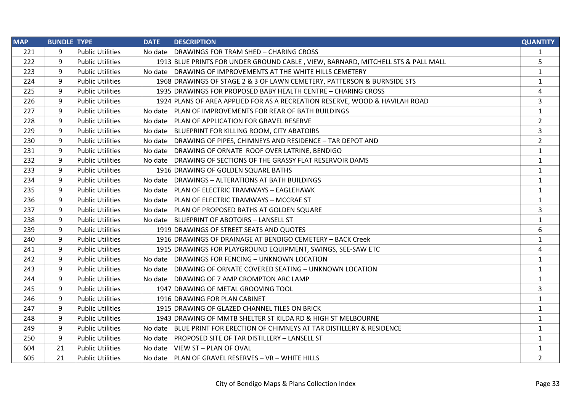| <b>MAP</b> | <b>BUNDLE TYPE</b> |                         | <b>DATE</b> | <b>DESCRIPTION</b>                                                               | <b>QUANTITY</b> |
|------------|--------------------|-------------------------|-------------|----------------------------------------------------------------------------------|-----------------|
| 221        | 9                  | <b>Public Utilities</b> |             | No date DRAWINGS FOR TRAM SHED - CHARING CROSS                                   | 1               |
| 222        | 9                  | <b>Public Utilities</b> |             | 1913 BLUE PRINTS FOR UNDER GROUND CABLE, VIEW, BARNARD, MITCHELL STS & PALL MALL | 5               |
| 223        | 9                  | <b>Public Utilities</b> |             | No date DRAWING OF IMPROVEMENTS AT THE WHITE HILLS CEMETERY                      | $\mathbf{1}$    |
| 224        | 9                  | <b>Public Utilities</b> |             | 1968 DRAWINGS OF STAGE 2 & 3 OF LAWN CEMETERY, PATTERSON & BURNSIDE STS          | $\mathbf{1}$    |
| 225        | 9                  | <b>Public Utilities</b> |             | 1935 DRAWINGS FOR PROPOSED BABY HEALTH CENTRE - CHARING CROSS                    | 4               |
| 226        | 9                  | <b>Public Utilities</b> |             | 1924 PLANS OF AREA APPLIED FOR AS A RECREATION RESERVE, WOOD & HAVILAH ROAD      | 3               |
| 227        | 9                  | <b>Public Utilities</b> |             | No date PLAN OF IMPROVEMENTS FOR REAR OF BATH BUILDINGS                          | $\mathbf{1}$    |
| 228        | 9                  | <b>Public Utilities</b> |             | No date PLAN OF APPLICATION FOR GRAVEL RESERVE                                   | $\overline{2}$  |
| 229        | 9                  | <b>Public Utilities</b> |             | No date BLUEPRINT FOR KILLING ROOM, CITY ABATOIRS                                | 3               |
| 230        | 9                  | <b>Public Utilities</b> |             | No date DRAWING OF PIPES, CHIMNEYS AND RESIDENCE - TAR DEPOT AND                 | $\overline{2}$  |
| 231        | 9                  | <b>Public Utilities</b> |             | No date DRAWING OF ORNATE ROOF OVER LATRINE, BENDIGO                             | 1               |
| 232        | 9                  | <b>Public Utilities</b> |             | No date DRAWING OF SECTIONS OF THE GRASSY FLAT RESERVOIR DAMS                    | 1               |
| 233        | 9                  | <b>Public Utilities</b> |             | 1916 DRAWING OF GOLDEN SQUARE BATHS                                              | 1               |
| 234        | 9                  | <b>Public Utilities</b> |             | No date DRAWINGS - ALTERATIONS AT BATH BUILDINGS                                 | $\mathbf{1}$    |
| 235        | 9                  | <b>Public Utilities</b> |             | No date PLAN OF ELECTRIC TRAMWAYS - EAGLEHAWK                                    | 1               |
| 236        | 9                  | <b>Public Utilities</b> |             | No date   PLAN OF ELECTRIC TRAMWAYS - MCCRAE ST                                  | 1               |
| 237        | 9                  | <b>Public Utilities</b> |             | No date PLAN OF PROPOSED BATHS AT GOLDEN SQUARE                                  | 3               |
| 238        | 9                  | <b>Public Utilities</b> |             | No date BLUEPRINT OF ABOTOIRS - LANSELL ST                                       | $\mathbf{1}$    |
| 239        | 9                  | <b>Public Utilities</b> |             | 1919 DRAWINGS OF STREET SEATS AND QUOTES                                         | 6               |
| 240        | 9                  | <b>Public Utilities</b> |             | 1916 DRAWINGS OF DRAINAGE AT BENDIGO CEMETERY - BACK Creek                       | $\mathbf{1}$    |
| 241        | 9                  | <b>Public Utilities</b> |             | 1915 DRAWINGS FOR PLAYGROUND EQUIPMENT, SWINGS, SEE-SAW ETC                      | 4               |
| 242        | 9                  | <b>Public Utilities</b> |             | No date DRAWINGS FOR FENCING - UNKNOWN LOCATION                                  | $\mathbf{1}$    |
| 243        | 9                  | <b>Public Utilities</b> |             | No date DRAWING OF ORNATE COVERED SEATING - UNKNOWN LOCATION                     | $\mathbf{1}$    |
| 244        | 9                  | <b>Public Utilities</b> |             | No date DRAWING OF 7 AMP CROMPTON ARC LAMP                                       | $\mathbf{1}$    |
| 245        | 9                  | <b>Public Utilities</b> |             | 1947 DRAWING OF METAL GROOVING TOOL                                              | 3               |
| 246        | 9                  | <b>Public Utilities</b> |             | 1916 DRAWING FOR PLAN CABINET                                                    | $\mathbf{1}$    |
| 247        | 9                  | <b>Public Utilities</b> |             | 1915 DRAWING OF GLAZED CHANNEL TILES ON BRICK                                    | 1               |
| 248        | 9                  | <b>Public Utilities</b> |             | 1943 DRAWING OF MMTB SHELTER ST KILDA RD & HIGH ST MELBOURNE                     | $\mathbf{1}$    |
| 249        | 9                  | <b>Public Utilities</b> |             | No date BLUE PRINT FOR ERECTION OF CHIMNEYS AT TAR DISTILLERY & RESIDENCE        | $\mathbf{1}$    |
| 250        | 9                  | <b>Public Utilities</b> |             | No date PROPOSED SITE OF TAR DISTILLERY - LANSELL ST                             | $\mathbf{1}$    |
| 604        | 21                 | <b>Public Utilities</b> |             | No date VIEW ST - PLAN OF OVAL                                                   | 1               |
| 605        | 21                 | <b>Public Utilities</b> |             | No date PLAN OF GRAVEL RESERVES - VR - WHITE HILLS                               | $\overline{2}$  |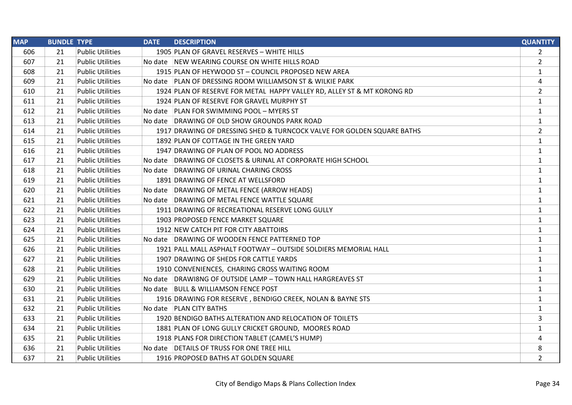| <b>MAP</b> | <b>BUNDLE TYPE</b> |                         | <b>DATE</b><br><b>DESCRIPTION</b>                                       | <b>QUANTITY</b> |
|------------|--------------------|-------------------------|-------------------------------------------------------------------------|-----------------|
| 606        | 21                 | <b>Public Utilities</b> | 1905 PLAN OF GRAVEL RESERVES - WHITE HILLS                              | $\overline{2}$  |
| 607        | 21                 | <b>Public Utilities</b> | No date NEW WEARING COURSE ON WHITE HILLS ROAD                          | $\overline{2}$  |
| 608        | 21                 | <b>Public Utilities</b> | 1915 PLAN OF HEYWOOD ST - COUNCIL PROPOSED NEW AREA                     | $\mathbf{1}$    |
| 609        | 21                 | <b>Public Utilities</b> | No date PLAN OF DRESSING ROOM WILLIAMSON ST & WILKIE PARK               | 4               |
| 610        | 21                 | <b>Public Utilities</b> | 1924 PLAN OF RESERVE FOR METAL HAPPY VALLEY RD, ALLEY ST & MT KORONG RD | $\overline{2}$  |
| 611        | 21                 | <b>Public Utilities</b> | 1924 PLAN OF RESERVE FOR GRAVEL MURPHY ST                               | $\mathbf{1}$    |
| 612        | 21                 | <b>Public Utilities</b> | No date PLAN FOR SWIMMING POOL - MYERS ST                               | 1               |
| 613        | 21                 | <b>Public Utilities</b> | No date DRAWING OF OLD SHOW GROUNDS PARK ROAD                           | 1               |
| 614        | 21                 | <b>Public Utilities</b> | 1917 DRAWING OF DRESSING SHED & TURNCOCK VALVE FOR GOLDEN SQUARE BATHS  | $\overline{2}$  |
| 615        | 21                 | <b>Public Utilities</b> | 1892 PLAN OF COTTAGE IN THE GREEN YARD                                  | $\mathbf{1}$    |
| 616        | 21                 | <b>Public Utilities</b> | 1947 DRAWING OF PLAN OF POOL NO ADDRESS                                 | 1               |
| 617        | 21                 | <b>Public Utilities</b> | No date DRAWING OF CLOSETS & URINAL AT CORPORATE HIGH SCHOOL            | 1               |
| 618        | 21                 | <b>Public Utilities</b> | No date DRAWING OF URINAL CHARING CROSS                                 | $\mathbf{1}$    |
| 619        | 21                 | <b>Public Utilities</b> | 1891 DRAWING OF FENCE AT WELLSFORD                                      | 1               |
| 620        | 21                 | <b>Public Utilities</b> | No date DRAWING OF METAL FENCE (ARROW HEADS)                            | 1               |
| 621        | 21                 | <b>Public Utilities</b> | No date DRAWING OF METAL FENCE WATTLE SQUARE                            | 1               |
| 622        | 21                 | <b>Public Utilities</b> | 1911 DRAWING OF RECREATIONAL RESERVE LONG GULLY                         | $\mathbf{1}$    |
| 623        | 21                 | <b>Public Utilities</b> | 1903 PROPOSED FENCE MARKET SQUARE                                       | $\mathbf{1}$    |
| 624        | 21                 | <b>Public Utilities</b> | 1912 NEW CATCH PIT FOR CITY ABATTOIRS                                   | 1               |
| 625        | 21                 | <b>Public Utilities</b> | No date DRAWING OF WOODEN FENCE PATTERNED TOP                           | $\mathbf{1}$    |
| 626        | 21                 | <b>Public Utilities</b> | 1921 PALL MALL ASPHALT FOOTWAY - OUTSIDE SOLDIERS MEMORIAL HALL         | $\mathbf{1}$    |
| 627        | 21                 | <b>Public Utilities</b> | 1907 DRAWING OF SHEDS FOR CATTLE YARDS                                  | 1               |
| 628        | 21                 | <b>Public Utilities</b> | 1910 CONVENIENCES, CHARING CROSS WAITING ROOM                           | 1               |
| 629        | 21                 | <b>Public Utilities</b> | No date DRAWI8NG OF OUTSIDE LAMP - TOWN HALL HARGREAVES ST              | 1               |
| 630        | 21                 | <b>Public Utilities</b> | No date BULL & WILLIAMSON FENCE POST                                    | 1               |
| 631        | 21                 | <b>Public Utilities</b> | 1916 DRAWING FOR RESERVE, BENDIGO CREEK, NOLAN & BAYNE STS              | 1               |
| 632        | 21                 | <b>Public Utilities</b> | No date   PLAN CITY BATHS                                               | $\mathbf{1}$    |
| 633        | 21                 | <b>Public Utilities</b> | 1920 BENDIGO BATHS ALTERATION AND RELOCATION OF TOILETS                 | 3               |
| 634        | 21                 | <b>Public Utilities</b> | 1881 PLAN OF LONG GULLY CRICKET GROUND, MOORES ROAD                     | 1               |
| 635        | 21                 | <b>Public Utilities</b> | 1918 PLANS FOR DIRECTION TABLET (CAMEL'S HUMP)                          | 4               |
| 636        | 21                 | <b>Public Utilities</b> | No date DETAILS OF TRUSS FOR ONE TREE HILL                              | 8               |
| 637        | 21                 | <b>Public Utilities</b> | 1916 PROPOSED BATHS AT GOLDEN SQUARE                                    | $\overline{2}$  |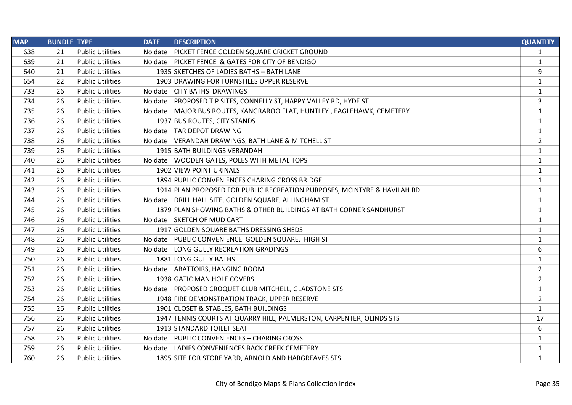| <b>MAP</b> | <b>BUNDLE TYPE</b> |                         | <b>DATE</b> | <b>DESCRIPTION</b>                                                       | <b>QUANTITY</b> |
|------------|--------------------|-------------------------|-------------|--------------------------------------------------------------------------|-----------------|
| 638        | 21                 | <b>Public Utilities</b> | No date     | <b>PICKET FENCE GOLDEN SQUARE CRICKET GROUND</b>                         | $\mathbf{1}$    |
| 639        | 21                 | <b>Public Utilities</b> |             | No date PICKET FENCE & GATES FOR CITY OF BENDIGO                         | $\mathbf{1}$    |
| 640        | 21                 | <b>Public Utilities</b> |             | 1935 SKETCHES OF LADIES BATHS - BATH LANE                                | 9               |
| 654        | 22                 | <b>Public Utilities</b> |             | 1903 DRAWING FOR TURNSTILES UPPER RESERVE                                | $\mathbf{1}$    |
| 733        | 26                 | <b>Public Utilities</b> |             | No date CITY BATHS DRAWINGS                                              | $\mathbf{1}$    |
| 734        | 26                 | <b>Public Utilities</b> |             | No date PROPOSED TIP SITES, CONNELLY ST, HAPPY VALLEY RD, HYDE ST        | 3               |
| 735        | 26                 | <b>Public Utilities</b> |             | No date MAJOR BUS ROUTES, KANGRAROO FLAT, HUNTLEY, EAGLEHAWK, CEMETERY   | $\mathbf{1}$    |
| 736        | 26                 | <b>Public Utilities</b> |             | 1937 BUS ROUTES, CITY STANDS                                             | $\mathbf{1}$    |
| 737        | 26                 | <b>Public Utilities</b> |             | No date   TAR DEPOT DRAWING                                              | $\mathbf{1}$    |
| 738        | 26                 | <b>Public Utilities</b> |             | No date VERANDAH DRAWINGS, BATH LANE & MITCHELL ST                       | $\overline{2}$  |
| 739        | 26                 | <b>Public Utilities</b> |             | 1915 BATH BUILDINGS VERANDAH                                             | $\mathbf{1}$    |
| 740        | 26                 | <b>Public Utilities</b> |             | No date WOODEN GATES, POLES WITH METAL TOPS                              | $\mathbf{1}$    |
| 741        | 26                 | <b>Public Utilities</b> |             | 1902 VIEW POINT URINALS                                                  | $\mathbf{1}$    |
| 742        | 26                 | <b>Public Utilities</b> |             | 1894 PUBLIC CONVENIENCES CHARING CROSS BRIDGE                            | $\mathbf{1}$    |
| 743        | 26                 | <b>Public Utilities</b> |             | 1914 PLAN PROPOSED FOR PUBLIC RECREATION PURPOSES, MCINTYRE & HAVILAH RD | $\mathbf{1}$    |
| 744        | 26                 | <b>Public Utilities</b> |             | No date DRILL HALL SITE, GOLDEN SQUARE, ALLINGHAM ST                     | $\mathbf{1}$    |
| 745        | 26                 | <b>Public Utilities</b> |             | 1879 PLAN SHOWING BATHS & OTHER BUILDINGS AT BATH CORNER SANDHURST       | $\mathbf{1}$    |
| 746        | 26                 | <b>Public Utilities</b> |             | No date SKETCH OF MUD CART                                               | $\mathbf{1}$    |
| 747        | 26                 | <b>Public Utilities</b> |             | 1917 GOLDEN SQUARE BATHS DRESSING SHEDS                                  | $\mathbf{1}$    |
| 748        | 26                 | <b>Public Utilities</b> |             | No date PUBLIC CONVENIENCE GOLDEN SQUARE, HIGH ST                        | $\mathbf{1}$    |
| 749        | 26                 | <b>Public Utilities</b> |             | No date LONG GULLY RECREATION GRADINGS                                   | 6               |
| 750        | 26                 | <b>Public Utilities</b> |             | 1881 LONG GULLY BATHS                                                    | $\mathbf{1}$    |
| 751        | 26                 | <b>Public Utilities</b> |             | No date ABATTOIRS, HANGING ROOM                                          | $\overline{2}$  |
| 752        | 26                 | <b>Public Utilities</b> |             | 1938 GATIC MAN HOLE COVERS                                               | $\overline{2}$  |
| 753        | 26                 | <b>Public Utilities</b> |             | No date PROPOSED CROQUET CLUB MITCHELL, GLADSTONE STS                    | $\mathbf{1}$    |
| 754        | 26                 | <b>Public Utilities</b> |             | 1948 FIRE DEMONSTRATION TRACK, UPPER RESERVE                             | $\overline{2}$  |
| 755        | 26                 | <b>Public Utilities</b> |             | 1901 CLOSET & STABLES, BATH BUILDINGS                                    | $\mathbf{1}$    |
| 756        | 26                 | <b>Public Utilities</b> |             | 1947 TENNIS COURTS AT QUARRY HILL, PALMERSTON, CARPENTER, OLINDS STS     | 17              |
| 757        | 26                 | <b>Public Utilities</b> |             | 1913 STANDARD TOILET SEAT                                                | 6               |
| 758        | 26                 | <b>Public Utilities</b> |             | No date PUBLIC CONVENIENCES - CHARING CROSS                              | $\mathbf{1}$    |
| 759        | 26                 | <b>Public Utilities</b> |             | No date LADIES CONVENIENCES BACK CREEK CEMETERY                          | 1               |
| 760        | 26                 | <b>Public Utilities</b> |             | 1895 SITE FOR STORE YARD, ARNOLD AND HARGREAVES STS                      | $\mathbf{1}$    |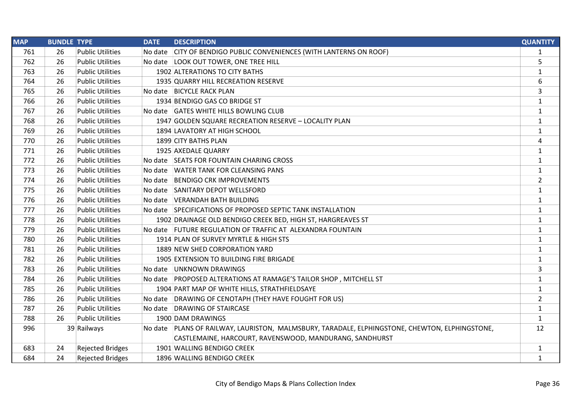| <b>MAP</b> | <b>BUNDLE TYPE</b> |                         | <b>DATE</b> | <b>DESCRIPTION</b>                                                                               | <b>QUANTITY</b> |
|------------|--------------------|-------------------------|-------------|--------------------------------------------------------------------------------------------------|-----------------|
| 761        | 26                 | <b>Public Utilities</b> |             | No date CITY OF BENDIGO PUBLIC CONVENIENCES (WITH LANTERNS ON ROOF)                              | $\mathbf{1}$    |
| 762        | 26                 | <b>Public Utilities</b> |             | No date LOOK OUT TOWER, ONE TREE HILL                                                            | 5               |
| 763        | 26                 | <b>Public Utilities</b> |             | 1902 ALTERATIONS TO CITY BATHS                                                                   | $\mathbf{1}$    |
| 764        | 26                 | <b>Public Utilities</b> |             | 1935 QUARRY HILL RECREATION RESERVE                                                              | 6               |
| 765        | 26                 | <b>Public Utilities</b> |             | No date BICYCLE RACK PLAN                                                                        | 3               |
| 766        | 26                 | <b>Public Utilities</b> |             | 1934 BENDIGO GAS CO BRIDGE ST                                                                    | $\mathbf{1}$    |
| 767        | 26                 | <b>Public Utilities</b> |             | No date GATES WHITE HILLS BOWLING CLUB                                                           | $\mathbf{1}$    |
| 768        | 26                 | <b>Public Utilities</b> |             | 1947 GOLDEN SQUARE RECREATION RESERVE - LOCALITY PLAN                                            | $\mathbf{1}$    |
| 769        | 26                 | <b>Public Utilities</b> |             | 1894 LAVATORY AT HIGH SCHOOL                                                                     | 1               |
| 770        | 26                 | <b>Public Utilities</b> |             | 1899 CITY BATHS PLAN                                                                             | $\overline{4}$  |
| 771        | 26                 | <b>Public Utilities</b> |             | 1925 AXEDALE QUARRY                                                                              | $\mathbf{1}$    |
| 772        | 26                 | <b>Public Utilities</b> |             | No date SEATS FOR FOUNTAIN CHARING CROSS                                                         | $\mathbf{1}$    |
| 773        | 26                 | <b>Public Utilities</b> | No date     | <b>WATER TANK FOR CLEANSING PANS</b>                                                             | $\mathbf{1}$    |
| 774        | 26                 | <b>Public Utilities</b> |             | No date BENDIGO CRK IMPROVEMENTS                                                                 | $\overline{2}$  |
| 775        | 26                 | <b>Public Utilities</b> |             | No date SANITARY DEPOT WELLSFORD                                                                 | $\mathbf{1}$    |
| 776        | 26                 | <b>Public Utilities</b> |             | No date VERANDAH BATH BUILDING                                                                   | $\mathbf{1}$    |
| 777        | 26                 | <b>Public Utilities</b> |             | No date SPECIFICATIONS OF PROPOSED SEPTIC TANK INSTALLATION                                      | $\mathbf{1}$    |
| 778        | 26                 | <b>Public Utilities</b> |             | 1902 DRAINAGE OLD BENDIGO CREEK BED, HIGH ST, HARGREAVES ST                                      | $\mathbf{1}$    |
| 779        | 26                 | <b>Public Utilities</b> |             | No date FUTURE REGULATION OF TRAFFIC AT ALEXANDRA FOUNTAIN                                       | $\mathbf{1}$    |
| 780        | 26                 | <b>Public Utilities</b> |             | 1914 PLAN OF SURVEY MYRTLE & HIGH STS                                                            | $\mathbf{1}$    |
| 781        | 26                 | <b>Public Utilities</b> |             | 1889 NEW SHED CORPORATION YARD                                                                   | $\mathbf{1}$    |
| 782        | 26                 | <b>Public Utilities</b> |             | 1905 EXTENSION TO BUILDING FIRE BRIGADE                                                          | $\mathbf{1}$    |
| 783        | 26                 | <b>Public Utilities</b> |             | No date UNKNOWN DRAWINGS                                                                         | 3               |
| 784        | 26                 | <b>Public Utilities</b> |             | No date PROPOSED ALTERATIONS AT RAMAGE'S TAILOR SHOP, MITCHELL ST                                | $\mathbf{1}$    |
| 785        | 26                 | <b>Public Utilities</b> |             | 1904 PART MAP OF WHITE HILLS, STRATHFIELDSAYE                                                    | $\mathbf{1}$    |
| 786        | 26                 | <b>Public Utilities</b> |             | No date DRAWING OF CENOTAPH (THEY HAVE FOUGHT FOR US)                                            | $\overline{2}$  |
| 787        | 26                 | <b>Public Utilities</b> |             | No date DRAWING OF STAIRCASE                                                                     | $\mathbf{1}$    |
| 788        | 26                 | <b>Public Utilities</b> |             | 1900 DAM DRAWINGS                                                                                | $\mathbf{1}$    |
| 996        |                    | 39 Railways             |             | No date   PLANS OF RAILWAY, LAURISTON, MALMSBURY, TARADALE, ELPHINGSTONE, CHEWTON, ELPHINGSTONE, | 12              |
|            |                    |                         |             | CASTLEMAINE, HARCOURT, RAVENSWOOD, MANDURANG, SANDHURST                                          |                 |
| 683        | 24                 | <b>Rejected Bridges</b> |             | 1901 WALLING BENDIGO CREEK                                                                       | $\mathbf{1}$    |
| 684        | 24                 | <b>Rejected Bridges</b> |             | 1896 WALLING BENDIGO CREEK                                                                       | $\mathbf{1}$    |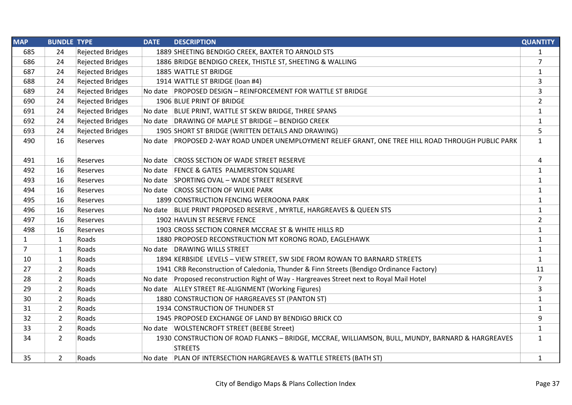| <b>MAP</b>     | <b>BUNDLE TYPE</b> |                         | <b>DATE</b> | <b>DESCRIPTION</b>                                                                                                 | <b>QUANTITY</b> |
|----------------|--------------------|-------------------------|-------------|--------------------------------------------------------------------------------------------------------------------|-----------------|
| 685            | 24                 | <b>Rejected Bridges</b> |             | 1889 SHEETING BENDIGO CREEK, BAXTER TO ARNOLD STS                                                                  | $\mathbf{1}$    |
| 686            | 24                 | <b>Rejected Bridges</b> |             | 1886 BRIDGE BENDIGO CREEK, THISTLE ST, SHEETING & WALLING                                                          | $\overline{7}$  |
| 687            | 24                 | <b>Rejected Bridges</b> |             | 1885 WATTLE ST BRIDGE                                                                                              | $\mathbf{1}$    |
| 688            | 24                 | <b>Rejected Bridges</b> |             | 1914 WATTLE ST BRIDGE (loan #4)                                                                                    | 3               |
| 689            | 24                 | <b>Rejected Bridges</b> |             | No date PROPOSED DESIGN - REINFORCEMENT FOR WATTLE ST BRIDGE                                                       | 3               |
| 690            | 24                 | <b>Rejected Bridges</b> |             | 1906 BLUE PRINT OF BRIDGE                                                                                          | $\overline{2}$  |
| 691            | 24                 | <b>Rejected Bridges</b> |             | No date BLUE PRINT, WATTLE ST SKEW BRIDGE, THREE SPANS                                                             | $\mathbf{1}$    |
| 692            | 24                 | <b>Rejected Bridges</b> |             | No date DRAWING OF MAPLE ST BRIDGE - BENDIGO CREEK                                                                 | $\mathbf{1}$    |
| 693            | 24                 | <b>Rejected Bridges</b> |             | 1905 SHORT ST BRIDGE (WRITTEN DETAILS AND DRAWING)                                                                 | 5               |
| 490            | 16                 | Reserves                |             | No date PROPOSED 2-WAY ROAD UNDER UNEMPLOYMENT RELIEF GRANT, ONE TREE HILL ROAD THROUGH PUBLIC PARK                | $\mathbf{1}$    |
| 491            | 16                 | Reserves                |             | No date CROSS SECTION OF WADE STREET RESERVE                                                                       | 4               |
| 492            | 16                 | Reserves                |             | No date FENCE & GATES PALMERSTON SQUARE                                                                            | $\mathbf{1}$    |
| 493            | 16                 | Reserves                |             | No date SPORTING OVAL - WADE STREET RESERVE                                                                        | $\mathbf{1}$    |
| 494            | 16                 | Reserves                |             | No date CROSS SECTION OF WILKIE PARK                                                                               | $\mathbf{1}$    |
| 495            | 16                 | Reserves                |             | 1899 CONSTRUCTION FENCING WEEROONA PARK                                                                            | $\mathbf{1}$    |
| 496            | 16                 | Reserves                |             | No date BLUE PRINT PROPOSED RESERVE, MYRTLE, HARGREAVES & QUEEN STS                                                | $\mathbf{1}$    |
| 497            | 16                 | Reserves                |             | 1902 HAVLIN ST RESERVE FENCE                                                                                       | $\overline{2}$  |
| 498            | 16                 | Reserves                |             | 1903 CROSS SECTION CORNER MCCRAE ST & WHITE HILLS RD                                                               | 1               |
| $\mathbf{1}$   | $\mathbf{1}$       | Roads                   |             | 1880 PROPOSED RECONSTRUCTION MT KORONG ROAD, EAGLEHAWK                                                             | $\mathbf{1}$    |
| $\overline{7}$ | $\mathbf{1}$       | Roads                   |             | No date DRAWING WILLS STREET                                                                                       | $\mathbf{1}$    |
| 10             | $\mathbf{1}$       | Roads                   |             | 1894 KERBSIDE LEVELS - VIEW STREET, SW SIDE FROM ROWAN TO BARNARD STREETS                                          | $\mathbf{1}$    |
| 27             | $\overline{2}$     | Roads                   |             | 1941 CRB Reconstruction of Caledonia, Thunder & Finn Streets (Bendigo Ordinance Factory)                           | 11              |
| 28             | $\overline{2}$     | Roads                   |             | No date Proposed reconstruction Right of Way - Hargreaves Street next to Royal Mail Hotel                          | $\overline{7}$  |
| 29             | 2                  | Roads                   |             | No date ALLEY STREET RE-ALIGNMENT (Working Figures)                                                                | 3               |
| 30             | $\overline{2}$     | Roads                   |             | 1880 CONSTRUCTION OF HARGREAVES ST (PANTON ST)                                                                     | $\mathbf{1}$    |
| 31             | $\overline{2}$     | Roads                   |             | 1934 CONSTRUCTION OF THUNDER ST                                                                                    | $\mathbf{1}$    |
| 32             | $\overline{2}$     | Roads                   |             | 1945 PROPOSED EXCHANGE OF LAND BY BENDIGO BRICK CO                                                                 | 9               |
| 33             | $\overline{2}$     | Roads                   |             | No date WOLSTENCROFT STREET (BEEBE Street)                                                                         | $\mathbf{1}$    |
| 34             | $\overline{2}$     | Roads                   |             | 1930 CONSTRUCTION OF ROAD FLANKS - BRIDGE, MCCRAE, WILLIAMSON, BULL, MUNDY, BARNARD & HARGREAVES<br><b>STREETS</b> | $\mathbf{1}$    |
| 35             | $\overline{2}$     | Roads                   |             | No date   PLAN OF INTERSECTION HARGREAVES & WATTLE STREETS (BATH ST)                                               | $\mathbf{1}$    |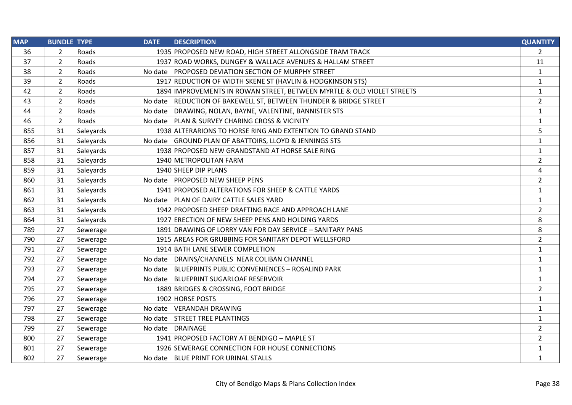| <b>MAP</b> | <b>BUNDLE TYPE</b> | <b>DATE</b> | <b>DESCRIPTION</b>                                                     | <b>QUANTITY</b> |
|------------|--------------------|-------------|------------------------------------------------------------------------|-----------------|
| 36         | 2                  | Roads       | 1935 PROPOSED NEW ROAD, HIGH STREET ALLONGSIDE TRAM TRACK              | $\overline{2}$  |
| 37         | $\overline{2}$     | Roads       | 1937 ROAD WORKS, DUNGEY & WALLACE AVENUES & HALLAM STREET              | 11              |
| 38         | $\overline{2}$     | Roads       | No date PROPOSED DEVIATION SECTION OF MURPHY STREET                    | $\mathbf{1}$    |
| 39         | $\overline{2}$     | Roads       | 1917 REDUCTION OF WIDTH SKENE ST (HAVLIN & HODGKINSON STS)             | $\mathbf{1}$    |
| 42         | $\overline{2}$     | Roads       | 1894 IMPROVEMENTS IN ROWAN STREET, BETWEEN MYRTLE & OLD VIOLET STREETS | $\mathbf{1}$    |
| 43         | $\overline{2}$     | Roads       | No date REDUCTION OF BAKEWELL ST, BETWEEN THUNDER & BRIDGE STREET      | $\overline{2}$  |
| 44         | $\overline{2}$     | Roads       | No date DRAWING, NOLAN, BAYNE, VALENTINE, BANNISTER STS                | $\mathbf{1}$    |
| 46         | $\overline{2}$     | Roads       | No date PLAN & SURVEY CHARING CROSS & VICINITY                         | $\mathbf{1}$    |
| 855        | 31                 | Saleyards   | 1938 ALTERARIONS TO HORSE RING AND EXTENTION TO GRAND STAND            | 5               |
| 856        | 31                 | Saleyards   | No date GROUND PLAN OF ABATTOIRS, LLOYD & JENNINGS STS                 | $\mathbf{1}$    |
| 857        | 31                 | Saleyards   | 1938 PROPOSED NEW GRANDSTAND AT HORSE SALE RING                        | 1               |
| 858        | 31                 | Saleyards   | 1940 METROPOLITAN FARM                                                 | $\overline{2}$  |
| 859        | 31                 | Saleyards   | 1940 SHEEP DIP PLANS                                                   | 4               |
| 860        | 31                 | Saleyards   | No date PROPOSED NEW SHEEP PENS                                        | $\overline{2}$  |
| 861        | 31                 | Saleyards   | 1941 PROPOSED ALTERATIONS FOR SHEEP & CATTLE YARDS                     | $\mathbf{1}$    |
| 862        | 31                 | Saleyards   | No date PLAN OF DAIRY CATTLE SALES YARD                                | $\mathbf{1}$    |
| 863        | 31                 | Saleyards   | 1942 PROPOSED SHEEP DRAFTING RACE AND APPROACH LANE                    | $\overline{2}$  |
| 864        | 31                 | Saleyards   | 1927 ERECTION OF NEW SHEEP PENS AND HOLDING YARDS                      | 8               |
| 789        | 27                 | Sewerage    | 1891 DRAWING OF LORRY VAN FOR DAY SERVICE - SANITARY PANS              | 8               |
| 790        | 27                 | Sewerage    | 1915 AREAS FOR GRUBBING FOR SANITARY DEPOT WELLSFORD                   | $\overline{2}$  |
| 791        | 27                 | Sewerage    | 1914 BATH LANE SEWER COMPLETION                                        | $\mathbf{1}$    |
| 792        | 27                 | Sewerage    | No date DRAINS/CHANNELS NEAR COLIBAN CHANNEL                           | $\mathbf{1}$    |
| 793        | 27                 | Sewerage    | No date   BLUEPRINTS PUBLIC CONVENIENCES - ROSALIND PARK               | $\mathbf{1}$    |
| 794        | 27                 | Sewerage    | No date BLUEPRINT SUGARLOAF RESERVOIR                                  | $\mathbf{1}$    |
| 795        | 27                 | Sewerage    | 1889 BRIDGES & CROSSING, FOOT BRIDGE                                   | $\overline{2}$  |
| 796        | 27                 | Sewerage    | 1902 HORSE POSTS                                                       | $\mathbf{1}$    |
| 797        | 27                 | Sewerage    | No date VERANDAH DRAWING                                               | $\mathbf{1}$    |
| 798        | 27                 | Sewerage    | No date STREET TREE PLANTINGS                                          | $\mathbf{1}$    |
| 799        | 27                 | Sewerage    | No date DRAINAGE                                                       | $\overline{2}$  |
| 800        | 27                 | Sewerage    | 1941 PROPOSED FACTORY AT BENDIGO - MAPLE ST                            | $\overline{2}$  |
| 801        | 27                 | Sewerage    | 1926 SEWERAGE CONNECTION FOR HOUSE CONNECTIONS                         | $\mathbf{1}$    |
| 802        | 27                 | Sewerage    | No date BLUE PRINT FOR URINAL STALLS                                   | $\mathbf{1}$    |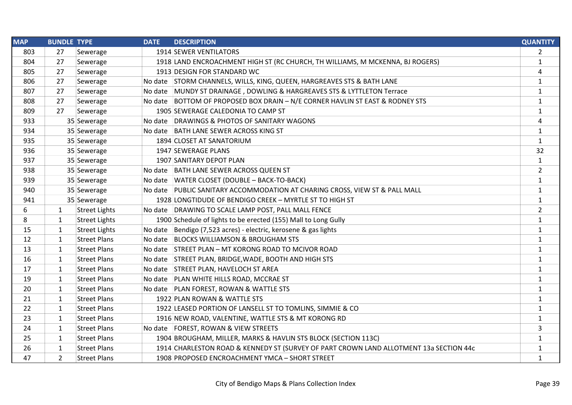| <b>MAP</b> | <b>BUNDLE TYPE</b> |                      | <b>DATE</b> | <b>DESCRIPTION</b>                                                                     | <b>QUANTITY</b> |
|------------|--------------------|----------------------|-------------|----------------------------------------------------------------------------------------|-----------------|
| 803        | 27                 | Sewerage             |             | <b>1914 SEWER VENTILATORS</b>                                                          | 2               |
| 804        | 27                 | Sewerage             |             | 1918 LAND ENCROACHMENT HIGH ST (RC CHURCH, TH WILLIAMS, M MCKENNA, BJ ROGERS)          | $\mathbf{1}$    |
| 805        | 27                 | Sewerage             |             | 1913 DESIGN FOR STANDARD WC                                                            | $\pmb{4}$       |
| 806        | 27                 | Sewerage             |             | No date STORM CHANNELS, WILLS, KING, QUEEN, HARGREAVES STS & BATH LANE                 | $\mathbf{1}$    |
| 807        | 27                 | Sewerage             |             | No date MUNDY ST DRAINAGE, DOWLING & HARGREAVES STS & LYTTLETON Terrace                | $\mathbf{1}$    |
| 808        | 27                 | Sewerage             |             | No date BOTTOM OF PROPOSED BOX DRAIN - N/E CORNER HAVLIN ST EAST & RODNEY STS          | $\mathbf{1}$    |
| 809        | 27                 | Sewerage             |             | 1905 SEWERAGE CALEDONIA TO CAMP ST                                                     | $\mathbf{1}$    |
| 933        |                    | 35 Sewerage          |             | No date DRAWINGS & PHOTOS OF SANITARY WAGONS                                           | 4               |
| 934        |                    | 35 Sewerage          |             | No date BATH LANE SEWER ACROSS KING ST                                                 | $\mathbf{1}$    |
| 935        |                    | 35 Sewerage          |             | 1894 CLOSET AT SANATORIUM                                                              | $\mathbf{1}$    |
| 936        |                    | 35 Sewerage          |             | 1947 SEWERAGE PLANS                                                                    | 32              |
| 937        |                    | 35 Sewerage          |             | 1907 SANITARY DEPOT PLAN                                                               | $\mathbf{1}$    |
| 938        |                    | 35 Sewerage          |             | No date BATH LANE SEWER ACROSS QUEEN ST                                                | $\overline{2}$  |
| 939        |                    | 35 Sewerage          |             | No date WATER CLOSET (DOUBLE - BACK-TO-BACK)                                           | $\mathbf{1}$    |
| 940        |                    | 35 Sewerage          |             | No date PUBLIC SANITARY ACCOMMODATION AT CHARING CROSS, VIEW ST & PALL MALL            | $\mathbf{1}$    |
| 941        |                    | 35 Sewerage          |             | 1928 LONGTIDUDE OF BENDIGO CREEK - MYRTLE ST TO HIGH ST                                | $\mathbf{1}$    |
| 6          | $\mathbf{1}$       | <b>Street Lights</b> |             | No date DRAWING TO SCALE LAMP POST, PALL MALL FENCE                                    | $\overline{2}$  |
| 8          | $\mathbf{1}$       | <b>Street Lights</b> |             | 1900 Schedule of lights to be erected (155) Mall to Long Gully                         | $\mathbf{1}$    |
| 15         | $\mathbf{1}$       | <b>Street Lights</b> |             | No date Bendigo (7,523 acres) - electric, kerosene & gas lights                        | $\mathbf{1}$    |
| 12         | $\mathbf{1}$       | <b>Street Plans</b>  |             | No date BLOCKS WILLIAMSON & BROUGHAM STS                                               | $\mathbf{1}$    |
| 13         | $\mathbf{1}$       | <b>Street Plans</b>  |             | No date STREET PLAN - MT KORONG ROAD TO MCIVOR ROAD                                    | $\mathbf{1}$    |
| 16         | $\mathbf{1}$       | <b>Street Plans</b>  |             | No date STREET PLAN, BRIDGE, WADE, BOOTH AND HIGH STS                                  | $\mathbf{1}$    |
| 17         | $\mathbf{1}$       | <b>Street Plans</b>  |             | No date STREET PLAN, HAVELOCH ST AREA                                                  | $\mathbf{1}$    |
| 19         | $\mathbf{1}$       | <b>Street Plans</b>  |             | No date   PLAN WHITE HILLS ROAD, MCCRAE ST                                             | $\mathbf{1}$    |
| 20         | $\mathbf{1}$       | <b>Street Plans</b>  |             | No date PLAN FOREST, ROWAN & WATTLE STS                                                | $\mathbf{1}$    |
| 21         | $\mathbf{1}$       | <b>Street Plans</b>  |             | 1922 PLAN ROWAN & WATTLE STS                                                           | $\mathbf{1}$    |
| 22         | $\mathbf{1}$       | <b>Street Plans</b>  |             | 1922 LEASED PORTION OF LANSELL ST TO TOMLINS, SIMMIE & CO                              | $\mathbf{1}$    |
| 23         | $\mathbf{1}$       | <b>Street Plans</b>  |             | 1916 NEW ROAD, VALENTINE, WATTLE STS & MT KORONG RD                                    | $\mathbf{1}$    |
| 24         | $\mathbf{1}$       | <b>Street Plans</b>  |             | No date   FOREST, ROWAN & VIEW STREETS                                                 | 3               |
| 25         | $\mathbf{1}$       | <b>Street Plans</b>  |             | 1904 BROUGHAM, MILLER, MARKS & HAVLIN STS BLOCK (SECTION 113C)                         | $\mathbf{1}$    |
| 26         | $\mathbf{1}$       | <b>Street Plans</b>  |             | 1914 CHARLESTON ROAD & KENNEDY ST (SURVEY OF PART CROWN LAND ALLOTMENT 13a SECTION 44c | $\mathbf{1}$    |
| 47         | $\overline{2}$     | <b>Street Plans</b>  |             | 1908 PROPOSED ENCROACHMENT YMCA - SHORT STREET                                         | $\mathbf{1}$    |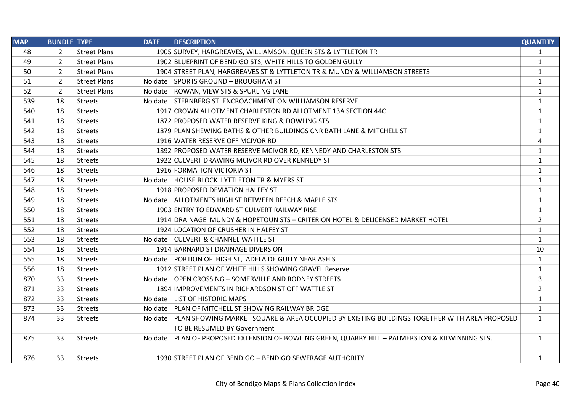| <b>MAP</b> | <b>BUNDLE TYPE</b> |                     | <b>DATE</b> | <b>DESCRIPTION</b>                                                                                   | <b>QUANTITY</b> |
|------------|--------------------|---------------------|-------------|------------------------------------------------------------------------------------------------------|-----------------|
| 48         | 2                  | <b>Street Plans</b> |             | 1905 SURVEY, HARGREAVES, WILLIAMSON, QUEEN STS & LYTTLETON TR                                        | $\mathbf{1}$    |
| 49         | $\overline{2}$     | <b>Street Plans</b> |             | 1902 BLUEPRINT OF BENDIGO STS, WHITE HILLS TO GOLDEN GULLY                                           | $\mathbf{1}$    |
| 50         | $\overline{2}$     | <b>Street Plans</b> |             | 1904 STREET PLAN, HARGREAVES ST & LYTTLETON TR & MUNDY & WILLIAMSON STREETS                          | $\mathbf{1}$    |
| 51         | $\overline{2}$     | <b>Street Plans</b> |             | No date SPORTS GROUND - BROUGHAM ST                                                                  | $\mathbf{1}$    |
| 52         | $\overline{2}$     | <b>Street Plans</b> |             | No date ROWAN, VIEW STS & SPURLING LANE                                                              | $\mathbf{1}$    |
| 539        | 18                 | <b>Streets</b>      |             | No date STERNBERG ST ENCROACHMENT ON WILLIAMSON RESERVE                                              | $\mathbf{1}$    |
| 540        | 18                 | <b>Streets</b>      |             | 1917 CROWN ALLOTMENT CHARLESTON RD ALLOTMENT 13A SECTION 44C                                         | $\mathbf{1}$    |
| 541        | 18                 | <b>Streets</b>      |             | 1872 PROPOSED WATER RESERVE KING & DOWLING STS                                                       | $\mathbf{1}$    |
| 542        | 18                 | Streets             |             | 1879 PLAN SHEWING BATHS & OTHER BUILDINGS CNR BATH LANE & MITCHELL ST                                | $\mathbf{1}$    |
| 543        | 18                 | Streets             |             | 1916 WATER RESERVE OFF MCIVOR RD                                                                     | 4               |
| 544        | 18                 | Streets             |             | 1892 PROPOSED WATER RESERVE MCIVOR RD, KENNEDY AND CHARLESTON STS                                    | $\mathbf{1}$    |
| 545        | 18                 | <b>Streets</b>      |             | 1922 CULVERT DRAWING MCIVOR RD OVER KENNEDY ST                                                       | $\mathbf{1}$    |
| 546        | 18                 | Streets             |             | 1916 FORMATION VICTORIA ST                                                                           | $\mathbf{1}$    |
| 547        | 18                 | <b>Streets</b>      |             | No date HOUSE BLOCK LYTTLETON TR & MYERS ST                                                          | $\mathbf{1}$    |
| 548        | 18                 | Streets             |             | 1918 PROPOSED DEVIATION HALFEY ST                                                                    | $\mathbf{1}$    |
| 549        | 18                 | Streets             |             | No date ALLOTMENTS HIGH ST BETWEEN BEECH & MAPLE STS                                                 | $\mathbf{1}$    |
| 550        | 18                 | Streets             |             | 1903 ENTRY TO EDWARD ST CULVERT RAILWAY RISE                                                         | $\mathbf{1}$    |
| 551        | 18                 | <b>Streets</b>      |             | 1914 DRAINAGE MUNDY & HOPETOUN STS - CRITERION HOTEL & DELICENSED MARKET HOTEL                       | $\overline{2}$  |
| 552        | 18                 | Streets             |             | 1924 LOCATION OF CRUSHER IN HALFEY ST                                                                | $\mathbf{1}$    |
| 553        | 18                 | <b>Streets</b>      |             | No date CULVERT & CHANNEL WATTLE ST                                                                  | $\mathbf{1}$    |
| 554        | 18                 | <b>Streets</b>      |             | 1914 BARNARD ST DRAINAGE DIVERSION                                                                   | 10              |
| 555        | 18                 | <b>Streets</b>      |             | No date PORTION OF HIGH ST, ADELAIDE GULLY NEAR ASH ST                                               | $\mathbf{1}$    |
| 556        | 18                 | <b>Streets</b>      |             | 1912 STREET PLAN OF WHITE HILLS SHOWING GRAVEL Reserve                                               | $\mathbf{1}$    |
| 870        | 33                 | Streets             |             | No date OPEN CROSSING - SOMERVILLE AND RODNEY STREETS                                                | 3               |
| 871        | 33                 | <b>Streets</b>      |             | 1894 IMPROVEMENTS IN RICHARDSON ST OFF WATTLE ST                                                     | $\overline{2}$  |
| 872        | 33                 | Streets             |             | No date LIST OF HISTORIC MAPS                                                                        | $\mathbf{1}$    |
| 873        | 33                 | <b>Streets</b>      |             | No date PLAN OF MITCHELL ST SHOWING RAILWAY BRIDGE                                                   | $\mathbf{1}$    |
| 874        | 33                 | Streets             |             | No date PLAN SHOWING MARKET SQUARE & AREA OCCUPIED BY EXISTING BUILDINGS TOGETHER WITH AREA PROPOSED | $\mathbf{1}$    |
|            |                    |                     |             | TO BE RESUMED BY Government                                                                          |                 |
| 875        | 33                 | <b>Streets</b>      |             | No date PLAN OF PROPOSED EXTENSION OF BOWLING GREEN, QUARRY HILL - PALMERSTON & KILWINNING STS.      | $\mathbf{1}$    |
| 876        | 33                 | Streets             |             | 1930 STREET PLAN OF BENDIGO - BENDIGO SEWERAGE AUTHORITY                                             | $\mathbf{1}$    |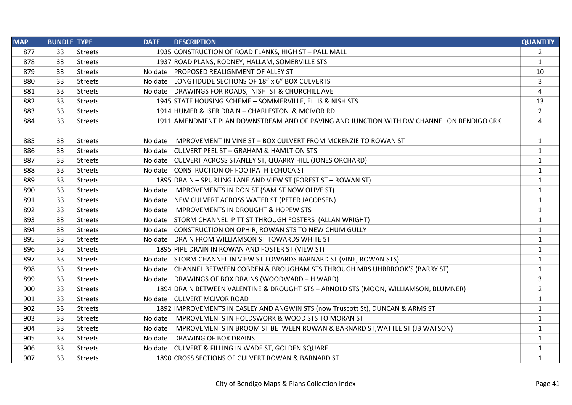| <b>MAP</b> | <b>BUNDLE TYPE</b> |                | <b>DATE</b> | <b>DESCRIPTION</b>                                                                       | <b>QUANTITY</b> |
|------------|--------------------|----------------|-------------|------------------------------------------------------------------------------------------|-----------------|
| 877        | 33                 | <b>Streets</b> |             | 1935 CONSTRUCTION OF ROAD FLANKS, HIGH ST - PALL MALL                                    | $\overline{2}$  |
| 878        | 33                 | <b>Streets</b> |             | 1937 ROAD PLANS, RODNEY, HALLAM, SOMERVILLE STS                                          | $\mathbf{1}$    |
| 879        | 33                 | <b>Streets</b> |             | No date PROPOSED REALIGNMENT OF ALLEY ST                                                 | 10              |
| 880        | 33                 | <b>Streets</b> |             | No date LONGTIDUDE SECTIONS OF 18" x 6" BOX CULVERTS                                     | 3               |
| 881        | 33                 | <b>Streets</b> |             | No date DRAWINGS FOR ROADS, NISH ST & CHURCHILL AVE                                      | 4               |
| 882        | 33                 | <b>Streets</b> |             | 1945 STATE HOUSING SCHEME - SOMMERVILLE, ELLIS & NISH STS                                | 13              |
| 883        | 33                 | <b>Streets</b> |             | 1914 HUMER & ISER DRAIN - CHARLESTON & MCIVOR RD                                         | $\overline{2}$  |
| 884        | 33                 | <b>Streets</b> |             | 1911 AMENDMENT PLAN DOWNSTREAM AND OF PAVING AND JUNCTION WITH DW CHANNEL ON BENDIGO CRK | 4               |
| 885        | 33                 | <b>Streets</b> |             | No date IMPROVEMENT IN VINE ST - BOX CULVERT FROM MCKENZIE TO ROWAN ST                   | $\mathbf{1}$    |
| 886        | 33                 | <b>Streets</b> |             | No date CULVERT PEEL ST - GRAHAM & HAMLTION STS                                          | 1               |
| 887        | 33                 | <b>Streets</b> |             | No date CULVERT ACROSS STANLEY ST, QUARRY HILL (JONES ORCHARD)                           | $\mathbf{1}$    |
| 888        | 33                 | <b>Streets</b> |             | No date CONSTRUCTION OF FOOTPATH ECHUCA ST                                               | $\mathbf{1}$    |
| 889        | 33                 | <b>Streets</b> |             | 1895 DRAIN - SPURLING LANE AND VIEW ST (FOREST ST - ROWAN ST)                            | $\mathbf{1}$    |
| 890        | 33                 | <b>Streets</b> |             | No date   IMPROVEMENTS IN DON ST (SAM ST NOW OLIVE ST)                                   | 1               |
| 891        | 33                 | <b>Streets</b> |             | No date NEW CULVERT ACROSS WATER ST (PETER JACOBSEN)                                     | $\mathbf{1}$    |
| 892        | 33                 | <b>Streets</b> |             | No date IMPROVEMENTS IN DROUGHT & HOPEW STS                                              | $\mathbf{1}$    |
| 893        | 33                 | <b>Streets</b> |             | No date STORM CHANNEL PITT ST THROUGH FOSTERS (ALLAN WRIGHT)                             | $\mathbf{1}$    |
| 894        | 33                 | <b>Streets</b> |             | No date CONSTRUCTION ON OPHIR, ROWAN STS TO NEW CHUM GULLY                               | $\mathbf{1}$    |
| 895        | 33                 | <b>Streets</b> |             | No date DRAIN FROM WILLIAMSON ST TOWARDS WHITE ST                                        | $\mathbf{1}$    |
| 896        | 33                 | <b>Streets</b> |             | 1895 PIPE DRAIN IN ROWAN AND FOSTER ST (VIEW ST)                                         | $\mathbf{1}$    |
| 897        | 33                 | <b>Streets</b> |             | No date STORM CHANNEL IN VIEW ST TOWARDS BARNARD ST (VINE, ROWAN STS)                    | $\mathbf{1}$    |
| 898        | 33                 | <b>Streets</b> |             | No date CHANNEL BETWEEN COBDEN & BROUGHAM STS THROUGH MRS UHRBROOK'S (BARRY ST)          | $\mathbf{1}$    |
| 899        | 33                 | <b>Streets</b> |             | No date DRAWINGS OF BOX DRAINS (WOODWARD - H WARD)                                       | 3               |
| 900        | 33                 | <b>Streets</b> |             | 1894 DRAIN BETWEEN VALENTINE & DROUGHT STS - ARNOLD STS (MOON, WILLIAMSON, BLUMNER)      | $\overline{2}$  |
| 901        | 33                 | <b>Streets</b> |             | No date CULVERT MCIVOR ROAD                                                              | $\mathbf{1}$    |
| 902        | 33                 | <b>Streets</b> |             | 1892 IMPROVEMENTS IN CASLEY AND ANGWIN STS (now Truscott St), DUNCAN & ARMS ST           | $\mathbf{1}$    |
| 903        | 33                 | <b>Streets</b> |             | No date  IMPROVEMENTS IN HOLDSWORK & WOOD STS TO MORAN ST                                | $\mathbf{1}$    |
| 904        | 33                 | <b>Streets</b> |             | No date IMPROVEMENTS IN BROOM ST BETWEEN ROWAN & BARNARD ST, WATTLE ST (JB WATSON)       | $\mathbf{1}$    |
| 905        | 33                 | <b>Streets</b> |             | No date DRAWING OF BOX DRAINS                                                            | $\mathbf{1}$    |
| 906        | 33                 | <b>Streets</b> |             | No date CULVERT & FILLING IN WADE ST, GOLDEN SQUARE                                      | $\mathbf{1}$    |
| 907        | 33                 | Streets        |             | 1890 CROSS SECTIONS OF CULVERT ROWAN & BARNARD ST                                        | $\mathbf{1}$    |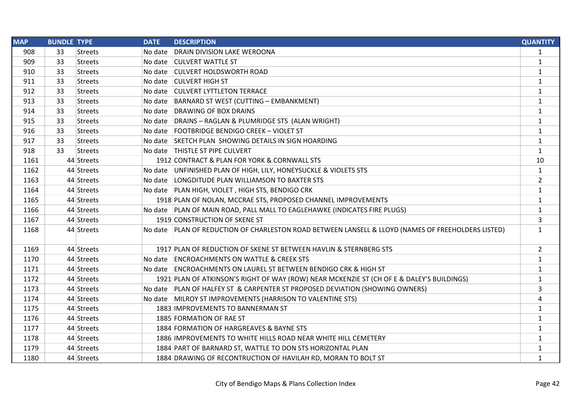| <b>MAP</b> | <b>BUNDLE TYPE</b> |                | <b>DATE</b> | <b>DESCRIPTION</b>                                                                                 | <b>QUANTITY</b> |
|------------|--------------------|----------------|-------------|----------------------------------------------------------------------------------------------------|-----------------|
| 908        | 33                 | Streets        | No date     | <b>DRAIN DIVISION LAKE WEROONA</b>                                                                 | $\mathbf{1}$    |
| 909        | 33                 | <b>Streets</b> |             | No date CULVERT WATTLE ST                                                                          | 1               |
| 910        | 33                 | <b>Streets</b> |             | No date CULVERT HOLDSWORTH ROAD                                                                    | 1               |
| 911        | 33                 | <b>Streets</b> |             | No date CULVERT HIGH ST                                                                            | 1               |
| 912        | 33                 | <b>Streets</b> |             | No date CULVERT LYTTLETON TERRACE                                                                  | 1               |
| 913        | 33                 | <b>Streets</b> |             | No date BARNARD ST WEST (CUTTING - EMBANKMENT)                                                     | $\mathbf{1}$    |
| 914        | 33                 | <b>Streets</b> |             | No date DRAWING OF BOX DRAINS                                                                      | 1               |
| 915        | 33                 | <b>Streets</b> |             | No date DRAINS - RAGLAN & PLUMRIDGE STS (ALAN WRIGHT)                                              | $\mathbf{1}$    |
| 916        | 33                 | <b>Streets</b> |             | No date FOOTBRIDGE BENDIGO CREEK - VIOLET ST                                                       | 1               |
| 917        | 33                 | <b>Streets</b> |             | No date SKETCH PLAN SHOWING DETAILS IN SIGN HOARDING                                               | $\mathbf{1}$    |
| 918        | 33                 | <b>Streets</b> |             | No date   THISTLE ST PIPE CULVERT                                                                  | $\mathbf{1}$    |
| 1161       |                    | 44 Streets     |             | 1912 CONTRACT & PLAN FOR YORK & CORNWALL STS                                                       | 10              |
| 1162       |                    | 44 Streets     |             | No date UNFINISHED PLAN OF HIGH, LILY, HONEYSUCKLE & VIOLETS STS                                   | $\mathbf{1}$    |
| 1163       |                    | 44 Streets     |             | No date LONGDITUDE PLAN WILLIAMSON TO BAXTER STS                                                   | $\overline{2}$  |
| 1164       |                    | 44 Streets     |             | No date   PLAN HIGH, VIOLET, HIGH STS, BENDIGO CRK                                                 | $\mathbf{1}$    |
| 1165       |                    | 44 Streets     |             | 1918 PLAN OF NOLAN, MCCRAE STS, PROPOSED CHANNEL IMPROVEMENTS                                      | $\mathbf{1}$    |
| 1166       |                    | 44 Streets     |             | No date PLAN OF MAIN ROAD, PALL MALL TO EAGLEHAWKE (INDICATES FIRE PLUGS)                          | $\mathbf{1}$    |
| 1167       |                    | 44 Streets     |             | 1919 CONSTRUCTION OF SKENE ST                                                                      | 3               |
| 1168       |                    | 44 Streets     |             | No date PLAN OF REDUCTION OF CHARLESTON ROAD BETWEEN LANSELL & LLOYD (NAMES OF FREEHOLDERS LISTED) | $\mathbf{1}$    |
| 1169       |                    | 44 Streets     |             | 1917 PLAN OF REDUCTION OF SKENE ST BETWEEN HAVLIN & STERNBERG STS                                  | $\overline{2}$  |
| 1170       |                    | 44 Streets     |             | No date ENCROACHMENTS ON WATTLE & CREEK STS                                                        | $\mathbf{1}$    |
| 1171       |                    | 44 Streets     |             | No date ENCROACHMENTS ON LAUREL ST BETWEEN BENDIGO CRK & HIGH ST                                   | 1               |
| 1172       |                    | 44 Streets     |             | 1921 PLAN OF ATKINSON'S RIGHT OF WAY (ROW) NEAR MCKENZIE ST (CH OF E & DALEY'S BUILDINGS)          | $\mathbf{1}$    |
| 1173       |                    | 44 Streets     |             | No date PLAN OF HALFEY ST & CARPENTER ST PROPOSED DEVIATION (SHOWING OWNERS)                       | 3               |
| 1174       |                    | 44 Streets     |             | No date MILROY ST IMPROVEMENTS (HARRISON TO VALENTINE STS)                                         | 4               |
| 1175       |                    | 44 Streets     |             | 1883 IMPROVEMENTS TO BANNERMAN ST                                                                  | $\mathbf{1}$    |
| 1176       |                    | 44 Streets     |             | 1885 FORMATION OF RAE ST                                                                           | $\mathbf{1}$    |
| 1177       |                    | 44 Streets     |             | 1884 FORMATION OF HARGREAVES & BAYNE STS                                                           | $\mathbf{1}$    |
| 1178       |                    | 44 Streets     |             | 1886 IMPROVEMENTS TO WHITE HILLS ROAD NEAR WHITE HILL CEMETERY                                     | 1               |
| 1179       |                    | 44 Streets     |             | 1884 PART OF BARNARD ST, WATTLE TO DON STS HORIZONTAL PLAN                                         | $\mathbf{1}$    |
| 1180       |                    | 44 Streets     |             | 1884 DRAWING OF RECONTRUCTION OF HAVILAH RD, MORAN TO BOLT ST                                      | 1               |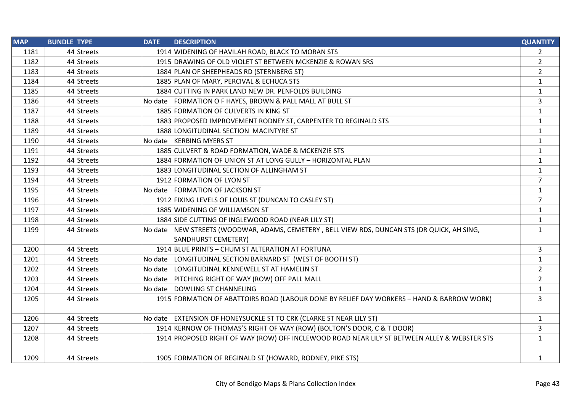| <b>MAP</b> | <b>BUNDLE TYPE</b> | <b>DATE</b> | <b>DESCRIPTION</b>                                                                           | <b>QUANTITY</b> |
|------------|--------------------|-------------|----------------------------------------------------------------------------------------------|-----------------|
| 1181       | 44 Streets         |             | 1914 WIDENING OF HAVILAH ROAD, BLACK TO MORAN STS                                            | $\overline{2}$  |
| 1182       | 44 Streets         |             | 1915 DRAWING OF OLD VIOLET ST BETWEEN MCKENZIE & ROWAN SRS                                   | $\overline{2}$  |
| 1183       | 44 Streets         |             | 1884 PLAN OF SHEEPHEADS RD (STERNBERG ST)                                                    | $\overline{2}$  |
| 1184       | 44 Streets         |             | 1885 PLAN OF MARY, PERCIVAL & ECHUCA STS                                                     | $\mathbf{1}$    |
| 1185       | 44 Streets         |             | 1884 CUTTING IN PARK LAND NEW DR. PENFOLDS BUILDING                                          | $\mathbf{1}$    |
| 1186       | 44 Streets         |             | No date   FORMATION O F HAYES, BROWN & PALL MALL AT BULL ST                                  | 3               |
| 1187       | 44 Streets         |             | 1885 FORMATION OF CULVERTS IN KING ST                                                        | $\mathbf{1}$    |
| 1188       | 44 Streets         |             | 1883 PROPOSED IMPROVEMENT RODNEY ST, CARPENTER TO REGINALD STS                               | $\mathbf{1}$    |
| 1189       | 44 Streets         |             | 1888 LONGITUDINAL SECTION MACINTYRE ST                                                       | $\mathbf{1}$    |
| 1190       | 44 Streets         |             | No date   KERBING MYERS ST                                                                   | $\mathbf{1}$    |
| 1191       | 44 Streets         |             | 1885 CULVERT & ROAD FORMATION, WADE & MCKENZIE STS                                           | $\mathbf{1}$    |
| 1192       | 44 Streets         |             | 1884 FORMATION OF UNION ST AT LONG GULLY - HORIZONTAL PLAN                                   | $\mathbf{1}$    |
| 1193       | 44 Streets         |             | 1883 LONGITUDINAL SECTION OF ALLINGHAM ST                                                    | $\mathbf{1}$    |
| 1194       | 44 Streets         |             | 1912 FORMATION OF LYON ST                                                                    | $\overline{7}$  |
| 1195       | 44 Streets         |             | No date   FORMATION OF JACKSON ST                                                            | $\mathbf{1}$    |
| 1196       | 44 Streets         |             | 1912 FIXING LEVELS OF LOUIS ST (DUNCAN TO CASLEY ST)                                         | 7               |
| 1197       | 44 Streets         |             | 1885 WIDENING OF WILLIAMSON ST                                                               | $\mathbf{1}$    |
| 1198       | 44 Streets         |             | 1884 SIDE CUTTING OF INGLEWOOD ROAD (NEAR LILY ST)                                           | $\mathbf{1}$    |
| 1199       | 44 Streets         |             | No date NEW STREETS (WOODWAR, ADAMS, CEMETERY, BELL VIEW RDS, DUNCAN STS (DR QUICK, AH SING, | $\mathbf{1}$    |
|            |                    |             | SANDHURST CEMETERY)                                                                          |                 |
| 1200       | 44 Streets         |             | 1914 BLUE PRINTS - CHUM ST ALTERATION AT FORTUNA                                             | 3               |
| 1201       | 44 Streets         |             | No date   LONGITUDINAL SECTION BARNARD ST (WEST OF BOOTH ST)                                 | $\mathbf{1}$    |
| 1202       | 44 Streets         |             | No date LONGITUDINAL KENNEWELL ST AT HAMELIN ST                                              | $\overline{2}$  |
| 1203       | 44 Streets         |             | No date PITCHING RIGHT OF WAY (ROW) OFF PALL MALL                                            | $\overline{2}$  |
| 1204       | 44 Streets         |             | No date DOWLING ST CHANNELING                                                                | $\mathbf{1}$    |
| 1205       | 44 Streets         |             | 1915 FORMATION OF ABATTOIRS ROAD (LABOUR DONE BY RELIEF DAY WORKERS - HAND & BARROW WORK)    | 3               |
| 1206       | 44 Streets         |             | No date EXTENSION OF HONEYSUCKLE ST TO CRK (CLARKE ST NEAR LILY ST)                          | $\mathbf{1}$    |
| 1207       | 44 Streets         |             | 1914 KERNOW OF THOMAS'S RIGHT OF WAY (ROW) (BOLTON'S DOOR, C & T DOOR)                       | 3               |
| 1208       | 44 Streets         |             | 1914 PROPOSED RIGHT OF WAY (ROW) OFF INCLEWOOD ROAD NEAR LILY ST BETWEEN ALLEY & WEBSTER STS | $\mathbf{1}$    |
| 1209       | 44 Streets         |             | 1905 FORMATION OF REGINALD ST (HOWARD, RODNEY, PIKE STS)                                     | $\mathbf{1}$    |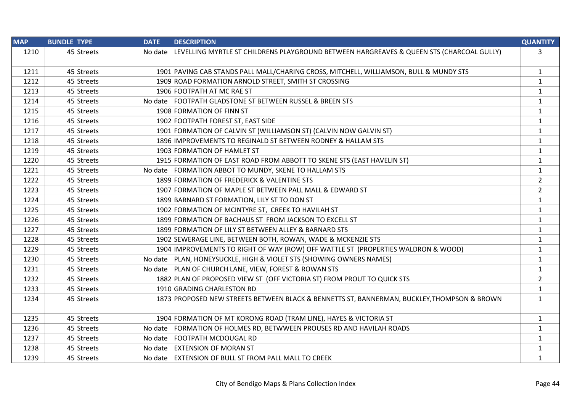| <b>MAP</b> | <b>BUNDLE TYPE</b> |            | <b>DATE</b> | <b>DESCRIPTION</b>                                                                               | <b>QUANTITY</b> |
|------------|--------------------|------------|-------------|--------------------------------------------------------------------------------------------------|-----------------|
| 1210       |                    | 45 Streets |             | No date LEVELLING MYRTLE ST CHILDRENS PLAYGROUND BETWEEN HARGREAVES & QUEEN STS (CHARCOAL GULLY) | $\mathbf{3}$    |
| 1211       |                    | 45 Streets |             | 1901 PAVING CAB STANDS PALL MALL/CHARING CROSS, MITCHELL, WILLIAMSON, BULL & MUNDY STS           | $\mathbf{1}$    |
| 1212       |                    | 45 Streets |             | 1909 ROAD FORMATION ARNOLD STREET, SMITH ST CROSSING                                             | 1               |
| 1213       |                    | 45 Streets |             | 1906 FOOTPATH AT MC RAE ST                                                                       | $\mathbf{1}$    |
| 1214       |                    | 45 Streets |             | No date FOOTPATH GLADSTONE ST BETWEEN RUSSEL & BREEN STS                                         | $\mathbf{1}$    |
| 1215       |                    | 45 Streets |             | 1908 FORMATION OF FINN ST                                                                        | $\mathbf{1}$    |
| 1216       |                    | 45 Streets |             | 1902 FOOTPATH FOREST ST, EAST SIDE                                                               | 1               |
| 1217       |                    | 45 Streets |             | 1901 FORMATION OF CALVIN ST (WILLIAMSON ST) (CALVIN NOW GALVIN ST)                               | $\mathbf{1}$    |
| 1218       |                    | 45 Streets |             | 1896 IMPROVEMENTS TO REGINALD ST BETWEEN RODNEY & HALLAM STS                                     | $\mathbf{1}$    |
| 1219       |                    | 45 Streets |             | 1903 FORMATION OF HAMLET ST                                                                      | $\mathbf{1}$    |
| 1220       |                    | 45 Streets |             | 1915 FORMATION OF EAST ROAD FROM ABBOTT TO SKENE STS (EAST HAVELIN ST)                           | $\mathbf{1}$    |
| 1221       |                    | 45 Streets |             | No date FORMATION ABBOT TO MUNDY, SKENE TO HALLAM STS                                            | $\mathbf{1}$    |
| 1222       |                    | 45 Streets |             | 1899 FORMATION OF FREDERICK & VALENTINE STS                                                      | $\overline{2}$  |
| 1223       |                    | 45 Streets |             | 1907 FORMATION OF MAPLE ST BETWEEN PALL MALL & EDWARD ST                                         | $\overline{2}$  |
| 1224       |                    | 45 Streets |             | 1899 BARNARD ST FORMATION, LILY ST TO DON ST                                                     | $\mathbf{1}$    |
| 1225       |                    | 45 Streets |             | 1902 FORMATION OF MCINTYRE ST, CREEK TO HAVILAH ST                                               | $\mathbf{1}$    |
| 1226       |                    | 45 Streets |             | 1899 FORMATION OF BACHAUS ST FROM JACKSON TO EXCELL ST                                           | $\mathbf{1}$    |
| 1227       |                    | 45 Streets |             | 1899 FORMATION OF LILY ST BETWEEN ALLEY & BARNARD STS                                            | 1               |
| 1228       |                    | 45 Streets |             | 1902 SEWERAGE LINE, BETWEEN BOTH, ROWAN, WADE & MCKENZIE STS                                     | 1               |
| 1229       |                    | 45 Streets |             | 1904 IMPROVEMENTS TO RIGHT OF WAY (ROW) OFF WATTLE ST (PROPERTIES WALDRON & WOOD)                | $\mathbf{1}$    |
| 1230       |                    | 45 Streets |             | No date PLAN, HONEYSUCKLE, HIGH & VIOLET STS (SHOWING OWNERS NAMES)                              | $\mathbf{1}$    |
| 1231       |                    | 45 Streets |             | No date PLAN OF CHURCH LANE, VIEW, FOREST & ROWAN STS                                            | $\mathbf{1}$    |
| 1232       |                    | 45 Streets |             | 1882 PLAN OF PROPOSED VIEW ST (OFF VICTORIA ST) FROM PROUT TO QUICK STS                          | $\overline{2}$  |
| 1233       |                    | 45 Streets |             | 1910 GRADING CHARLESTON RD                                                                       | $\mathbf{1}$    |
| 1234       |                    | 45 Streets |             | 1873 PROPOSED NEW STREETS BETWEEN BLACK & BENNETTS ST, BANNERMAN, BUCKLEY, THOMPSON & BROWN      | 1               |
| 1235       |                    | 45 Streets |             | 1904 FORMATION OF MT KORONG ROAD (TRAM LINE), HAYES & VICTORIA ST                                | $\mathbf{1}$    |
| 1236       |                    | 45 Streets |             | No date FORMATION OF HOLMES RD, BETWWEEN PROUSES RD AND HAVILAH ROADS                            | $\mathbf{1}$    |
| 1237       |                    | 45 Streets |             | No date   FOOTPATH MCDOUGAL RD                                                                   | 1               |
| 1238       |                    | 45 Streets |             | No date EXTENSION OF MORAN ST                                                                    | $\mathbf{1}$    |
| 1239       |                    | 45 Streets |             | No date EXTENSION OF BULL ST FROM PALL MALL TO CREEK                                             | $\mathbf{1}$    |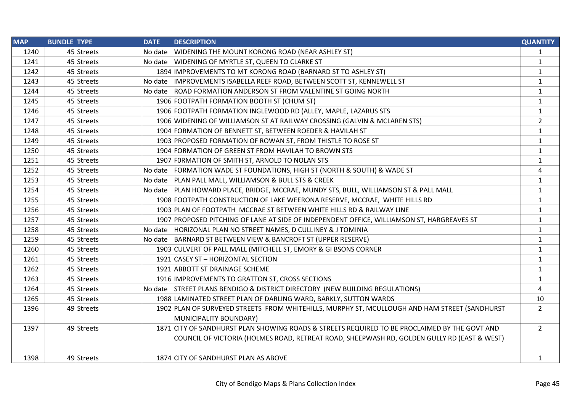| <b>MAP</b> | <b>BUNDLE TYPE</b> |            | <b>DATE</b> | <b>DESCRIPTION</b>                                                                            | <b>QUANTITY</b>         |
|------------|--------------------|------------|-------------|-----------------------------------------------------------------------------------------------|-------------------------|
| 1240       |                    | 45 Streets |             | No date WIDENING THE MOUNT KORONG ROAD (NEAR ASHLEY ST)                                       | 1                       |
| 1241       |                    | 45 Streets |             | No date WIDENING OF MYRTLE ST, QUEEN TO CLARKE ST                                             | $\mathbf{1}$            |
| 1242       |                    | 45 Streets |             | 1894 IMPROVEMENTS TO MT KORONG ROAD (BARNARD ST TO ASHLEY ST)                                 | $\mathbf{1}$            |
| 1243       |                    | 45 Streets |             | No date IMPROVEMENTS ISABELLA REEF ROAD, BETWEEN SCOTT ST, KENNEWELL ST                       | $\mathbf{1}$            |
| 1244       |                    | 45 Streets |             | No date ROAD FORMATION ANDERSON ST FROM VALENTINE ST GOING NORTH                              | $\mathbf 1$             |
| 1245       |                    | 45 Streets |             | 1906 FOOTPATH FORMATION BOOTH ST (CHUM ST)                                                    | $\mathbf{1}$            |
| 1246       |                    | 45 Streets |             | 1906 FOOTPATH FORMATION INGLEWOOD RD (ALLEY, MAPLE, LAZARUS STS                               | $\mathbf{1}$            |
| 1247       |                    | 45 Streets |             | 1906 WIDENING OF WILLIAMSON ST AT RAILWAY CROSSING (GALVIN & MCLAREN STS)                     | $\overline{2}$          |
| 1248       |                    | 45 Streets |             | 1904 FORMATION OF BENNETT ST, BETWEEN ROEDER & HAVILAH ST                                     | $\mathbf{1}$            |
| 1249       |                    | 45 Streets |             | 1903 PROPOSED FORMATION OF ROWAN ST, FROM THISTLE TO ROSE ST                                  | $\mathbf{1}$            |
| 1250       |                    | 45 Streets |             | 1904 FORMATION OF GREEN ST FROM HAVILAH TO BROWN STS                                          | $\mathbf{1}$            |
| 1251       |                    | 45 Streets |             | 1907 FORMATION OF SMITH ST, ARNOLD TO NOLAN STS                                               | $\mathbf{1}$            |
| 1252       |                    | 45 Streets |             | No date FORMATION WADE ST FOUNDATIONS, HIGH ST (NORTH & SOUTH) & WADE ST                      | $\overline{\mathbf{4}}$ |
| 1253       |                    | 45 Streets |             | No date   PLAN PALL MALL, WILLIAMSON & BULL STS & CREEK                                       | $\mathbf{1}$            |
| 1254       |                    | 45 Streets |             | No date   PLAN HOWARD PLACE, BRIDGE, MCCRAE, MUNDY STS, BULL, WILLIAMSON ST & PALL MALL       | $\mathbf{1}$            |
| 1255       |                    | 45 Streets |             | 1908 FOOTPATH CONSTRUCTION OF LAKE WEERONA RESERVE, MCCRAE, WHITE HILLS RD                    | $\mathbf{1}$            |
| 1256       |                    | 45 Streets |             | 1903 PLAN OF FOOTPATH MCCRAE ST BETWEEN WHITE HILLS RD & RAILWAY LINE                         | $\mathbf{1}$            |
| 1257       |                    | 45 Streets |             | 1907 PROPOSED PITCHING OF LANE AT SIDE OF INDEPENDENT OFFICE, WILLIAMSON ST, HARGREAVES ST    | $\mathbf{1}$            |
| 1258       |                    | 45 Streets |             | No date   HORIZONAL PLAN NO STREET NAMES, D CULLINEY & J TOMINIA                              | $\mathbf{1}$            |
| 1259       |                    | 45 Streets |             | No date BARNARD ST BETWEEN VIEW & BANCROFT ST (UPPER RESERVE)                                 | $\mathbf{1}$            |
| 1260       |                    | 45 Streets |             | 1903 CULVERT OF PALL MALL (MITCHELL ST, EMORY & GI BSONS CORNER                               | $\mathbf{1}$            |
| 1261       |                    | 45 Streets |             | 1921 CASEY ST - HORIZONTAL SECTION                                                            | $\mathbf{1}$            |
| 1262       |                    | 45 Streets |             | 1921 ABBOTT ST DRAINAGE SCHEME                                                                | $\mathbf{1}$            |
| 1263       |                    | 45 Streets |             | 1916 IMPROVEMENTS TO GRATTON ST, CROSS SECTIONS                                               | $\mathbf{1}$            |
| 1264       |                    | 45 Streets |             | No date STREET PLANS BENDIGO & DISTRICT DIRECTORY (NEW BUILDING REGULATIONS)                  | 4                       |
| 1265       |                    | 45 Streets |             | 1988 LAMINATED STREET PLAN OF DARLING WARD, BARKLY, SUTTON WARDS                              | 10                      |
| 1396       |                    | 49 Streets |             | 1902 PLAN OF SURVEYED STREETS FROM WHITEHILLS, MURPHY ST, MCULLOUGH AND HAM STREET (SANDHURST | $\overline{2}$          |
|            |                    |            |             | MUNICIPALITY BOUNDARY)                                                                        |                         |
| 1397       |                    | 49 Streets |             | 1871 CITY OF SANDHURST PLAN SHOWING ROADS & STREETS REQUIRED TO BE PROCLAIMED BY THE GOVT AND | $\overline{2}$          |
|            |                    |            |             | COUNCIL OF VICTORIA (HOLMES ROAD, RETREAT ROAD, SHEEPWASH RD, GOLDEN GULLY RD (EAST & WEST)   |                         |
|            |                    |            |             |                                                                                               |                         |
| 1398       |                    | 49 Streets |             | 1874 CITY OF SANDHURST PLAN AS ABOVE                                                          | 1                       |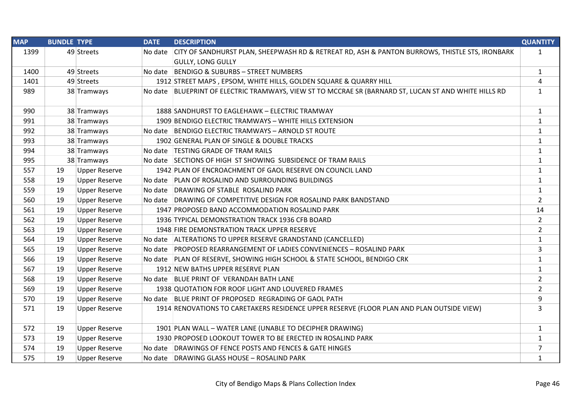| <b>MAP</b> | <b>BUNDLE TYPE</b> |                      | <b>DATE</b> | <b>DESCRIPTION</b>                                                                                      | <b>QUANTITY</b> |
|------------|--------------------|----------------------|-------------|---------------------------------------------------------------------------------------------------------|-----------------|
| 1399       |                    | 49 Streets           | No date     | CITY OF SANDHURST PLAN, SHEEPWASH RD & RETREAT RD, ASH & PANTON BURROWS, THISTLE STS, IRONBARK          | $\mathbf{1}$    |
|            |                    |                      |             | <b>GULLY, LONG GULLY</b>                                                                                |                 |
| 1400       |                    | 49 Streets           |             | No date BENDIGO & SUBURBS - STREET NUMBERS                                                              | $\mathbf{1}$    |
| 1401       |                    | 49 Streets           |             | 1912 STREET MAPS, EPSOM, WHITE HILLS, GOLDEN SQUARE & QUARRY HILL                                       | 4               |
| 989        |                    | 38 Tramways          |             | No date   BLUEPRINT OF ELECTRIC TRAMWAYS, VIEW ST TO MCCRAE SR (BARNARD ST, LUCAN ST AND WHITE HILLS RD | $\mathbf{1}$    |
| 990        |                    | 38 Tramways          |             | 1888 SANDHURST TO EAGLEHAWK - ELECTRIC TRAMWAY                                                          | $\mathbf{1}$    |
| 991        |                    | 38 Tramways          |             | 1909 BENDIGO ELECTRIC TRAMWAYS - WHITE HILLS EXTENSION                                                  | 1               |
| 992        |                    | 38 Tramways          |             | No date BENDIGO ELECTRIC TRAMWAYS - ARNOLD ST ROUTE                                                     | $\mathbf{1}$    |
| 993        |                    | 38 Tramways          |             | 1902 GENERAL PLAN OF SINGLE & DOUBLE TRACKS                                                             | $\mathbf{1}$    |
| 994        |                    | 38 Tramways          |             | No date   TESTING GRADE OF TRAM RAILS                                                                   | $\mathbf{1}$    |
| 995        |                    | 38 Tramways          |             | No date SECTIONS OF HIGH ST SHOWING SUBSIDENCE OF TRAM RAILS                                            | $\mathbf{1}$    |
| 557        | 19                 | <b>Upper Reserve</b> |             | 1942 PLAN OF ENCROACHMENT OF GAOL RESERVE ON COUNCIL LAND                                               | $\mathbf{1}$    |
| 558        | 19                 | <b>Upper Reserve</b> |             | No date PLAN OF ROSALIND AND SURROUNDING BUILDINGS                                                      | $\mathbf{1}$    |
| 559        | 19                 | <b>Upper Reserve</b> |             | No date DRAWING OF STABLE ROSALIND PARK                                                                 | $\mathbf{1}$    |
| 560        | 19                 | <b>Upper Reserve</b> |             | No date DRAWING OF COMPETITIVE DESIGN FOR ROSALIND PARK BANDSTAND                                       | $\overline{2}$  |
| 561        | 19                 | <b>Upper Reserve</b> |             | 1947 PROPOSED BAND ACCOMMODATION ROSALIND PARK                                                          | 14              |
| 562        | 19                 | <b>Upper Reserve</b> |             | 1936 TYPICAL DEMONSTRATION TRACK 1936 CFB BOARD                                                         | $\overline{2}$  |
| 563        | 19                 | <b>Upper Reserve</b> |             | 1948 FIRE DEMONSTRATION TRACK UPPER RESERVE                                                             | $\overline{2}$  |
| 564        | 19                 | <b>Upper Reserve</b> |             | No date ALTERATIONS TO UPPER RESERVE GRANDSTAND (CANCELLED)                                             | $\mathbf{1}$    |
| 565        | 19                 | <b>Upper Reserve</b> |             | No date PROPOSED REARRANGEMENT OF LADIES CONVENIENCES - ROSALIND PARK                                   | 3               |
| 566        | 19                 | <b>Upper Reserve</b> |             | No date PLAN OF RESERVE, SHOWING HIGH SCHOOL & STATE SCHOOL, BENDIGO CRK                                | $\mathbf{1}$    |
| 567        | 19                 | <b>Upper Reserve</b> |             | 1912 NEW BATHS UPPER RESERVE PLAN                                                                       | $\mathbf{1}$    |
| 568        | 19                 | <b>Upper Reserve</b> |             | No date BLUE PRINT OF VERANDAH BATH LANE                                                                | $\overline{2}$  |
| 569        | 19                 | <b>Upper Reserve</b> |             | 1938 QUOTATION FOR ROOF LIGHT AND LOUVERED FRAMES                                                       | $\overline{2}$  |
| 570        | 19                 | <b>Upper Reserve</b> |             | No date BLUE PRINT OF PROPOSED REGRADING OF GAOL PATH                                                   | 9               |
| 571        | 19                 | <b>Upper Reserve</b> |             | 1914 RENOVATIONS TO CARETAKERS RESIDENCE UPPER RESERVE (FLOOR PLAN AND PLAN OUTSIDE VIEW)               | $\overline{3}$  |
| 572        | 19                 | <b>Upper Reserve</b> |             | 1901 PLAN WALL - WATER LANE (UNABLE TO DECIPHER DRAWING)                                                | $\mathbf{1}$    |
| 573        | 19                 | <b>Upper Reserve</b> |             | 1930 PROPOSED LOOKOUT TOWER TO BE ERECTED IN ROSALIND PARK                                              | $\mathbf{1}$    |
| 574        | 19                 | <b>Upper Reserve</b> |             | No date DRAWINGS OF FENCE POSTS AND FENCES & GATE HINGES                                                | $\overline{7}$  |
| 575        | 19                 | <b>Upper Reserve</b> |             | No date DRAWING GLASS HOUSE - ROSALIND PARK                                                             | $\mathbf{1}$    |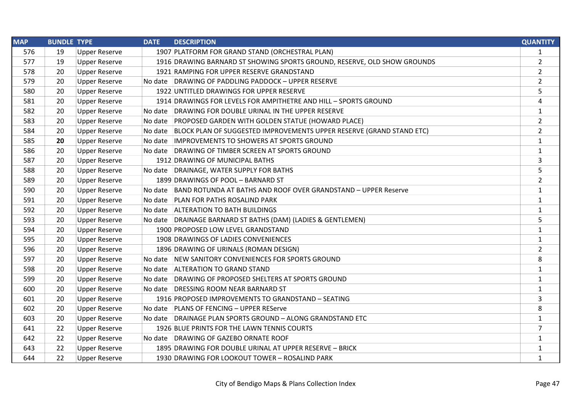| <b>MAP</b> | <b>BUNDLE TYPE</b> |                      | <b>DATE</b> | <b>DESCRIPTION</b>                                                            | <b>QUANTITY</b> |
|------------|--------------------|----------------------|-------------|-------------------------------------------------------------------------------|-----------------|
| 576        | 19                 | <b>Upper Reserve</b> |             | 1907 PLATFORM FOR GRAND STAND (ORCHESTRAL PLAN)                               | $\mathbf{1}$    |
| 577        | 19                 | <b>Upper Reserve</b> |             | 1916 DRAWING BARNARD ST SHOWING SPORTS GROUND, RESERVE, OLD SHOW GROUNDS      | $\overline{2}$  |
| 578        | 20                 | <b>Upper Reserve</b> |             | 1921 RAMPING FOR UPPER RESERVE GRANDSTAND                                     | $\overline{2}$  |
| 579        | 20                 | <b>Upper Reserve</b> |             | No date DRAWING OF PADDLING PADDOCK - UPPER RESERVE                           | $\overline{2}$  |
| 580        | 20                 | <b>Upper Reserve</b> |             | 1922 UNTITLED DRAWINGS FOR UPPER RESERVE                                      | 5               |
| 581        | 20                 | <b>Upper Reserve</b> |             | 1914 DRAWINGS FOR LEVELS FOR AMPITHETRE AND HILL - SPORTS GROUND              | 4               |
| 582        | 20                 | <b>Upper Reserve</b> |             | No date DRAWING FOR DOUBLE URINAL IN THE UPPER RESERVE                        | $\mathbf{1}$    |
| 583        | 20                 | <b>Upper Reserve</b> |             | No date PROPOSED GARDEN WITH GOLDEN STATUE (HOWARD PLACE)                     | $\overline{2}$  |
| 584        | 20                 | <b>Upper Reserve</b> |             | No date  BLOCK PLAN OF SUGGESTED IMPROVEMENTS UPPER RESERVE (GRAND STAND ETC) | $\overline{2}$  |
| 585        | 20                 | <b>Upper Reserve</b> |             | No date IMPROVEMENTS TO SHOWERS AT SPORTS GROUND                              | $\mathbf{1}$    |
| 586        | 20                 | <b>Upper Reserve</b> |             | No date DRAWING OF TIMBER SCREEN AT SPORTS GROUND                             | $\mathbf{1}$    |
| 587        | 20                 | <b>Upper Reserve</b> |             | 1912 DRAWING OF MUNICIPAL BATHS                                               | 3               |
| 588        | 20                 | <b>Upper Reserve</b> |             | No date DRAINAGE, WATER SUPPLY FOR BATHS                                      | 5               |
| 589        | 20                 | <b>Upper Reserve</b> |             | 1899 DRAWINGS OF POOL - BARNARD ST                                            | $\overline{2}$  |
| 590        | 20                 | <b>Upper Reserve</b> |             | No date BAND ROTUNDA AT BATHS AND ROOF OVER GRANDSTAND - UPPER Reserve        | $\mathbf{1}$    |
| 591        | 20                 | <b>Upper Reserve</b> |             | No date PLAN FOR PATHS ROSALIND PARK                                          | $\mathbf{1}$    |
| 592        | 20                 | <b>Upper Reserve</b> |             | No date ALTERATION TO BATH BUILDINGS                                          | $\mathbf{1}$    |
| 593        | 20                 | <b>Upper Reserve</b> |             | No date DRAINAGE BARNARD ST BATHS (DAM) (LADIES & GENTLEMEN)                  | 5               |
| 594        | 20                 | <b>Upper Reserve</b> |             | 1900 PROPOSED LOW LEVEL GRANDSTAND                                            | $\mathbf{1}$    |
| 595        | 20                 | <b>Upper Reserve</b> |             | 1908 DRAWINGS OF LADIES CONVENIENCES                                          | $\mathbf{1}$    |
| 596        | 20                 | <b>Upper Reserve</b> |             | 1896 DRAWING OF URINALS (ROMAN DESIGN)                                        | $\overline{2}$  |
| 597        | 20                 | <b>Upper Reserve</b> |             | No date NEW SANITORY CONVENIENCES FOR SPORTS GROUND                           | 8               |
| 598        | 20                 | <b>Upper Reserve</b> |             | No date ALTERATION TO GRAND STAND                                             | $\mathbf{1}$    |
| 599        | 20                 | <b>Upper Reserve</b> |             | No date DRAWING OF PROPOSED SHELTERS AT SPORTS GROUND                         | $\mathbf{1}$    |
| 600        | 20                 | <b>Upper Reserve</b> |             | No date DRESSING ROOM NEAR BARNARD ST                                         | $\mathbf{1}$    |
| 601        | 20                 | <b>Upper Reserve</b> |             | 1916 PROPOSED IMPROVEMENTS TO GRANDSTAND - SEATING                            | 3               |
| 602        | 20                 | <b>Upper Reserve</b> |             | No date PLANS OF FENCING - UPPER REServe                                      | 8               |
| 603        | 20                 | <b>Upper Reserve</b> |             | No date DRAINAGE PLAN SPORTS GROUND - ALONG GRANDSTAND ETC                    | $\mathbf{1}$    |
| 641        | 22                 | <b>Upper Reserve</b> |             | 1926 BLUE PRINTS FOR THE LAWN TENNIS COURTS                                   | $\overline{7}$  |
| 642        | 22                 | <b>Upper Reserve</b> |             | No date DRAWING OF GAZEBO ORNATE ROOF                                         | $\mathbf{1}$    |
| 643        | 22                 | <b>Upper Reserve</b> |             | 1895 DRAWING FOR DOUBLE URINAL AT UPPER RESERVE - BRICK                       | $\mathbf{1}$    |
| 644        | 22                 | <b>Upper Reserve</b> |             | 1930 DRAWING FOR LOOKOUT TOWER - ROSALIND PARK                                | $\mathbf{1}$    |